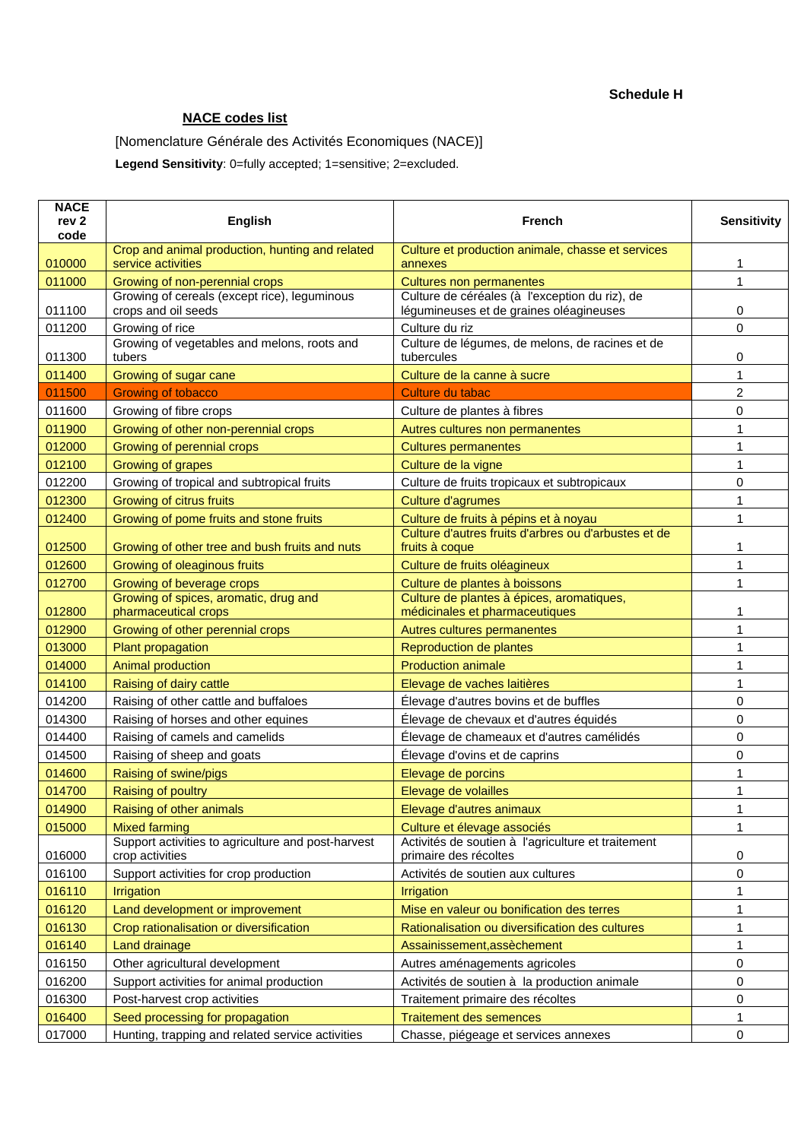## **NACE codes list**

[Nomenclature Générale des Activités Economiques (NACE)]

**Legend Sensitivity**: 0=fully accepted; 1=sensitive; 2=excluded.

| <b>NACE</b><br>rev <sub>2</sub><br>code | <b>English</b>                                                        | <b>French</b>                                                                             | <b>Sensitivity</b> |
|-----------------------------------------|-----------------------------------------------------------------------|-------------------------------------------------------------------------------------------|--------------------|
| 010000                                  | Crop and animal production, hunting and related<br>service activities | Culture et production animale, chasse et services<br>annexes                              | 1                  |
| 011000                                  | Growing of non-perennial crops                                        | <b>Cultures non permanentes</b>                                                           | $\mathbf{1}$       |
| 011100                                  | Growing of cereals (except rice), leguminous<br>crops and oil seeds   | Culture de céréales (à l'exception du riz), de<br>légumineuses et de graines oléagineuses | 0                  |
| 011200                                  | Growing of rice                                                       | Culture du riz                                                                            | 0                  |
| 011300                                  | Growing of vegetables and melons, roots and<br>tubers                 | Culture de légumes, de melons, de racines et de<br>tubercules                             | 0                  |
| 011400                                  | Growing of sugar cane                                                 | Culture de la canne à sucre                                                               | 1                  |
| 011500                                  | <b>Growing of tobacco</b>                                             | Culture du tabac                                                                          | $\overline{2}$     |
| 011600                                  | Growing of fibre crops                                                | Culture de plantes à fibres                                                               | 0                  |
| 011900                                  | Growing of other non-perennial crops                                  | Autres cultures non permanentes                                                           | 1                  |
| 012000                                  | Growing of perennial crops                                            | <b>Cultures permanentes</b>                                                               | 1                  |
| 012100                                  | Growing of grapes                                                     | Culture de la vigne                                                                       | 1                  |
| 012200                                  | Growing of tropical and subtropical fruits                            | Culture de fruits tropicaux et subtropicaux                                               | 0                  |
| 012300                                  | Growing of citrus fruits                                              | <b>Culture d'agrumes</b>                                                                  | 1                  |
| 012400                                  | Growing of pome fruits and stone fruits                               | Culture de fruits à pépins et à noyau                                                     | 1                  |
| 012500                                  | Growing of other tree and bush fruits and nuts                        | Culture d'autres fruits d'arbres ou d'arbustes et de<br>fruits à coque                    | 1                  |
| 012600                                  | Growing of oleaginous fruits                                          | Culture de fruits oléagineux                                                              | $\mathbf{1}$       |
| 012700                                  | Growing of beverage crops                                             | Culture de plantes à boissons                                                             | 1                  |
| 012800                                  | Growing of spices, aromatic, drug and<br>pharmaceutical crops         | Culture de plantes à épices, aromatiques,<br>médicinales et pharmaceutiques               | 1                  |
| 012900                                  | Growing of other perennial crops                                      | Autres cultures permanentes                                                               | 1                  |
| 013000                                  | Plant propagation                                                     | Reproduction de plantes                                                                   | 1                  |
| 014000                                  | <b>Animal production</b>                                              | <b>Production animale</b>                                                                 | 1                  |
| 014100                                  | Raising of dairy cattle                                               | Elevage de vaches laitières                                                               | 1                  |
| 014200                                  | Raising of other cattle and buffaloes                                 | Élevage d'autres bovins et de buffles                                                     | 0                  |
| 014300                                  | Raising of horses and other equines                                   | Élevage de chevaux et d'autres équidés                                                    | 0                  |
| 014400                                  | Raising of camels and camelids                                        | Élevage de chameaux et d'autres camélidés                                                 | 0                  |
| 014500                                  | Raising of sheep and goats                                            | Élevage d'ovins et de caprins                                                             | 0                  |
| 014600                                  | Raising of swine/pigs                                                 | Elevage de porcins                                                                        | 1                  |
| 014700                                  | <b>Raising of poultry</b>                                             | Elevage de volailles                                                                      | 1                  |
| 014900                                  | Raising of other animals                                              | Elevage d'autres animaux                                                                  | 1                  |
| 015000                                  | <b>Mixed farming</b>                                                  | Culture et élevage associés                                                               | 1                  |
| 016000                                  | Support activities to agriculture and post-harvest<br>crop activities | Activités de soutien à l'agriculture et traitement<br>primaire des récoltes               | 0                  |
| 016100                                  | Support activities for crop production                                | Activités de soutien aux cultures                                                         | 0                  |
| 016110                                  | Irrigation                                                            | Irrigation                                                                                | 1                  |
| 016120                                  | Land development or improvement                                       | Mise en valeur ou bonification des terres                                                 | 1                  |
| 016130                                  | Crop rationalisation or diversification                               | Rationalisation ou diversification des cultures                                           | 1                  |
| 016140                                  | Land drainage                                                         | Assainissement, assechement                                                               | 1                  |
| 016150                                  | Other agricultural development                                        | Autres aménagements agricoles                                                             | 0                  |
| 016200                                  | Support activities for animal production                              | Activités de soutien à la production animale                                              | 0                  |
| 016300                                  | Post-harvest crop activities                                          | Traitement primaire des récoltes                                                          | 0                  |
| 016400                                  | Seed processing for propagation                                       | <b>Traitement des semences</b>                                                            | 1                  |
| 017000                                  | Hunting, trapping and related service activities                      | Chasse, piégeage et services annexes                                                      | 0                  |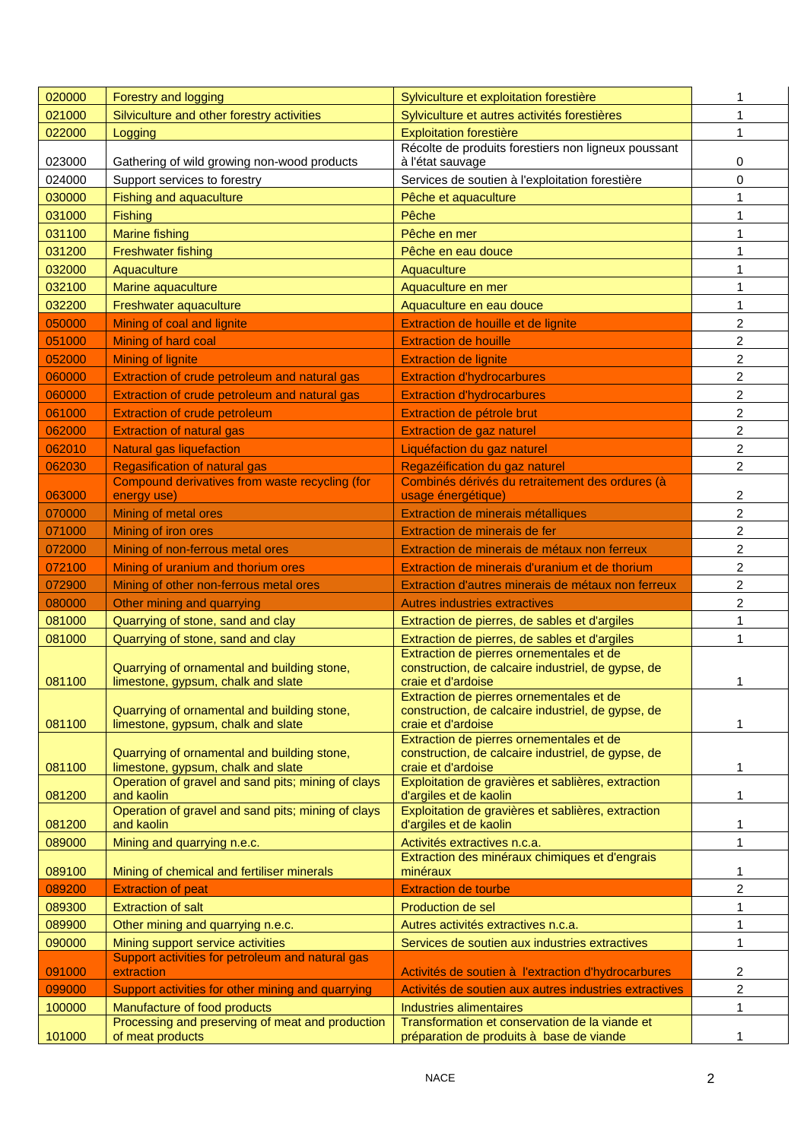| 020000           | Forestry and logging                                                                                   | Sylviculture et exploitation forestière                                                                              | 1              |
|------------------|--------------------------------------------------------------------------------------------------------|----------------------------------------------------------------------------------------------------------------------|----------------|
| 021000           | Silviculture and other forestry activities                                                             | Sylviculture et autres activités forestières                                                                         | 1              |
| 022000           | Logging                                                                                                | <b>Exploitation forestière</b>                                                                                       | 1              |
| 023000           | Gathering of wild growing non-wood products                                                            | Récolte de produits forestiers non ligneux poussant<br>à l'état sauvage                                              | 0              |
| 024000           | Support services to forestry                                                                           | Services de soutien à l'exploitation forestière                                                                      | 0              |
| 030000           | Fishing and aquaculture                                                                                | Pêche et aquaculture                                                                                                 | 1              |
| 031000           | Fishing                                                                                                | Pêche                                                                                                                | 1              |
| 031100           | <b>Marine fishing</b>                                                                                  | Pêche en mer                                                                                                         | 1              |
| 031200           | <b>Freshwater fishing</b>                                                                              | Pêche en eau douce                                                                                                   | 1              |
| 032000           | Aquaculture                                                                                            | Aquaculture                                                                                                          |                |
| 032100           | Marine aquaculture                                                                                     | Aquaculture en mer                                                                                                   | 1              |
| 032200           | Freshwater aquaculture                                                                                 | Aquaculture en eau douce                                                                                             | $\mathbf{1}$   |
| 050000           | Mining of coal and lignite                                                                             | Extraction de houille et de lignite                                                                                  | $\overline{c}$ |
| 051000           | Mining of hard coal                                                                                    | <b>Extraction de houille</b>                                                                                         | 2              |
| 052000           | <b>Mining of lignite</b>                                                                               | <b>Extraction de lignite</b>                                                                                         | $\overline{c}$ |
| 060000           | Extraction of crude petroleum and natural gas                                                          | <b>Extraction d'hydrocarbures</b>                                                                                    | $\overline{c}$ |
| 060000           | Extraction of crude petroleum and natural gas                                                          | <b>Extraction d'hydrocarbures</b>                                                                                    | $\overline{c}$ |
| 061000           | <b>Extraction of crude petroleum</b>                                                                   | Extraction de pétrole brut                                                                                           | $\overline{c}$ |
| 062000           | <b>Extraction of natural gas</b>                                                                       | Extraction de gaz naturel                                                                                            | 2              |
| 062010           | <b>Natural gas liquefaction</b>                                                                        | Liquéfaction du gaz naturel                                                                                          | $\overline{c}$ |
| 062030           | <b>Regasification of natural gas</b>                                                                   | Regazéification du gaz naturel                                                                                       | $\overline{c}$ |
|                  | Compound derivatives from waste recycling (for                                                         | Combinés dérivés du retraitement des ordures (à                                                                      |                |
| 063000           | energy use)                                                                                            | usage énergétique)                                                                                                   | 2              |
| 070000           | Mining of metal ores                                                                                   | Extraction de minerais métalliques                                                                                   | $\overline{c}$ |
| 071000           | Mining of iron ores                                                                                    | Extraction de minerais de fer                                                                                        | 2              |
| 072000           | Mining of non-ferrous metal ores                                                                       | Extraction de minerais de métaux non ferreux                                                                         | $\overline{c}$ |
| 072100           | Mining of uranium and thorium ores                                                                     | Extraction de minerais d'uranium et de thorium                                                                       | $\overline{c}$ |
|                  |                                                                                                        |                                                                                                                      |                |
| 072900           | Mining of other non-ferrous metal ores                                                                 | Extraction d'autres minerais de métaux non ferreux                                                                   | 2              |
| 080000           | Other mining and quarrying                                                                             | <b>Autres industries extractives</b>                                                                                 | 2              |
| 081000           | Quarrying of stone, sand and clay                                                                      | Extraction de pierres, de sables et d'argiles                                                                        | 1              |
| 081000           | Quarrying of stone, sand and clay                                                                      | Extraction de pierres, de sables et d'argiles                                                                        | 1              |
| 081100           | Quarrying of ornamental and building stone,<br>limestone, gypsum, chalk and slate                      | Extraction de pierres ornementales et de<br>construction, de calcaire industriel, de gypse, de<br>craie et d'ardoise | 1              |
| 081100           | Quarrying of ornamental and building stone,                                                            | Extraction de pierres ornementales et de<br>construction, de calcaire industriel, de gypse, de<br>craie et d'ardoise | 1              |
|                  | limestone, gypsum, chalk and slate<br>Quarrying of ornamental and building stone,                      | Extraction de pierres ornementales et de<br>construction, de calcaire industriel, de gypse, de                       |                |
| 081100<br>081200 | limestone, gypsum, chalk and slate<br>Operation of gravel and sand pits; mining of clays<br>and kaolin | craie et d'ardoise<br>Exploitation de gravières et sablières, extraction<br>d'argiles et de kaolin                   | 1<br>1         |
| 081200           | Operation of gravel and sand pits; mining of clays<br>and kaolin                                       | Exploitation de gravières et sablières, extraction<br>d'argiles et de kaolin                                         | 1              |
| 089000           | Mining and quarrying n.e.c.                                                                            | Activités extractives n.c.a.                                                                                         | 1              |
| 089100           | Mining of chemical and fertiliser minerals                                                             | Extraction des minéraux chimiques et d'engrais<br>minéraux                                                           | 1              |
| 089200           | <b>Extraction of peat</b>                                                                              | <b>Extraction de tourbe</b>                                                                                          | 2              |
| 089300           | <b>Extraction of salt</b>                                                                              | Production de sel                                                                                                    | 1              |
| 089900           | Other mining and quarrying n.e.c.                                                                      | Autres activités extractives n.c.a.                                                                                  | $\mathbf{1}$   |
| 090000           | Mining support service activities                                                                      | Services de soutien aux industries extractives                                                                       | 1              |
|                  | Support activities for petroleum and natural gas                                                       |                                                                                                                      |                |
| 091000           | extraction                                                                                             | Activités de soutien à l'extraction d'hydrocarbures                                                                  | 2              |
| 099000           | Support activities for other mining and quarrying                                                      | Activités de soutien aux autres industries extractives                                                               | $\overline{2}$ |
| 100000           | Manufacture of food products<br>Processing and preserving of meat and production                       | <b>Industries alimentaires</b><br>Transformation et conservation de la viande et                                     | 1              |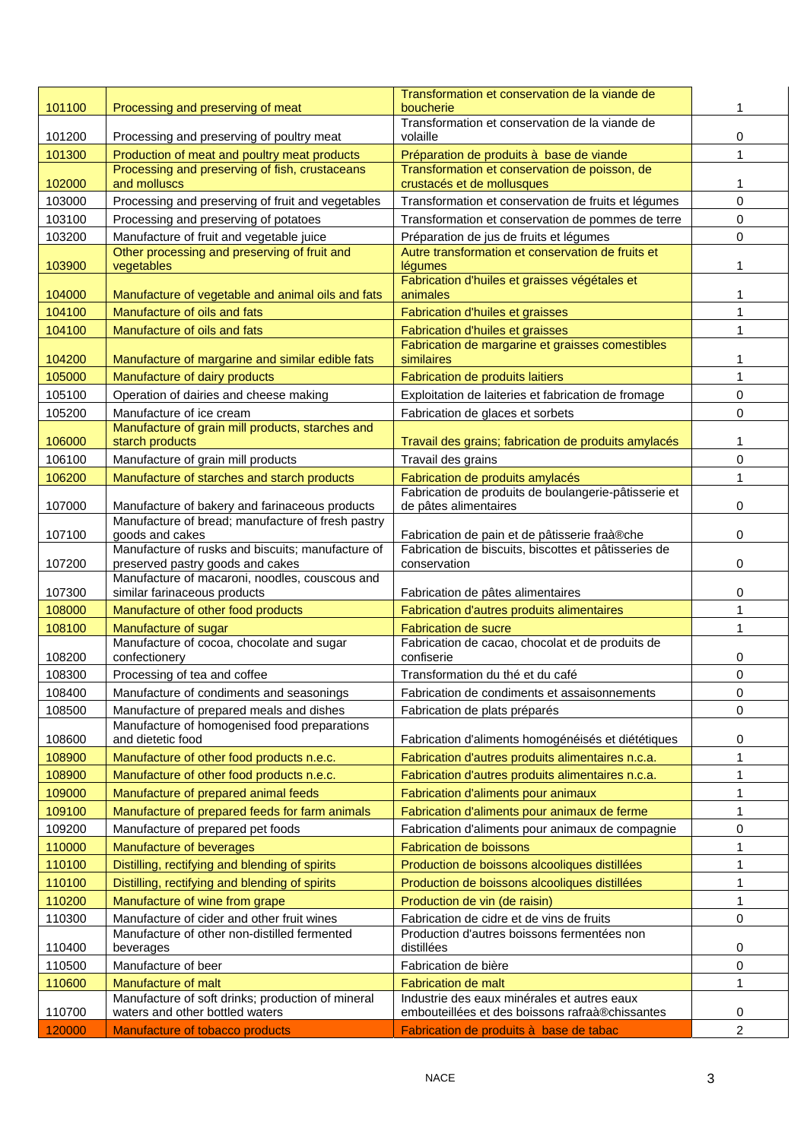|        |                                                                                                     | Transformation et conservation de la viande de                            |              |
|--------|-----------------------------------------------------------------------------------------------------|---------------------------------------------------------------------------|--------------|
| 101100 | Processing and preserving of meat                                                                   | boucherie                                                                 |              |
| 101200 |                                                                                                     | Transformation et conservation de la viande de<br>volaille                |              |
| 101300 | Processing and preserving of poultry meat<br>Production of meat and poultry meat products           | Préparation de produits à base de viande                                  | 0<br>1       |
|        | Processing and preserving of fish, crustaceans                                                      | Transformation et conservation de poisson, de                             |              |
| 102000 | and molluscs                                                                                        | crustacés et de mollusques                                                | 1            |
| 103000 | Processing and preserving of fruit and vegetables                                                   | Transformation et conservation de fruits et légumes                       | 0            |
| 103100 | Processing and preserving of potatoes                                                               | Transformation et conservation de pommes de terre                         | 0            |
| 103200 | Manufacture of fruit and vegetable juice                                                            | Préparation de jus de fruits et légumes                                   | 0            |
| 103900 | Other processing and preserving of fruit and<br>vegetables                                          | Autre transformation et conservation de fruits et<br>légumes              | 1            |
|        |                                                                                                     | Fabrication d'huiles et graisses végétales et                             |              |
| 104000 | Manufacture of vegetable and animal oils and fats                                                   | animales                                                                  | 1            |
| 104100 | Manufacture of oils and fats                                                                        | Fabrication d'huiles et graisses                                          | 1            |
| 104100 | Manufacture of oils and fats                                                                        | Fabrication d'huiles et graisses                                          | 1            |
|        |                                                                                                     | Fabrication de margarine et graisses comestibles                          |              |
| 104200 | Manufacture of margarine and similar edible fats                                                    | similaires                                                                | 1            |
| 105000 | Manufacture of dairy products                                                                       | Fabrication de produits laitiers                                          | 1            |
| 105100 | Operation of dairies and cheese making                                                              | Exploitation de laiteries et fabrication de fromage                       | 0            |
| 105200 | Manufacture of ice cream<br>Manufacture of grain mill products, starches and                        | Fabrication de glaces et sorbets                                          | 0            |
| 106000 | starch products                                                                                     | Travail des grains; fabrication de produits amylacés                      | 1            |
| 106100 | Manufacture of grain mill products                                                                  | Travail des grains                                                        | 0            |
| 106200 | Manufacture of starches and starch products                                                         | Fabrication de produits amylacés                                          | $\mathbf{1}$ |
|        |                                                                                                     | Fabrication de produits de boulangerie-pâtisserie et                      |              |
| 107000 | Manufacture of bakery and farinaceous products<br>Manufacture of bread; manufacture of fresh pastry | de pâtes alimentaires                                                     | 0            |
| 107100 | goods and cakes                                                                                     | Fabrication de pain et de pâtisserie fraà®che                             | $\Omega$     |
|        | Manufacture of rusks and biscuits; manufacture of                                                   | Fabrication de biscuits, biscottes et pâtisseries de                      |              |
| 107200 | preserved pastry goods and cakes                                                                    | conservation                                                              | 0            |
| 107300 | Manufacture of macaroni, noodles, couscous and<br>similar farinaceous products                      | Fabrication de pâtes alimentaires                                         | 0            |
| 108000 | Manufacture of other food products                                                                  | Fabrication d'autres produits alimentaires                                | $\mathbf{1}$ |
| 108100 | Manufacture of sugar                                                                                | <b>Fabrication de sucre</b>                                               | 1            |
|        | Manufacture of cocoa, chocolate and sugar                                                           | Fabrication de cacao, chocolat et de produits de                          |              |
| 108200 | confectionery                                                                                       | confiserie                                                                | 0            |
| 108300 | Processing of tea and coffee                                                                        | Transformation du thé et du café                                          | 0            |
| 108400 | Manufacture of condiments and seasonings                                                            | Fabrication de condiments et assaisonnements                              | 0            |
| 108500 | Manufacture of prepared meals and dishes                                                            | Fabrication de plats préparés                                             | 0            |
| 108600 | Manufacture of homogenised food preparations<br>and dietetic food                                   | Fabrication d'aliments homogénéisés et diététiques                        | 0            |
| 108900 | Manufacture of other food products n.e.c.                                                           | Fabrication d'autres produits alimentaires n.c.a.                         | 1            |
| 108900 | Manufacture of other food products n.e.c.                                                           | Fabrication d'autres produits alimentaires n.c.a.                         | 1            |
| 109000 | Manufacture of prepared animal feeds                                                                | Fabrication d'aliments pour animaux                                       | $\mathbf{1}$ |
| 109100 | Manufacture of prepared feeds for farm animals                                                      | Fabrication d'aliments pour animaux de ferme                              | 1            |
| 109200 | Manufacture of prepared pet foods                                                                   | Fabrication d'aliments pour animaux de compagnie                          | 0            |
| 110000 | Manufacture of beverages                                                                            | Fabrication de boissons                                                   | 1            |
| 110100 | Distilling, rectifying and blending of spirits                                                      | Production de boissons alcooliques distillées                             | 1            |
| 110100 | Distilling, rectifying and blending of spirits                                                      | Production de boissons alcooliques distillées                             | 1            |
| 110200 | Manufacture of wine from grape                                                                      | Production de vin (de raisin)                                             | 1            |
| 110300 | Manufacture of cider and other fruit wines                                                          | Fabrication de cidre et de vins de fruits                                 | 0            |
|        | Manufacture of other non-distilled fermented                                                        | Production d'autres boissons fermentées non                               |              |
| 110400 | beverages                                                                                           | distillées                                                                | 0            |
| 110500 | Manufacture of beer                                                                                 | Fabrication de bière                                                      | 0            |
| 110600 | Manufacture of malt<br>Manufacture of soft drinks; production of mineral                            | <b>Fabrication de malt</b><br>Industrie des eaux minérales et autres eaux | 1            |
| 110700 | waters and other bottled waters                                                                     | embouteillées et des boissons rafraà®chissantes                           | 0            |
| 120000 | Manufacture of tobacco products                                                                     | Fabrication de produits à base de tabac                                   | 2            |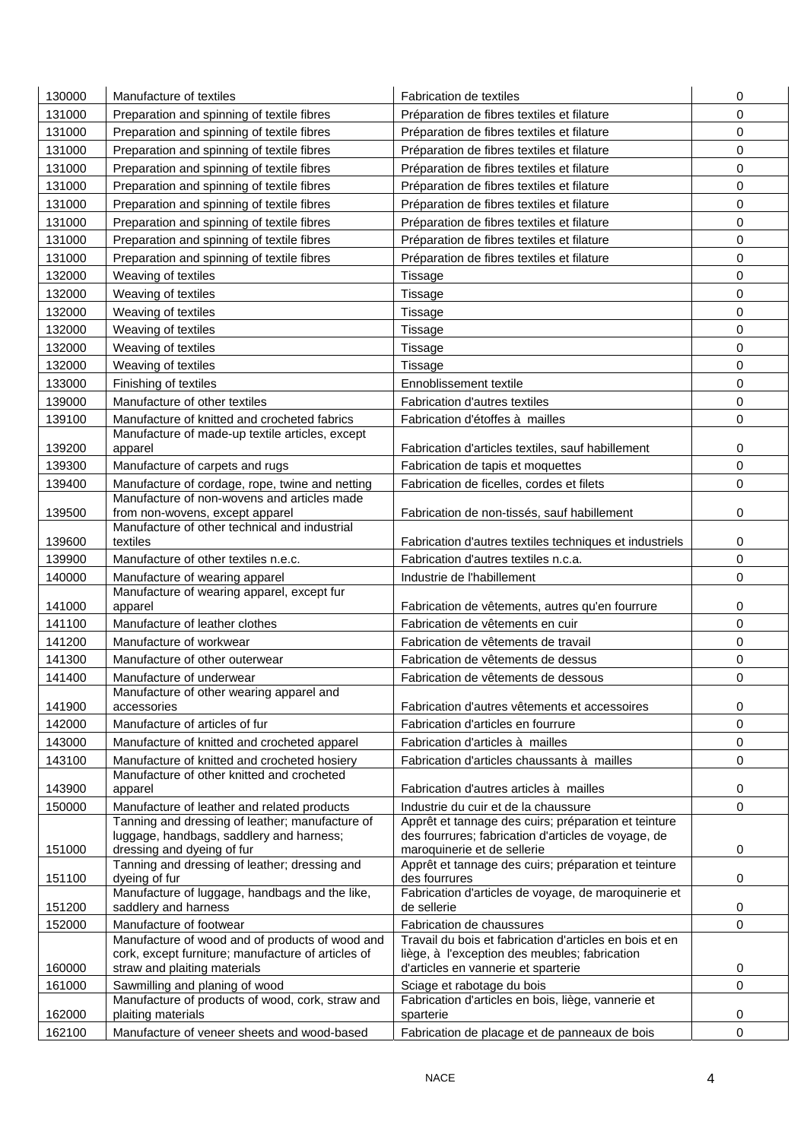| 130000 | Manufacture of textiles                                                                               | <b>Fabrication de textiles</b>                                                                              | 0           |
|--------|-------------------------------------------------------------------------------------------------------|-------------------------------------------------------------------------------------------------------------|-------------|
| 131000 | Preparation and spinning of textile fibres                                                            | Préparation de fibres textiles et filature                                                                  | 0           |
| 131000 | Preparation and spinning of textile fibres                                                            | Préparation de fibres textiles et filature                                                                  | $\mathbf 0$ |
| 131000 | Preparation and spinning of textile fibres                                                            | Préparation de fibres textiles et filature                                                                  | 0           |
| 131000 | Preparation and spinning of textile fibres                                                            | Préparation de fibres textiles et filature                                                                  | 0           |
|        |                                                                                                       |                                                                                                             |             |
| 131000 | Preparation and spinning of textile fibres                                                            | Préparation de fibres textiles et filature                                                                  | 0           |
| 131000 | Preparation and spinning of textile fibres                                                            | Préparation de fibres textiles et filature                                                                  | $\mathbf 0$ |
| 131000 | Preparation and spinning of textile fibres                                                            | Préparation de fibres textiles et filature                                                                  | 0           |
| 131000 | Preparation and spinning of textile fibres                                                            | Préparation de fibres textiles et filature                                                                  | 0           |
| 131000 | Preparation and spinning of textile fibres                                                            | Préparation de fibres textiles et filature                                                                  | $\mathbf 0$ |
| 132000 | Weaving of textiles                                                                                   | Tissage                                                                                                     | 0           |
| 132000 | Weaving of textiles                                                                                   | Tissage                                                                                                     | 0           |
| 132000 | Weaving of textiles                                                                                   | Tissage                                                                                                     | 0           |
| 132000 | Weaving of textiles                                                                                   | Tissage                                                                                                     | 0           |
| 132000 | Weaving of textiles                                                                                   | Tissage                                                                                                     | 0           |
| 132000 | Weaving of textiles                                                                                   | Tissage                                                                                                     | $\mathbf 0$ |
| 133000 | Finishing of textiles                                                                                 | Ennoblissement textile                                                                                      | $\mathbf 0$ |
| 139000 | Manufacture of other textiles                                                                         | <b>Fabrication d'autres textiles</b>                                                                        | 0           |
| 139100 | Manufacture of knitted and crocheted fabrics                                                          | Fabrication d'étoffes à mailles                                                                             | 0           |
|        | Manufacture of made-up textile articles, except                                                       |                                                                                                             |             |
| 139200 | apparel                                                                                               | Fabrication d'articles textiles, sauf habillement                                                           | 0           |
| 139300 | Manufacture of carpets and rugs                                                                       | Fabrication de tapis et moquettes                                                                           | $\pmb{0}$   |
| 139400 | Manufacture of cordage, rope, twine and netting                                                       | Fabrication de ficelles, cordes et filets                                                                   | 0           |
|        | Manufacture of non-wovens and articles made                                                           |                                                                                                             |             |
| 139500 | from non-wovens, except apparel                                                                       | Fabrication de non-tissés, sauf habillement                                                                 | 0           |
| 139600 | Manufacture of other technical and industrial<br>textiles                                             | Fabrication d'autres textiles techniques et industriels                                                     | 0           |
| 139900 | Manufacture of other textiles n.e.c.                                                                  | Fabrication d'autres textiles n.c.a.                                                                        | 0           |
| 140000 | Manufacture of wearing apparel                                                                        | Industrie de l'habillement                                                                                  | 0           |
|        | Manufacture of wearing apparel, except fur                                                            |                                                                                                             |             |
| 141000 | apparel                                                                                               | Fabrication de vêtements, autres qu'en fourrure                                                             | 0           |
| 141100 | Manufacture of leather clothes                                                                        | Fabrication de vêtements en cuir                                                                            | 0           |
| 141200 | Manufacture of workwear                                                                               | Fabrication de vêtements de travail                                                                         | 0           |
| 141300 | Manufacture of other outerwear                                                                        | Fabrication de vêtements de dessus                                                                          | $\mathbf 0$ |
| 141400 | Manufacture of underwear                                                                              | Fabrication de vêtements de dessous                                                                         | 0           |
|        | Manufacture of other wearing apparel and                                                              |                                                                                                             |             |
| 141900 | accessories                                                                                           | Fabrication d'autres vêtements et accessoires                                                               | 0           |
| 142000 | Manufacture of articles of fur                                                                        | Fabrication d'articles en fourrure                                                                          | $\mathbf 0$ |
| 143000 | Manufacture of knitted and crocheted apparel                                                          | Fabrication d'articles à mailles                                                                            | $\pmb{0}$   |
| 143100 | Manufacture of knitted and crocheted hosiery                                                          | Fabrication d'articles chaussants à mailles                                                                 | 0           |
|        | Manufacture of other knitted and crocheted                                                            |                                                                                                             |             |
| 143900 | apparel                                                                                               | Fabrication d'autres articles à mailles                                                                     | 0           |
| 150000 | Manufacture of leather and related products                                                           | Industrie du cuir et de la chaussure                                                                        | 0           |
|        | Tanning and dressing of leather; manufacture of<br>luggage, handbags, saddlery and harness;           | Apprêt et tannage des cuirs; préparation et teinture<br>des fourrures; fabrication d'articles de voyage, de |             |
| 151000 | dressing and dyeing of fur                                                                            | maroquinerie et de sellerie                                                                                 | 0           |
|        | Tanning and dressing of leather; dressing and                                                         | Apprêt et tannage des cuirs; préparation et teinture                                                        |             |
| 151100 | dyeing of fur                                                                                         | des fourrures                                                                                               | 0           |
|        | Manufacture of luggage, handbags and the like,                                                        | Fabrication d'articles de voyage, de maroquinerie et                                                        |             |
| 151200 | saddlery and harness                                                                                  | de sellerie                                                                                                 | 0           |
| 152000 | Manufacture of footwear                                                                               | Fabrication de chaussures<br>Travail du bois et fabrication d'articles en bois et en                        | 0           |
|        | Manufacture of wood and of products of wood and<br>cork, except furniture; manufacture of articles of | liège, à l'exception des meubles; fabrication                                                               |             |
| 160000 | straw and plaiting materials                                                                          | d'articles en vannerie et sparterie                                                                         | 0           |
| 161000 | Sawmilling and planing of wood                                                                        | Sciage et rabotage du bois                                                                                  | 0           |
|        | Manufacture of products of wood, cork, straw and                                                      | Fabrication d'articles en bois, liège, vannerie et                                                          |             |
| 162000 | plaiting materials                                                                                    | sparterie                                                                                                   | 0           |
| 162100 | Manufacture of veneer sheets and wood-based                                                           | Fabrication de placage et de panneaux de bois                                                               | 0           |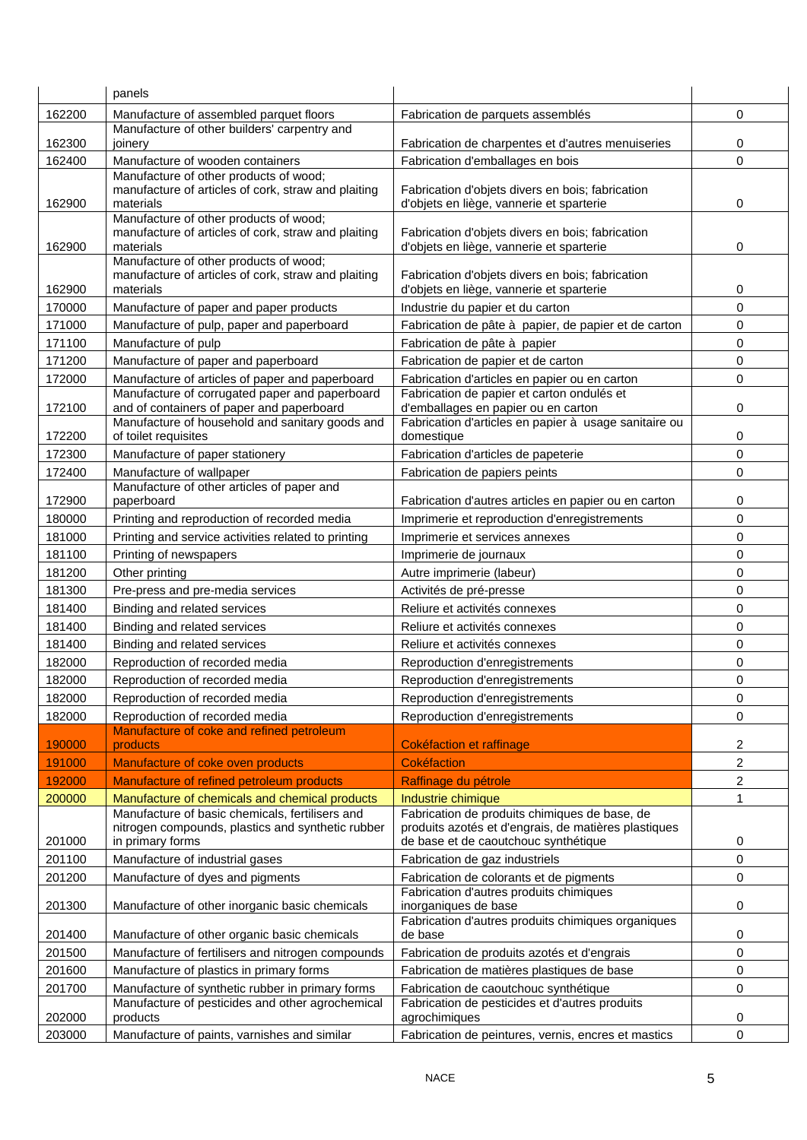|        | panels                                                                                               |                                                                                                       |                |
|--------|------------------------------------------------------------------------------------------------------|-------------------------------------------------------------------------------------------------------|----------------|
| 162200 | Manufacture of assembled parquet floors                                                              | Fabrication de parquets assemblés                                                                     | 0              |
|        | Manufacture of other builders' carpentry and                                                         |                                                                                                       |                |
| 162300 | joinery                                                                                              | Fabrication de charpentes et d'autres menuiseries                                                     | 0              |
| 162400 | Manufacture of wooden containers                                                                     | Fabrication d'emballages en bois                                                                      | $\mathbf 0$    |
|        | Manufacture of other products of wood;<br>manufacture of articles of cork, straw and plaiting        | Fabrication d'objets divers en bois; fabrication                                                      |                |
| 162900 | materials                                                                                            | d'objets en liège, vannerie et sparterie                                                              | 0              |
|        | Manufacture of other products of wood;                                                               |                                                                                                       |                |
|        | manufacture of articles of cork, straw and plaiting                                                  | Fabrication d'objets divers en bois; fabrication                                                      |                |
| 162900 | materials<br>Manufacture of other products of wood;                                                  | d'objets en liège, vannerie et sparterie                                                              | 0              |
|        | manufacture of articles of cork, straw and plaiting                                                  | Fabrication d'objets divers en bois; fabrication                                                      |                |
| 162900 | materials                                                                                            | d'objets en liège, vannerie et sparterie                                                              | 0              |
| 170000 | Manufacture of paper and paper products                                                              | Industrie du papier et du carton                                                                      | 0              |
| 171000 | Manufacture of pulp, paper and paperboard                                                            | Fabrication de pâte à papier, de papier et de carton                                                  | 0              |
| 171100 | Manufacture of pulp                                                                                  | Fabrication de pâte à papier                                                                          | 0              |
| 171200 | Manufacture of paper and paperboard                                                                  | Fabrication de papier et de carton                                                                    | 0              |
| 172000 | Manufacture of articles of paper and paperboard                                                      | Fabrication d'articles en papier ou en carton                                                         | $\mathbf 0$    |
|        | Manufacture of corrugated paper and paperboard                                                       | Fabrication de papier et carton ondulés et                                                            |                |
| 172100 | and of containers of paper and paperboard<br>Manufacture of household and sanitary goods and         | d'emballages en papier ou en carton<br>Fabrication d'articles en papier à usage sanitaire ou          | $\pmb{0}$      |
| 172200 | of toilet requisites                                                                                 | domestique                                                                                            | 0              |
| 172300 | Manufacture of paper stationery                                                                      | Fabrication d'articles de papeterie                                                                   | 0              |
| 172400 | Manufacture of wallpaper                                                                             | Fabrication de papiers peints                                                                         | $\mathbf 0$    |
| 172900 | Manufacture of other articles of paper and<br>paperboard                                             | Fabrication d'autres articles en papier ou en carton                                                  | 0              |
| 180000 | Printing and reproduction of recorded media                                                          | Imprimerie et reproduction d'enregistrements                                                          | 0              |
| 181000 | Printing and service activities related to printing                                                  | Imprimerie et services annexes                                                                        | 0              |
| 181100 | Printing of newspapers                                                                               | Imprimerie de journaux                                                                                | 0              |
| 181200 | Other printing                                                                                       | Autre imprimerie (labeur)                                                                             | $\pmb{0}$      |
| 181300 | Pre-press and pre-media services                                                                     | Activités de pré-presse                                                                               | 0              |
| 181400 | Binding and related services                                                                         | Reliure et activités connexes                                                                         | 0              |
| 181400 | Binding and related services                                                                         | Reliure et activités connexes                                                                         | 0              |
| 181400 | Binding and related services                                                                         | Reliure et activités connexes                                                                         | $\mathbf 0$    |
| 182000 | Reproduction of recorded media                                                                       | Reproduction d'enregistrements                                                                        | 0              |
| 182000 | Reproduction of recorded media                                                                       | Reproduction d'enregistrements                                                                        | 0              |
| 182000 | Reproduction of recorded media                                                                       | Reproduction d'enregistrements                                                                        | 0              |
| 182000 | Reproduction of recorded media                                                                       | Reproduction d'enregistrements                                                                        | 0              |
|        | Manufacture of coke and refined petroleum                                                            |                                                                                                       |                |
| 190000 | products                                                                                             | Cokéfaction et raffinage                                                                              | $\overline{c}$ |
| 191000 | Manufacture of coke oven products                                                                    | <b>Cokéfaction</b>                                                                                    | 2              |
| 192000 | Manufacture of refined petroleum products                                                            | Raffinage du pétrole                                                                                  | $\overline{c}$ |
| 200000 | Manufacture of chemicals and chemical products                                                       | Industrie chimique                                                                                    | 1              |
|        | Manufacture of basic chemicals, fertilisers and<br>nitrogen compounds, plastics and synthetic rubber | Fabrication de produits chimiques de base, de<br>produits azotés et d'engrais, de matières plastiques |                |
| 201000 | in primary forms                                                                                     | de base et de caoutchouc synthétique                                                                  | 0              |
| 201100 | Manufacture of industrial gases                                                                      | Fabrication de gaz industriels                                                                        | 0              |
| 201200 | Manufacture of dyes and pigments                                                                     | Fabrication de colorants et de pigments                                                               | 0              |
| 201300 | Manufacture of other inorganic basic chemicals                                                       | Fabrication d'autres produits chimiques<br>inorganiques de base                                       | 0              |
| 201400 | Manufacture of other organic basic chemicals                                                         | Fabrication d'autres produits chimiques organiques<br>de base                                         | 0              |
| 201500 | Manufacture of fertilisers and nitrogen compounds                                                    | Fabrication de produits azotés et d'engrais                                                           | $\pmb{0}$      |
| 201600 |                                                                                                      |                                                                                                       | 0              |
| 201700 | Manufacture of plastics in primary forms                                                             | Fabrication de matières plastiques de base                                                            | 0              |
|        | Manufacture of synthetic rubber in primary forms<br>Manufacture of pesticides and other agrochemical | Fabrication de caoutchouc synthétique<br>Fabrication de pesticides et d'autres produits               |                |
| 202000 | products                                                                                             | agrochimiques                                                                                         | 0              |
| 203000 | Manufacture of paints, varnishes and similar                                                         | Fabrication de peintures, vernis, encres et mastics                                                   | $\pmb{0}$      |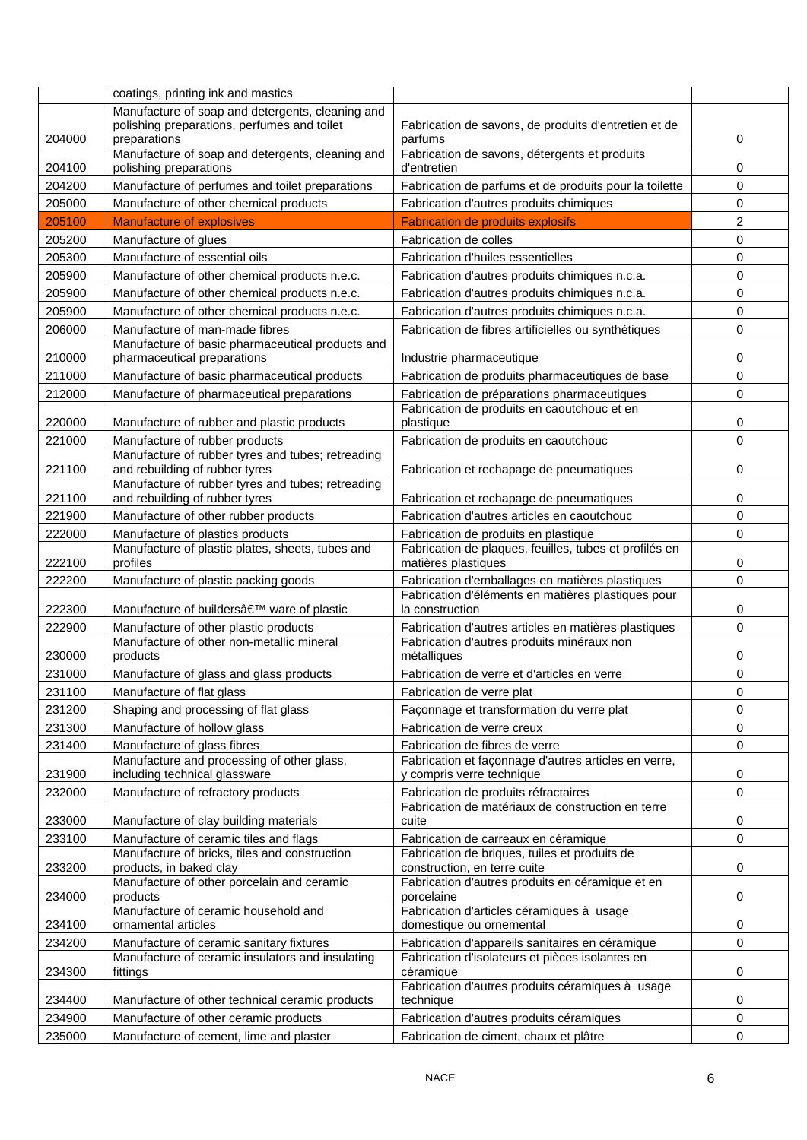|        | coatings, printing ink and mastics                                                                              |                                                                                   |          |
|--------|-----------------------------------------------------------------------------------------------------------------|-----------------------------------------------------------------------------------|----------|
| 204000 | Manufacture of soap and detergents, cleaning and<br>polishing preparations, perfumes and toilet<br>preparations | Fabrication de savons, de produits d'entretien et de<br>parfums                   | 0        |
| 204100 | Manufacture of soap and detergents, cleaning and<br>polishing preparations                                      | Fabrication de savons, détergents et produits<br>d'entretien                      | 0        |
| 204200 | Manufacture of perfumes and toilet preparations                                                                 | Fabrication de parfums et de produits pour la toilette                            | 0        |
| 205000 | Manufacture of other chemical products                                                                          | Fabrication d'autres produits chimiques                                           | 0        |
| 205100 | <b>Manufacture of explosives</b>                                                                                | <b>Fabrication de produits explosifs</b>                                          | 2        |
| 205200 | Manufacture of glues                                                                                            | Fabrication de colles                                                             | 0        |
| 205300 | Manufacture of essential oils                                                                                   | Fabrication d'huiles essentielles                                                 | 0        |
| 205900 | Manufacture of other chemical products n.e.c.                                                                   | Fabrication d'autres produits chimiques n.c.a.                                    | 0        |
| 205900 | Manufacture of other chemical products n.e.c.                                                                   | Fabrication d'autres produits chimiques n.c.a.                                    | 0        |
| 205900 | Manufacture of other chemical products n.e.c.                                                                   | Fabrication d'autres produits chimiques n.c.a.                                    | 0        |
| 206000 | Manufacture of man-made fibres                                                                                  | Fabrication de fibres artificielles ou synthétiques                               | 0        |
| 210000 | Manufacture of basic pharmaceutical products and<br>pharmaceutical preparations                                 | Industrie pharmaceutique                                                          | 0        |
| 211000 | Manufacture of basic pharmaceutical products                                                                    | Fabrication de produits pharmaceutiques de base                                   | 0        |
| 212000 | Manufacture of pharmaceutical preparations                                                                      | Fabrication de préparations pharmaceutiques                                       | 0        |
| 220000 | Manufacture of rubber and plastic products                                                                      | Fabrication de produits en caoutchouc et en<br>plastique                          | 0        |
| 221000 | Manufacture of rubber products                                                                                  | Fabrication de produits en caoutchouc                                             | $\Omega$ |
| 221100 | Manufacture of rubber tyres and tubes; retreading<br>and rebuilding of rubber tyres                             | Fabrication et rechapage de pneumatiques                                          | 0        |
| 221100 | Manufacture of rubber tyres and tubes; retreading<br>and rebuilding of rubber tyres                             | Fabrication et rechapage de pneumatiques                                          | 0        |
| 221900 | Manufacture of other rubber products                                                                            | Fabrication d'autres articles en caoutchouc                                       | 0        |
| 222000 | Manufacture of plastics products                                                                                | Fabrication de produits en plastique                                              | 0        |
| 222100 | Manufacture of plastic plates, sheets, tubes and<br>profiles                                                    | Fabrication de plaques, feuilles, tubes et profilés en<br>matières plastiques     | 0        |
| 222200 | Manufacture of plastic packing goods                                                                            | Fabrication d'emballages en matières plastiques                                   | 0        |
| 222300 | Manufacture of builders' ware of plastic                                                                        | Fabrication d'éléments en matières plastiques pour<br>la construction             | 0        |
| 222900 | Manufacture of other plastic products                                                                           | Fabrication d'autres articles en matières plastiques                              | 0        |
| 230000 | Manufacture of other non-metallic mineral<br>products                                                           | Fabrication d'autres produits minéraux non<br>métalliques                         | 0        |
| 231000 | Manufacture of glass and glass products                                                                         | Fabrication de verre et d'articles en verre                                       | 0        |
| 231100 | Manufacture of flat glass                                                                                       | Fabrication de verre plat                                                         | 0        |
| 231200 | Shaping and processing of flat glass                                                                            | Façonnage et transformation du verre plat                                         | 0        |
| 231300 | Manufacture of hollow glass                                                                                     | Fabrication de verre creux                                                        | 0        |
| 231400 | Manufacture of glass fibres                                                                                     | Fabrication de fibres de verre                                                    | 0        |
| 231900 | Manufacture and processing of other glass,<br>including technical glassware                                     | Fabrication et façonnage d'autres articles en verre,<br>y compris verre technique | 0        |
| 232000 | Manufacture of refractory products                                                                              | Fabrication de produits réfractaires                                              | 0        |
| 233000 | Manufacture of clay building materials                                                                          | Fabrication de matériaux de construction en terre<br>cuite                        | 0        |
| 233100 | Manufacture of ceramic tiles and flags                                                                          | Fabrication de carreaux en céramique                                              | 0        |
| 233200 | Manufacture of bricks, tiles and construction<br>products, in baked clay                                        | Fabrication de briques, tuiles et produits de<br>construction, en terre cuite     | 0        |
| 234000 | Manufacture of other porcelain and ceramic<br>products                                                          | Fabrication d'autres produits en céramique et en<br>porcelaine                    | 0        |
| 234100 | Manufacture of ceramic household and<br>ornamental articles                                                     | Fabrication d'articles céramiques à usage<br>domestique ou ornemental             | 0        |
| 234200 | Manufacture of ceramic sanitary fixtures                                                                        | Fabrication d'appareils sanitaires en céramique                                   | 0        |
| 234300 | Manufacture of ceramic insulators and insulating<br>fittings                                                    | Fabrication d'isolateurs et pièces isolantes en<br>céramique                      | 0        |
| 234400 | Manufacture of other technical ceramic products                                                                 | Fabrication d'autres produits céramiques à usage<br>technique                     | 0        |
| 234900 | Manufacture of other ceramic products                                                                           | Fabrication d'autres produits céramiques                                          | 0        |
| 235000 | Manufacture of cement, lime and plaster                                                                         | Fabrication de ciment, chaux et plâtre                                            | 0        |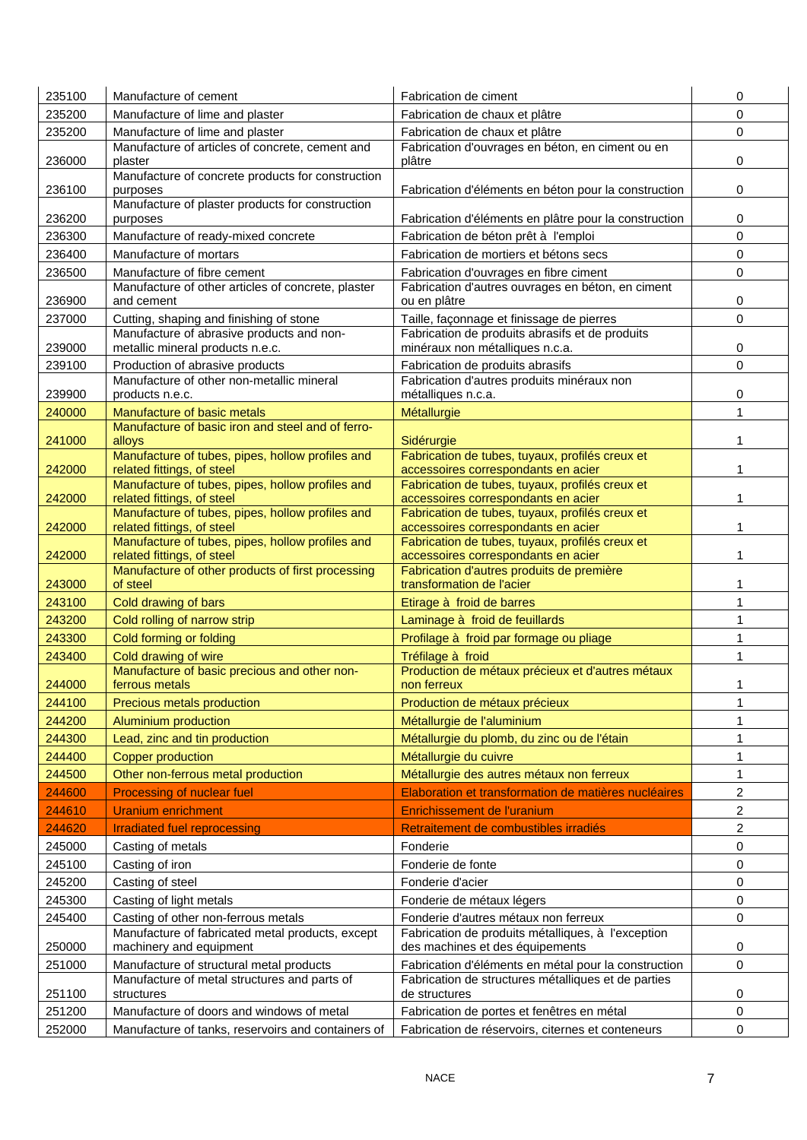| 235100 | Manufacture of cement                                                          | Fabrication de ciment                                                                  | 0              |
|--------|--------------------------------------------------------------------------------|----------------------------------------------------------------------------------------|----------------|
| 235200 | Manufacture of lime and plaster                                                | Fabrication de chaux et plâtre                                                         | 0              |
| 235200 | Manufacture of lime and plaster                                                | Fabrication de chaux et plâtre                                                         | 0              |
|        | Manufacture of articles of concrete, cement and                                | Fabrication d'ouvrages en béton, en ciment ou en                                       |                |
| 236000 | plaster<br>Manufacture of concrete products for construction                   | plâtre                                                                                 | 0              |
| 236100 | purposes                                                                       | Fabrication d'éléments en béton pour la construction                                   | 0              |
| 236200 | Manufacture of plaster products for construction<br>purposes                   | Fabrication d'éléments en plâtre pour la construction                                  | 0              |
| 236300 | Manufacture of ready-mixed concrete                                            | Fabrication de béton prêt à l'emploi                                                   | 0              |
| 236400 | Manufacture of mortars                                                         | Fabrication de mortiers et bétons secs                                                 | 0              |
| 236500 | Manufacture of fibre cement                                                    | Fabrication d'ouvrages en fibre ciment                                                 | 0              |
| 236900 | Manufacture of other articles of concrete, plaster<br>and cement               | Fabrication d'autres ouvrages en béton, en ciment<br>ou en plâtre                      | 0              |
| 237000 | Cutting, shaping and finishing of stone                                        | Taille, façonnage et finissage de pierres                                              | 0              |
|        | Manufacture of abrasive products and non-                                      | Fabrication de produits abrasifs et de produits                                        |                |
| 239000 | metallic mineral products n.e.c.                                               | minéraux non métalliques n.c.a.                                                        | 0              |
| 239100 | Production of abrasive products                                                | Fabrication de produits abrasifs                                                       | 0              |
|        | Manufacture of other non-metallic mineral                                      | Fabrication d'autres produits minéraux non                                             |                |
| 239900 | products n.e.c.                                                                | métalliques n.c.a.                                                                     | 0              |
| 240000 | Manufacture of basic metals                                                    | Métallurgie                                                                            | $\mathbf{1}$   |
| 241000 | Manufacture of basic iron and steel and of ferro-<br>alloys                    | Sidérurgie                                                                             | 1              |
|        | Manufacture of tubes, pipes, hollow profiles and                               | Fabrication de tubes, tuyaux, profilés creux et                                        |                |
| 242000 | related fittings, of steel<br>Manufacture of tubes, pipes, hollow profiles and | accessoires correspondants en acier<br>Fabrication de tubes, tuyaux, profilés creux et | 1              |
| 242000 | related fittings, of steel                                                     | accessoires correspondants en acier                                                    |                |
| 242000 | Manufacture of tubes, pipes, hollow profiles and<br>related fittings, of steel | Fabrication de tubes, tuyaux, profilés creux et<br>accessoires correspondants en acier | 1              |
|        | Manufacture of tubes, pipes, hollow profiles and                               | Fabrication de tubes, tuyaux, profilés creux et                                        |                |
| 242000 | related fittings, of steel                                                     | accessoires correspondants en acier                                                    |                |
| 243000 | Manufacture of other products of first processing<br>of steel                  | Fabrication d'autres produits de première<br>transformation de l'acier                 | 1              |
| 243100 | Cold drawing of bars                                                           | Etirage à froid de barres                                                              | 1              |
| 243200 | Cold rolling of narrow strip                                                   | Laminage à froid de feuillards                                                         | $\mathbf{1}$   |
| 243300 | Cold forming or folding                                                        | Profilage à froid par formage ou pliage                                                | 1              |
| 243400 | Cold drawing of wire                                                           | Tréfilage à froid                                                                      | 1              |
|        | Manufacture of basic precious and other non-                                   | Production de métaux précieux et d'autres métaux                                       |                |
| 244000 | ferrous metals                                                                 | non ferreux                                                                            | 1              |
| 244100 | Precious metals production                                                     | Production de métaux précieux                                                          | 1              |
| 244200 | Aluminium production                                                           | Métallurgie de l'aluminium                                                             | 1              |
| 244300 | Lead, zinc and tin production                                                  | Métallurgie du plomb, du zinc ou de l'étain                                            | 1              |
| 244400 | <b>Copper production</b>                                                       | Métallurgie du cuivre                                                                  | 1              |
| 244500 | Other non-ferrous metal production                                             | Métallurgie des autres métaux non ferreux                                              | $\mathbf{1}$   |
| 244600 | Processing of nuclear fuel                                                     | Elaboration et transformation de matières nucléaires                                   | 2              |
| 244610 | <b>Uranium enrichment</b>                                                      | Enrichissement de l'uranium                                                            | $\overline{c}$ |
| 244620 | <b>Irradiated fuel reprocessing</b>                                            | Retraitement de combustibles irradiés                                                  | 2              |
| 245000 | Casting of metals                                                              | Fonderie                                                                               | $\mathbf 0$    |
| 245100 | Casting of iron                                                                | Fonderie de fonte                                                                      | 0              |
| 245200 | Casting of steel                                                               | Fonderie d'acier                                                                       | 0              |
| 245300 | Casting of light metals                                                        | Fonderie de métaux légers                                                              | 0              |
| 245400 | Casting of other non-ferrous metals                                            | Fonderie d'autres métaux non ferreux                                                   | 0              |
|        | Manufacture of fabricated metal products, except                               | Fabrication de produits métalliques, à l'exception                                     |                |
| 250000 | machinery and equipment                                                        | des machines et des équipements                                                        | 0              |
| 251000 | Manufacture of structural metal products                                       | Fabrication d'éléments en métal pour la construction                                   | 0              |
| 251100 | Manufacture of metal structures and parts of<br>structures                     | Fabrication de structures métalliques et de parties<br>de structures                   | 0              |
| 251200 | Manufacture of doors and windows of metal                                      | Fabrication de portes et fenêtres en métal                                             | 0              |
| 252000 | Manufacture of tanks, reservoirs and containers of                             | Fabrication de réservoirs, citernes et conteneurs                                      | 0              |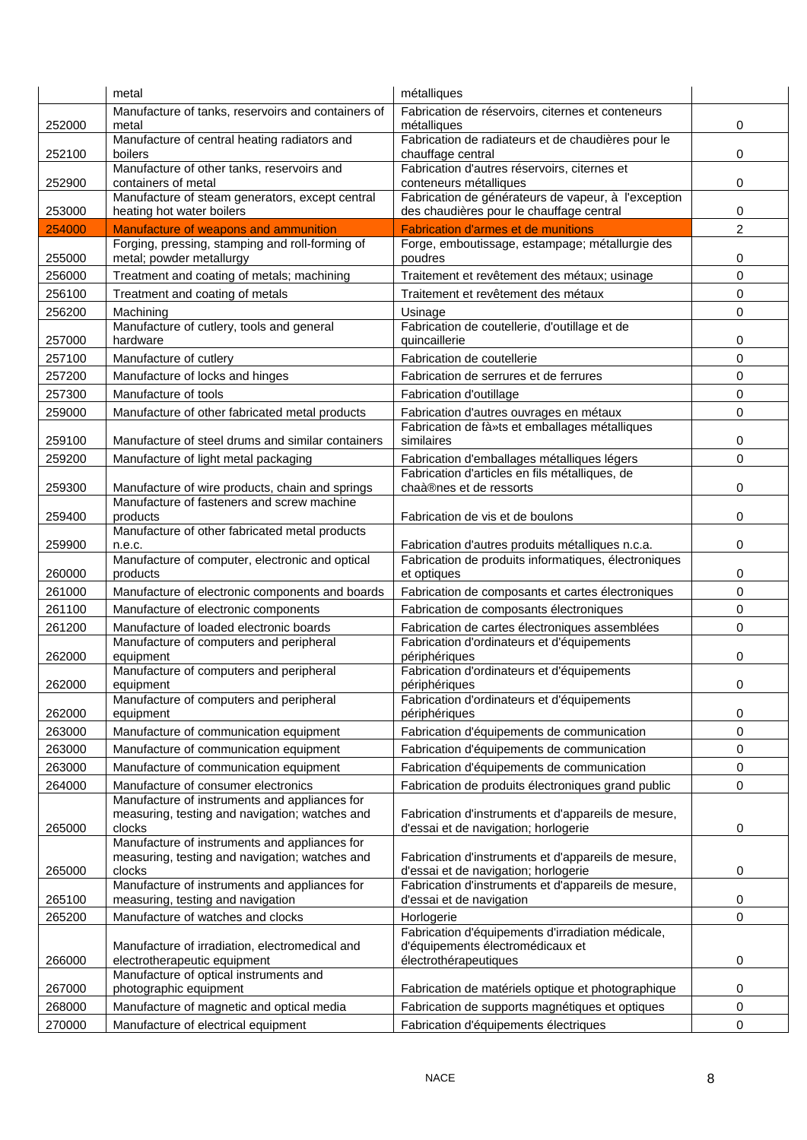|                  | metal                                                                                               | métalliques                                                                                                    |        |
|------------------|-----------------------------------------------------------------------------------------------------|----------------------------------------------------------------------------------------------------------------|--------|
| 252000           | Manufacture of tanks, reservoirs and containers of<br>metal                                         | Fabrication de réservoirs, citernes et conteneurs<br>métalliques                                               | 0      |
| 252100           | Manufacture of central heating radiators and<br>boilers                                             | Fabrication de radiateurs et de chaudières pour le<br>chauffage central                                        | 0      |
| 252900           | Manufacture of other tanks, reservoirs and<br>containers of metal                                   | Fabrication d'autres réservoirs, citernes et<br>conteneurs métalliques                                         | 0      |
|                  | Manufacture of steam generators, except central                                                     | Fabrication de générateurs de vapeur, à l'exception                                                            |        |
| 253000<br>254000 | heating hot water boilers<br>Manufacture of weapons and ammunition                                  | des chaudières pour le chauffage central<br><b>Fabrication d'armes et de munitions</b>                         | 0<br>2 |
|                  | Forging, pressing, stamping and roll-forming of                                                     | Forge, emboutissage, estampage; métallurgie des                                                                |        |
| 255000           | metal; powder metallurgy                                                                            | poudres                                                                                                        | 0      |
| 256000           | Treatment and coating of metals; machining                                                          | Traitement et revêtement des métaux; usinage                                                                   | 0      |
| 256100           | Treatment and coating of metals                                                                     | Traitement et revêtement des métaux                                                                            | 0      |
| 256200           | Machining                                                                                           | Usinage                                                                                                        | 0      |
| 257000           | Manufacture of cutlery, tools and general<br>hardware                                               | Fabrication de coutellerie, d'outillage et de                                                                  | 0      |
| 257100           | Manufacture of cutlery                                                                              | quincaillerie<br>Fabrication de coutellerie                                                                    | 0      |
|                  | Manufacture of locks and hinges                                                                     |                                                                                                                | 0      |
| 257200           |                                                                                                     | Fabrication de serrures et de ferrures                                                                         |        |
| 257300           | Manufacture of tools                                                                                | Fabrication d'outillage                                                                                        | 0      |
| 259000<br>259100 | Manufacture of other fabricated metal products<br>Manufacture of steel drums and similar containers | Fabrication d'autres ouvrages en métaux<br>Fabrication de fà»ts et emballages métalliques<br>similaires        | 0<br>0 |
|                  |                                                                                                     |                                                                                                                | 0      |
| 259200           | Manufacture of light metal packaging                                                                | Fabrication d'emballages métalliques légers<br>Fabrication d'articles en fils métalliques, de                  |        |
| 259300           | Manufacture of wire products, chain and springs                                                     | chaà®nes et de ressorts                                                                                        | 0      |
| 259400           | Manufacture of fasteners and screw machine<br>products                                              | Fabrication de vis et de boulons                                                                               | 0      |
| 259900           | Manufacture of other fabricated metal products<br>n.e.c.                                            | Fabrication d'autres produits métalliques n.c.a.                                                               | 0      |
| 260000           | Manufacture of computer, electronic and optical<br>products                                         | Fabrication de produits informatiques, électroniques<br>et optiques                                            | 0      |
| 261000           | Manufacture of electronic components and boards                                                     | Fabrication de composants et cartes électroniques                                                              | 0      |
| 261100           | Manufacture of electronic components                                                                | Fabrication de composants électroniques                                                                        | 0      |
| 261200           | Manufacture of loaded electronic boards                                                             | Fabrication de cartes électroniques assemblées                                                                 | 0      |
| 262000           | Manufacture of computers and peripheral<br>equipment                                                | Fabrication d'ordinateurs et d'équipements<br>périphériques                                                    | 0      |
| 262000           | Manufacture of computers and peripheral<br>equipment                                                | Fabrication d'ordinateurs et d'équipements<br>périphériques                                                    | 0      |
| 262000           | Manufacture of computers and peripheral<br>equipment                                                | Fabrication d'ordinateurs et d'équipements<br>périphériques                                                    | 0      |
| 263000           | Manufacture of communication equipment                                                              | Fabrication d'équipements de communication                                                                     | 0      |
| 263000           | Manufacture of communication equipment                                                              | Fabrication d'équipements de communication                                                                     | 0      |
| 263000           | Manufacture of communication equipment                                                              | Fabrication d'équipements de communication                                                                     | 0      |
| 264000           | Manufacture of consumer electronics                                                                 | Fabrication de produits électroniques grand public                                                             | 0      |
|                  | Manufacture of instruments and appliances for<br>measuring, testing and navigation; watches and     | Fabrication d'instruments et d'appareils de mesure,                                                            |        |
| 265000           | clocks                                                                                              | d'essai et de navigation; horlogerie                                                                           | 0      |
|                  | Manufacture of instruments and appliances for<br>measuring, testing and navigation; watches and     | Fabrication d'instruments et d'appareils de mesure,                                                            |        |
| 265000           | clocks<br>Manufacture of instruments and appliances for                                             | d'essai et de navigation; horlogerie<br>Fabrication d'instruments et d'appareils de mesure,                    | 0      |
| 265100           | measuring, testing and navigation                                                                   | d'essai et de navigation                                                                                       | 0      |
| 265200           | Manufacture of watches and clocks                                                                   | Horlogerie                                                                                                     | 0      |
| 266000           | Manufacture of irradiation, electromedical and<br>electrotherapeutic equipment                      | Fabrication d'équipements d'irradiation médicale,<br>d'équipements électromédicaux et<br>électrothérapeutiques | 0      |
| 267000           | Manufacture of optical instruments and<br>photographic equipment                                    | Fabrication de matériels optique et photographique                                                             | 0      |
| 268000           | Manufacture of magnetic and optical media                                                           | Fabrication de supports magnétiques et optiques                                                                | 0      |
| 270000           | Manufacture of electrical equipment                                                                 | Fabrication d'équipements électriques                                                                          | 0      |
|                  |                                                                                                     |                                                                                                                |        |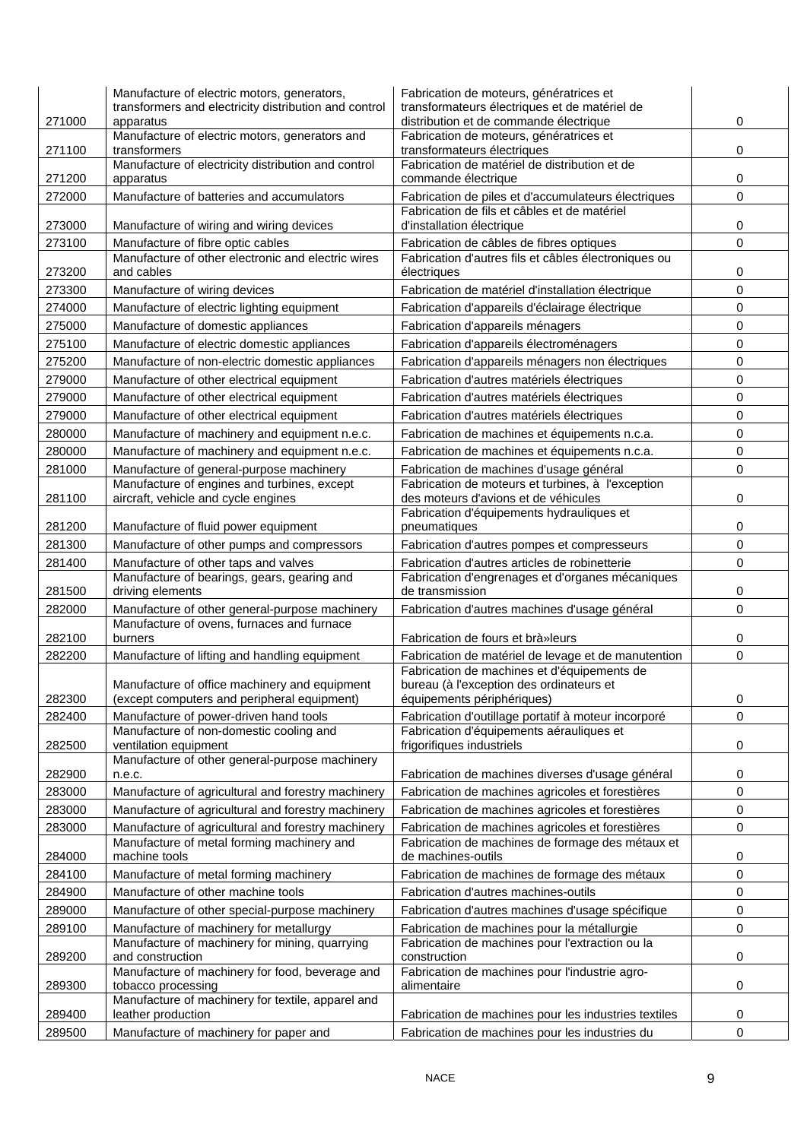| 271000           | Manufacture of electric motors, generators,<br>transformers and electricity distribution and control<br>apparatus | Fabrication de moteurs, génératrices et<br>transformateurs électriques et de matériel de<br>distribution et de commande électrique | 0                        |
|------------------|-------------------------------------------------------------------------------------------------------------------|------------------------------------------------------------------------------------------------------------------------------------|--------------------------|
| 271100           | Manufacture of electric motors, generators and<br>transformers                                                    | Fabrication de moteurs, génératrices et<br>transformateurs électriques                                                             | 0                        |
| 271200           | Manufacture of electricity distribution and control<br>apparatus                                                  | Fabrication de matériel de distribution et de<br>commande électrique                                                               | 0                        |
| 272000           | Manufacture of batteries and accumulators                                                                         | Fabrication de piles et d'accumulateurs électriques                                                                                | 0                        |
| 273000           | Manufacture of wiring and wiring devices                                                                          | Fabrication de fils et câbles et de matériel<br>d'installation électrique                                                          | 0                        |
| 273100           | Manufacture of fibre optic cables                                                                                 | Fabrication de câbles de fibres optiques                                                                                           | $\mathbf 0$              |
| 273200           | Manufacture of other electronic and electric wires<br>and cables                                                  | Fabrication d'autres fils et câbles électroniques ou<br>électriques                                                                | 0                        |
| 273300           | Manufacture of wiring devices                                                                                     | Fabrication de matériel d'installation électrique                                                                                  | 0                        |
| 274000           | Manufacture of electric lighting equipment                                                                        | Fabrication d'appareils d'éclairage électrique                                                                                     | 0                        |
| 275000           | Manufacture of domestic appliances                                                                                | Fabrication d'appareils ménagers                                                                                                   | 0                        |
| 275100           | Manufacture of electric domestic appliances                                                                       | Fabrication d'appareils électroménagers                                                                                            | 0                        |
| 275200           | Manufacture of non-electric domestic appliances                                                                   | Fabrication d'appareils ménagers non électriques                                                                                   | $\mathbf 0$              |
| 279000           | Manufacture of other electrical equipment                                                                         | Fabrication d'autres matériels électriques                                                                                         | 0                        |
| 279000           | Manufacture of other electrical equipment                                                                         | Fabrication d'autres matériels électriques                                                                                         | 0                        |
| 279000           | Manufacture of other electrical equipment                                                                         | Fabrication d'autres matériels électriques                                                                                         | 0                        |
| 280000           | Manufacture of machinery and equipment n.e.c.                                                                     | Fabrication de machines et équipements n.c.a.                                                                                      | 0                        |
| 280000           | Manufacture of machinery and equipment n.e.c.                                                                     | Fabrication de machines et équipements n.c.a.                                                                                      | 0                        |
| 281000           | Manufacture of general-purpose machinery                                                                          | Fabrication de machines d'usage général                                                                                            | 0                        |
| 281100           | Manufacture of engines and turbines, except<br>aircraft, vehicle and cycle engines                                | Fabrication de moteurs et turbines, à l'exception<br>des moteurs d'avions et de véhicules                                          | 0                        |
|                  |                                                                                                                   | Fabrication d'équipements hydrauliques et                                                                                          |                          |
| 281200           | Manufacture of fluid power equipment                                                                              | pneumatiques                                                                                                                       | 0<br>$\mathsf{O}\xspace$ |
| 281300<br>281400 | Manufacture of other pumps and compressors<br>Manufacture of other taps and valves                                | Fabrication d'autres pompes et compresseurs<br>Fabrication d'autres articles de robinetterie                                       | 0                        |
|                  | Manufacture of bearings, gears, gearing and                                                                       | Fabrication d'engrenages et d'organes mécaniques                                                                                   |                          |
| 281500           | driving elements                                                                                                  | de transmission                                                                                                                    | 0                        |
| 282000           | Manufacture of other general-purpose machinery                                                                    | Fabrication d'autres machines d'usage général                                                                                      | 0                        |
| 282100           | Manufacture of ovens, furnaces and furnace<br>burners                                                             | Fabrication de fours et brà»leurs                                                                                                  | 0                        |
| 282200           | Manufacture of lifting and handling equipment                                                                     | Fabrication de matériel de levage et de manutention                                                                                | 0                        |
| 282300           | Manufacture of office machinery and equipment<br>(except computers and peripheral equipment)                      | Fabrication de machines et d'équipements de<br>bureau (à l'exception des ordinateurs et<br>équipements périphériques)              | 0                        |
| 282400           | Manufacture of power-driven hand tools                                                                            | Fabrication d'outillage portatif à moteur incorporé                                                                                | 0                        |
| 282500           | Manufacture of non-domestic cooling and<br>ventilation equipment                                                  | Fabrication d'équipements aérauliques et<br>frigorifiques industriels                                                              | 0                        |
| 282900           | Manufacture of other general-purpose machinery<br>n.e.c.                                                          | Fabrication de machines diverses d'usage général                                                                                   | 0                        |
| 283000           | Manufacture of agricultural and forestry machinery                                                                | Fabrication de machines agricoles et forestières                                                                                   | 0                        |
| 283000           | Manufacture of agricultural and forestry machinery                                                                | Fabrication de machines agricoles et forestières                                                                                   | 0                        |
| 283000           | Manufacture of agricultural and forestry machinery                                                                | Fabrication de machines agricoles et forestières                                                                                   | 0                        |
| 284000           | Manufacture of metal forming machinery and<br>machine tools                                                       | Fabrication de machines de formage des métaux et<br>de machines-outils                                                             | 0                        |
| 284100           | Manufacture of metal forming machinery                                                                            | Fabrication de machines de formage des métaux                                                                                      | 0                        |
| 284900           | Manufacture of other machine tools                                                                                | Fabrication d'autres machines-outils                                                                                               | 0                        |
| 289000           | Manufacture of other special-purpose machinery                                                                    | Fabrication d'autres machines d'usage spécifique                                                                                   | 0                        |
| 289100           | Manufacture of machinery for metallurgy                                                                           | Fabrication de machines pour la métallurgie                                                                                        | 0                        |
| 289200           | Manufacture of machinery for mining, quarrying<br>and construction                                                | Fabrication de machines pour l'extraction ou la<br>construction                                                                    | 0                        |
| 289300           | Manufacture of machinery for food, beverage and<br>tobacco processing                                             | Fabrication de machines pour l'industrie agro-<br>alimentaire                                                                      | 0                        |
| 289400           | Manufacture of machinery for textile, apparel and<br>leather production                                           | Fabrication de machines pour les industries textiles                                                                               | 0                        |
| 289500           | Manufacture of machinery for paper and                                                                            | Fabrication de machines pour les industries du                                                                                     | 0                        |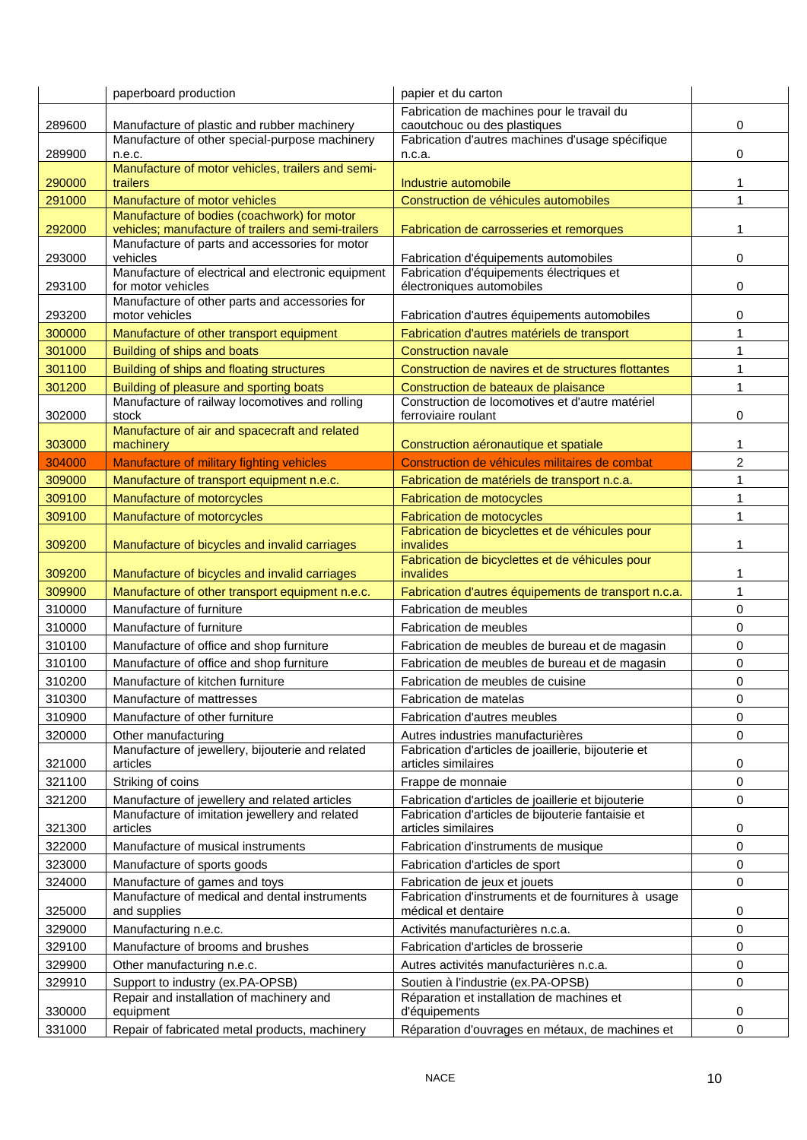|        | paperboard production                                                | papier et du carton                                                        |                |
|--------|----------------------------------------------------------------------|----------------------------------------------------------------------------|----------------|
|        |                                                                      | Fabrication de machines pour le travail du                                 |                |
| 289600 | Manufacture of plastic and rubber machinery                          | caoutchouc ou des plastiques                                               | 0              |
| 289900 | Manufacture of other special-purpose machinery<br>n.e.c.             | Fabrication d'autres machines d'usage spécifique<br>n.c.a.                 | 0              |
| 290000 | Manufacture of motor vehicles, trailers and semi-<br>trailers        | Industrie automobile                                                       | 1              |
| 291000 | Manufacture of motor vehicles                                        | Construction de véhicules automobiles                                      | $\mathbf{1}$   |
|        | Manufacture of bodies (coachwork) for motor                          |                                                                            |                |
| 292000 | vehicles; manufacture of trailers and semi-trailers                  | Fabrication de carrosseries et remorques                                   | 1              |
| 293000 | Manufacture of parts and accessories for motor<br>vehicles           | Fabrication d'équipements automobiles                                      | 0              |
|        | Manufacture of electrical and electronic equipment                   | Fabrication d'équipements électriques et                                   |                |
| 293100 | for motor vehicles<br>Manufacture of other parts and accessories for | électroniques automobiles                                                  | 0              |
| 293200 | motor vehicles                                                       | Fabrication d'autres équipements automobiles                               | 0              |
| 300000 | Manufacture of other transport equipment                             | Fabrication d'autres matériels de transport                                | 1              |
| 301000 | Building of ships and boats                                          | <b>Construction navale</b>                                                 | 1              |
| 301100 | Building of ships and floating structures                            | Construction de navires et de structures flottantes                        | $\mathbf{1}$   |
| 301200 | Building of pleasure and sporting boats                              | Construction de bateaux de plaisance                                       | $\mathbf{1}$   |
|        | Manufacture of railway locomotives and rolling                       | Construction de locomotives et d'autre matériel                            |                |
| 302000 | stock<br>Manufacture of air and spacecraft and related               | ferroviaire roulant                                                        | 0              |
| 303000 | machinery                                                            | Construction aéronautique et spatiale                                      | 1              |
| 304000 | Manufacture of military fighting vehicles                            | Construction de véhicules militaires de combat                             | $\overline{c}$ |
| 309000 | Manufacture of transport equipment n.e.c.                            | Fabrication de matériels de transport n.c.a.                               | 1              |
| 309100 | Manufacture of motorcycles                                           | <b>Fabrication de motocycles</b>                                           | 1              |
| 309100 | Manufacture of motorcycles                                           | <b>Fabrication de motocycles</b>                                           | 1              |
| 309200 | Manufacture of bicycles and invalid carriages                        | Fabrication de bicyclettes et de véhicules pour<br>invalides               | 1              |
| 309200 | Manufacture of bicycles and invalid carriages                        | Fabrication de bicyclettes et de véhicules pour<br>invalides               | 1              |
| 309900 | Manufacture of other transport equipment n.e.c.                      | Fabrication d'autres équipements de transport n.c.a.                       | $\mathbf{1}$   |
| 310000 | Manufacture of furniture                                             | Fabrication de meubles                                                     | 0              |
| 310000 | Manufacture of furniture                                             | Fabrication de meubles                                                     | 0              |
| 310100 | Manufacture of office and shop furniture                             | Fabrication de meubles de bureau et de magasin                             | 0              |
| 310100 | Manufacture of office and shop furniture                             | Fabrication de meubles de bureau et de magasin                             | 0              |
| 310200 | Manufacture of kitchen furniture                                     | Fabrication de meubles de cuisine                                          | 0              |
| 310300 | Manufacture of mattresses                                            | Fabrication de matelas                                                     | 0              |
| 310900 | Manufacture of other furniture                                       | Fabrication d'autres meubles                                               | 0              |
| 320000 | Other manufacturing                                                  | Autres industries manufacturières                                          | 0              |
| 321000 | Manufacture of jewellery, bijouterie and related<br>articles         | Fabrication d'articles de joaillerie, bijouterie et<br>articles similaires | 0              |
| 321100 | Striking of coins                                                    | Frappe de monnaie                                                          | 0              |
| 321200 | Manufacture of jewellery and related articles                        | Fabrication d'articles de joaillerie et bijouterie                         | 0              |
| 321300 | Manufacture of imitation jewellery and related<br>articles           | Fabrication d'articles de bijouterie fantaisie et<br>articles similaires   | 0              |
| 322000 | Manufacture of musical instruments                                   | Fabrication d'instruments de musique                                       | 0              |
| 323000 | Manufacture of sports goods                                          | Fabrication d'articles de sport                                            | 0              |
| 324000 | Manufacture of games and toys                                        | Fabrication de jeux et jouets                                              | 0              |
| 325000 | Manufacture of medical and dental instruments<br>and supplies        | Fabrication d'instruments et de fournitures à usage<br>médical et dentaire | 0              |
| 329000 |                                                                      |                                                                            |                |
|        | Manufacturing n.e.c.                                                 | Activités manufacturières n.c.a.                                           | 0              |
| 329100 | Manufacture of brooms and brushes                                    | Fabrication d'articles de brosserie                                        | 0              |
| 329900 | Other manufacturing n.e.c.                                           | Autres activités manufacturières n.c.a.                                    | 0              |
| 329910 | Support to industry (ex.PA-OPSB)                                     | Soutien à l'industrie (ex.PA-OPSB)                                         | 0              |
| 330000 | Repair and installation of machinery and<br>equipment                | Réparation et installation de machines et<br>d'équipements                 | 0              |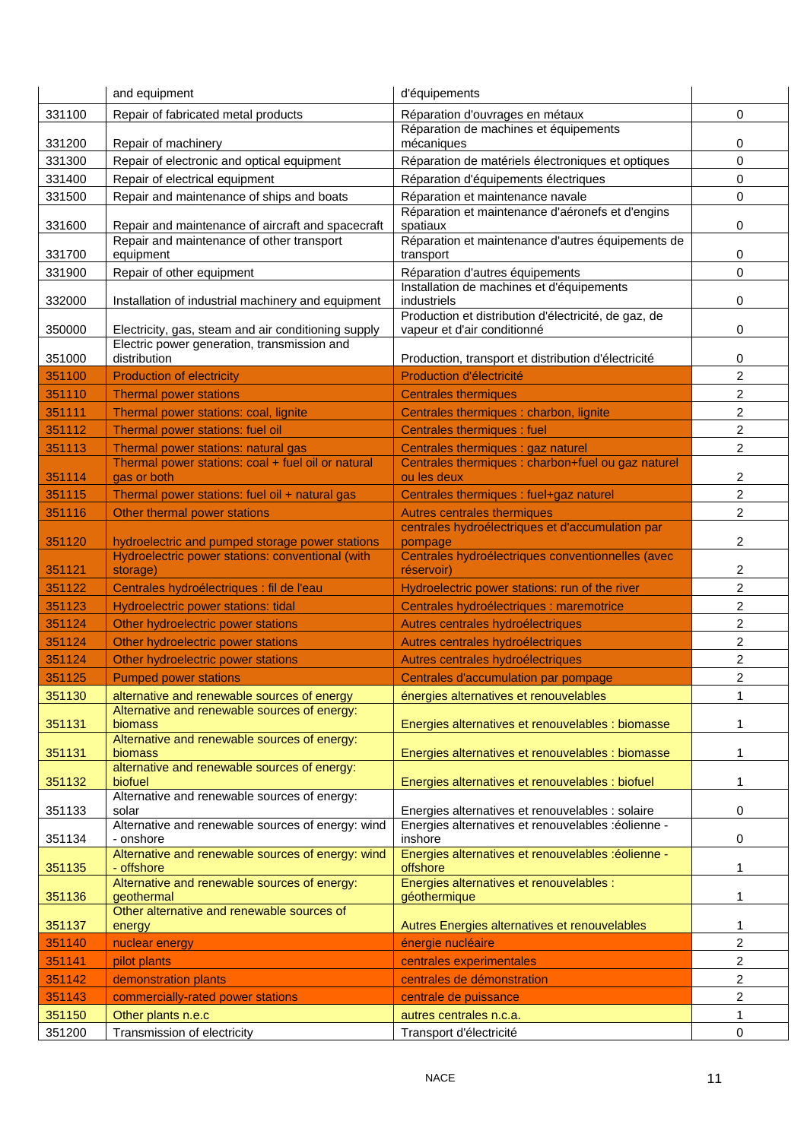|                  | and equipment                                                                               | d'équipements                                                                             |                  |
|------------------|---------------------------------------------------------------------------------------------|-------------------------------------------------------------------------------------------|------------------|
| 331100           | Repair of fabricated metal products                                                         | Réparation d'ouvrages en métaux                                                           | $\Omega$         |
|                  |                                                                                             | Réparation de machines et équipements                                                     |                  |
| 331200<br>331300 | Repair of machinery<br>Repair of electronic and optical equipment                           | mécaniques                                                                                | 0<br>$\mathbf 0$ |
| 331400           | Repair of electrical equipment                                                              | Réparation de matériels électroniques et optiques<br>Réparation d'équipements électriques | 0                |
| 331500           | Repair and maintenance of ships and boats                                                   | Réparation et maintenance navale                                                          | 0                |
|                  |                                                                                             | Réparation et maintenance d'aéronefs et d'engins                                          |                  |
| 331600           | Repair and maintenance of aircraft and spacecraft                                           | spatiaux                                                                                  | 0                |
|                  | Repair and maintenance of other transport                                                   | Réparation et maintenance d'autres équipements de                                         |                  |
| 331700           | equipment                                                                                   | transport                                                                                 | 0                |
| 331900           | Repair of other equipment                                                                   | Réparation d'autres équipements<br>Installation de machines et d'équipements              | 0                |
| 332000           | Installation of industrial machinery and equipment                                          | industriels                                                                               | 0                |
|                  |                                                                                             | Production et distribution d'électricité, de gaz, de                                      |                  |
| 350000           | Electricity, gas, steam and air conditioning supply                                         | vapeur et d'air conditionné                                                               | 0                |
| 351000           | Electric power generation, transmission and<br>distribution                                 | Production, transport et distribution d'électricité                                       | 0                |
| 351100           | <b>Production of electricity</b>                                                            | Production d'électricité                                                                  | $\overline{c}$   |
| 351110           | <b>Thermal power stations</b>                                                               | <b>Centrales thermiques</b>                                                               | 2                |
| 351111           | Thermal power stations: coal, lignite                                                       | Centrales thermiques : charbon, lignite                                                   | 2                |
| 351112           | Thermal power stations: fuel oil                                                            | Centrales thermiques : fuel                                                               | 2                |
| 351113           | Thermal power stations: natural gas                                                         | Centrales thermiques : gaz naturel                                                        | $\overline{c}$   |
|                  | Thermal power stations: coal + fuel oil or natural                                          | Centrales thermiques : charbon+fuel ou gaz naturel                                        |                  |
| 351114           | gas or both                                                                                 | ou les deux                                                                               | 2                |
| 351115           | Thermal power stations: fuel oil + natural gas                                              | Centrales thermiques : fuel+gaz naturel                                                   | 2                |
| 351116           | Other thermal power stations                                                                | Autres centrales thermiques                                                               | $\overline{2}$   |
| 351120           | hydroelectric and pumped storage power stations                                             | centrales hydroélectriques et d'accumulation par<br>pompage                               | 2                |
|                  | Hydroelectric power stations: conventional (with                                            | Centrales hydroélectriques conventionnelles (avec                                         |                  |
| 351121           | storage)                                                                                    | réservoir)                                                                                | 2                |
| 351122           | Centrales hydroélectriques : fil de l'eau                                                   | Hydroelectric power stations: run of the river                                            | $\overline{c}$   |
| 351123           | Hydroelectric power stations: tidal                                                         | Centrales hydroélectriques : maremotrice                                                  | $\overline{c}$   |
| 351124           | Other hydroelectric power stations                                                          | Autres centrales hydroélectriques                                                         | $\overline{c}$   |
| 351124           | Other hydroelectric power stations                                                          | Autres centrales hydroélectriques                                                         | 2                |
| 351124           | Other hydroelectric power stations                                                          | Autres centrales hydroélectriques                                                         | 2                |
| 351125           | <b>Pumped power stations</b>                                                                | Centrales d'accumulation par pompage                                                      | 2                |
| 351130           | alternative and renewable sources of energy<br>Alternative and renewable sources of energy: | énergies alternatives et renouvelables                                                    | 1                |
| 351131           | biomass                                                                                     | Energies alternatives et renouvelables : biomasse                                         | 1                |
|                  | Alternative and renewable sources of energy:                                                |                                                                                           |                  |
| 351131           | biomass                                                                                     | Energies alternatives et renouvelables : biomasse                                         | 1                |
| 351132           | alternative and renewable sources of energy:<br>biofuel                                     | Energies alternatives et renouvelables : biofuel                                          | 1                |
|                  | Alternative and renewable sources of energy:                                                |                                                                                           |                  |
| 351133           | solar                                                                                       | Energies alternatives et renouvelables : solaire                                          | 0                |
| 351134           | Alternative and renewable sources of energy: wind<br>- onshore                              | Energies alternatives et renouvelables :éolienne -<br>inshore                             | 0                |
|                  | Alternative and renewable sources of energy: wind                                           | Energies alternatives et renouvelables :éolienne -                                        |                  |
| 351135           | - offshore                                                                                  | offshore                                                                                  | 1                |
|                  | Alternative and renewable sources of energy:                                                | Energies alternatives et renouvelables :                                                  |                  |
| 351136           | geothermal<br>Other alternative and renewable sources of                                    | géothermique                                                                              | 1                |
| 351137           | energy                                                                                      | Autres Energies alternatives et renouvelables                                             | 1                |
| 351140           | nuclear energy                                                                              | énergie nucléaire                                                                         | $\overline{c}$   |
| 351141           | pilot plants                                                                                | centrales experimentales                                                                  | 2                |
| 351142           | demonstration plants                                                                        | centrales de démonstration                                                                | $\overline{2}$   |
| 351143           | commercially-rated power stations                                                           | centrale de puissance                                                                     | 2                |
| 351150           | Other plants n.e.c                                                                          | autres centrales n.c.a.                                                                   | 1                |
| 351200           | Transmission of electricity                                                                 | Transport d'électricité                                                                   | 0                |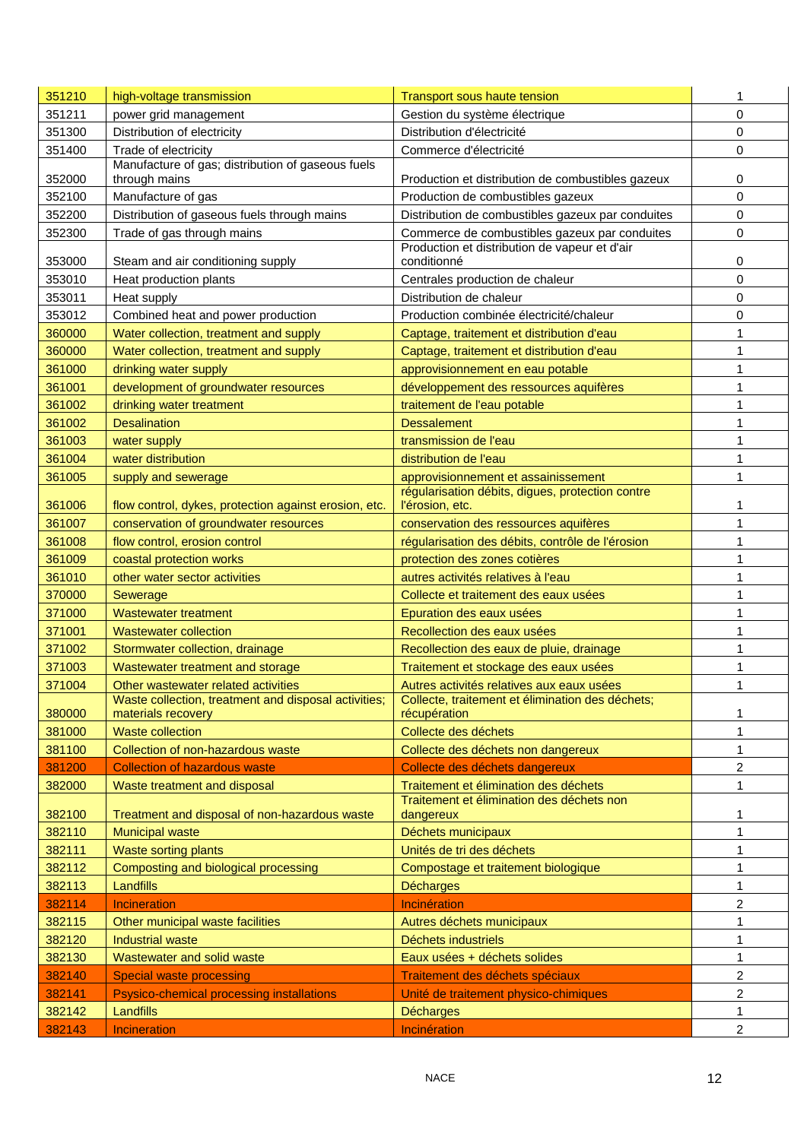| 351210 | high-voltage transmission                                                  | <b>Transport sous haute tension</b>                              | 1              |
|--------|----------------------------------------------------------------------------|------------------------------------------------------------------|----------------|
| 351211 | power grid management                                                      | Gestion du système électrique                                    | 0              |
| 351300 | Distribution of electricity                                                | Distribution d'électricité                                       | 0              |
| 351400 | Trade of electricity                                                       | Commerce d'électricité                                           | 0              |
| 352000 | Manufacture of gas; distribution of gaseous fuels<br>through mains         | Production et distribution de combustibles gazeux                | 0              |
| 352100 | Manufacture of gas                                                         | Production de combustibles gazeux                                | 0              |
| 352200 | Distribution of gaseous fuels through mains                                | Distribution de combustibles gazeux par conduites                | 0              |
| 352300 | Trade of gas through mains                                                 | Commerce de combustibles gazeux par conduites                    | 0              |
| 353000 | Steam and air conditioning supply                                          | Production et distribution de vapeur et d'air<br>conditionné     | 0              |
| 353010 | Heat production plants                                                     | Centrales production de chaleur                                  | 0              |
| 353011 | Heat supply                                                                | Distribution de chaleur                                          | 0              |
| 353012 | Combined heat and power production                                         | Production combinée électricité/chaleur                          | 0              |
| 360000 | Water collection, treatment and supply                                     | Captage, traitement et distribution d'eau                        | 1              |
| 360000 | Water collection, treatment and supply                                     | Captage, traitement et distribution d'eau                        | 1              |
| 361000 | drinking water supply                                                      | approvisionnement en eau potable                                 | 1              |
| 361001 | development of groundwater resources                                       | développement des ressources aquifères                           | 1              |
| 361002 | drinking water treatment                                                   | traitement de l'eau potable                                      | 1              |
| 361002 | <b>Desalination</b>                                                        | <b>Dessalement</b>                                               | 1              |
| 361003 | water supply                                                               | transmission de l'eau                                            | 1              |
| 361004 | water distribution                                                         | distribution de l'eau                                            | 1              |
| 361005 | supply and sewerage                                                        | approvisionnement et assainissement                              | 1              |
|        |                                                                            | régularisation débits, digues, protection contre                 |                |
| 361006 | flow control, dykes, protection against erosion, etc.                      | l'érosion, etc.                                                  | 1              |
| 361007 | conservation of groundwater resources                                      | conservation des ressources aquifères                            | $\mathbf{1}$   |
| 361008 | flow control, erosion control                                              | régularisation des débits, contrôle de l'érosion                 | 1              |
| 361009 | coastal protection works                                                   | protection des zones cotières                                    | 1              |
| 361010 | other water sector activities                                              | autres activités relatives à l'eau                               | 1              |
| 370000 | Sewerage                                                                   | Collecte et traitement des eaux usées                            | 1              |
| 371000 | <b>Wastewater treatment</b>                                                | Epuration des eaux usées                                         | 1              |
| 371001 | <b>Wastewater collection</b>                                               | Recollection des eaux usées                                      | 1              |
| 371002 | Stormwater collection, drainage                                            | Recollection des eaux de pluie, drainage                         | 1              |
| 371003 | Wastewater treatment and storage                                           | Traitement et stockage des eaux usées                            | 1              |
| 371004 | Other wastewater related activities                                        | Autres activités relatives aux eaux usées                        | 1              |
| 380000 | Waste collection, treatment and disposal activities;<br>materials recovery | Collecte, traitement et élimination des déchets;<br>récupération | 1              |
| 381000 | <b>Waste collection</b>                                                    | Collecte des déchets                                             | $\mathbf{1}$   |
| 381100 | Collection of non-hazardous waste                                          | Collecte des déchets non dangereux                               | 1              |
| 381200 | <b>Collection of hazardous waste</b>                                       | Collecte des déchets dangereux                                   | 2              |
| 382000 | Waste treatment and disposal                                               | Traitement et élimination des déchets                            | 1              |
| 382100 | Treatment and disposal of non-hazardous waste                              | Traitement et élimination des déchets non<br>dangereux           | 1              |
| 382110 | <b>Municipal waste</b>                                                     | Déchets municipaux                                               | 1              |
| 382111 | <b>Waste sorting plants</b>                                                | Unités de tri des déchets                                        | 1              |
| 382112 | Composting and biological processing                                       | Compostage et traitement biologique                              | 1              |
| 382113 | Landfills                                                                  | <b>Décharges</b>                                                 | 1              |
| 382114 | Incineration                                                               | Incinération                                                     | 2              |
| 382115 | Other municipal waste facilities                                           | Autres déchets municipaux                                        | 1              |
| 382120 | <b>Industrial waste</b>                                                    | Déchets industriels                                              | 1              |
| 382130 | Wastewater and solid waste                                                 | Eaux usées + déchets solides                                     | 1              |
| 382140 | <b>Special waste processing</b>                                            | Traitement des déchets spéciaux                                  | 2              |
| 382141 | Psysico-chemical processing installations                                  | Unité de traitement physico-chimiques                            | $\overline{2}$ |
| 382142 | Landfills                                                                  | <b>Décharges</b>                                                 | 1              |
| 382143 | Incineration                                                               | Incinération                                                     | $\overline{2}$ |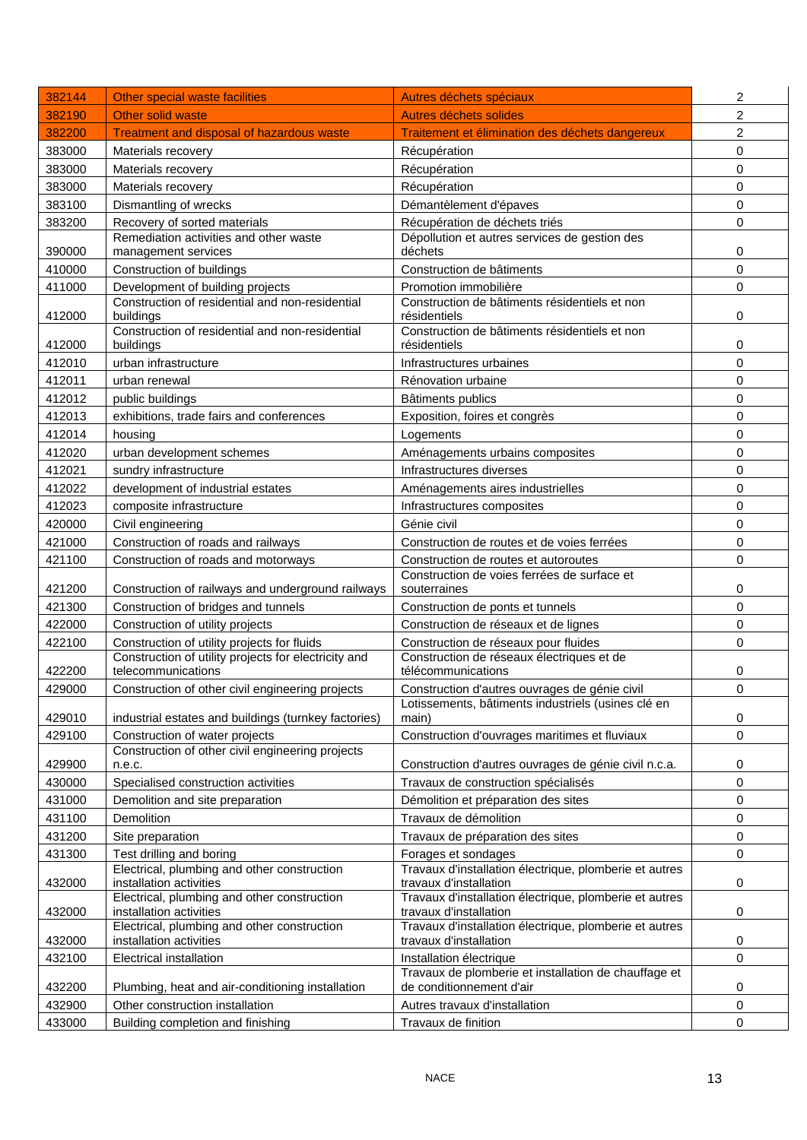| 382144 | Other special waste facilities                                                      | Autres déchets spéciaux                                                          | 2              |
|--------|-------------------------------------------------------------------------------------|----------------------------------------------------------------------------------|----------------|
| 382190 | Other solid waste                                                                   | Autres déchets solides                                                           | 2              |
| 382200 | <b>Treatment and disposal of hazardous waste</b>                                    | Traitement et élimination des déchets dangereux                                  | $\overline{c}$ |
| 383000 | Materials recovery                                                                  | Récupération                                                                     | 0              |
| 383000 | Materials recovery                                                                  | Récupération                                                                     | 0              |
| 383000 | Materials recovery                                                                  | Récupération                                                                     | 0              |
| 383100 | Dismantling of wrecks                                                               | Démantèlement d'épaves                                                           | $\mathbf 0$    |
| 383200 | Recovery of sorted materials                                                        | Récupération de déchets triés                                                    | $\mathbf 0$    |
|        | Remediation activities and other waste                                              | Dépollution et autres services de gestion des                                    |                |
| 390000 | management services                                                                 | déchets                                                                          | 0              |
| 410000 | Construction of buildings                                                           | Construction de bâtiments                                                        | 0              |
| 411000 | Development of building projects<br>Construction of residential and non-residential | Promotion immobilière<br>Construction de bâtiments résidentiels et non           | 0              |
| 412000 | buildings                                                                           | résidentiels                                                                     | 0              |
|        | Construction of residential and non-residential                                     | Construction de bâtiments résidentiels et non                                    |                |
| 412000 | buildings                                                                           | résidentiels                                                                     | 0              |
| 412010 | urban infrastructure                                                                | Infrastructures urbaines                                                         | 0              |
| 412011 | urban renewal                                                                       | Rénovation urbaine                                                               | 0              |
| 412012 | public buildings                                                                    | Bâtiments publics                                                                | 0              |
| 412013 | exhibitions, trade fairs and conferences                                            | Exposition, foires et congrès                                                    | 0              |
| 412014 | housing                                                                             | Logements                                                                        | 0              |
| 412020 | urban development schemes                                                           | Aménagements urbains composites                                                  | 0              |
| 412021 | sundry infrastructure                                                               | Infrastructures diverses                                                         | 0              |
| 412022 | development of industrial estates                                                   | Aménagements aires industrielles                                                 | 0              |
| 412023 | composite infrastructure                                                            | Infrastructures composites                                                       | 0              |
| 420000 | Civil engineering                                                                   | Génie civil                                                                      | 0              |
| 421000 | Construction of roads and railways                                                  | Construction de routes et de voies ferrées                                       | 0              |
| 421100 | Construction of roads and motorways                                                 | Construction de routes et autoroutes                                             | $\mathbf 0$    |
| 421200 | Construction of railways and underground railways                                   | Construction de voies ferrées de surface et<br>souterraines                      | 0              |
| 421300 | Construction of bridges and tunnels                                                 | Construction de ponts et tunnels                                                 | 0              |
| 422000 | Construction of utility projects                                                    | Construction de réseaux et de lignes                                             | $\mathbf 0$    |
| 422100 | Construction of utility projects for fluids                                         | Construction de réseaux pour fluides                                             | 0              |
|        | Construction of utility projects for electricity and                                | Construction de réseaux électriques et de                                        |                |
| 422200 | telecommunications                                                                  | télécommunications                                                               | 0              |
| 429000 | Construction of other civil engineering projects                                    | Construction d'autres ouvrages de génie civil                                    | 0              |
| 429010 | industrial estates and buildings (turnkey factories)                                | Lotissements, bâtiments industriels (usines clé en<br>main)                      | 0              |
| 429100 | Construction of water projects                                                      | Construction d'ouvrages maritimes et fluviaux                                    | 0              |
|        | Construction of other civil engineering projects                                    |                                                                                  |                |
| 429900 | n.e.c.                                                                              | Construction d'autres ouvrages de génie civil n.c.a.                             | 0              |
| 430000 | Specialised construction activities                                                 | Travaux de construction spécialisés                                              | 0              |
| 431000 | Demolition and site preparation                                                     | Démolition et préparation des sites                                              | 0              |
| 431100 | Demolition                                                                          | Travaux de démolition                                                            | 0              |
| 431200 | Site preparation                                                                    | Travaux de préparation des sites                                                 | 0              |
| 431300 | Test drilling and boring                                                            | Forages et sondages                                                              | 0              |
| 432000 | Electrical, plumbing and other construction<br>installation activities              | Travaux d'installation électrique, plomberie et autres<br>travaux d'installation | 0              |
|        | Electrical, plumbing and other construction                                         | Travaux d'installation électrique, plomberie et autres                           |                |
| 432000 | installation activities                                                             | travaux d'installation                                                           | 0              |
| 432000 | Electrical, plumbing and other construction<br>installation activities              | Travaux d'installation électrique, plomberie et autres<br>travaux d'installation | 0              |
| 432100 | <b>Electrical installation</b>                                                      | Installation électrique                                                          | 0              |
|        |                                                                                     | Travaux de plomberie et installation de chauffage et                             |                |
| 432200 | Plumbing, heat and air-conditioning installation                                    | de conditionnement d'air                                                         | 0              |
| 432900 | Other construction installation                                                     | Autres travaux d'installation                                                    | 0              |
| 433000 | Building completion and finishing                                                   | Travaux de finition                                                              | 0              |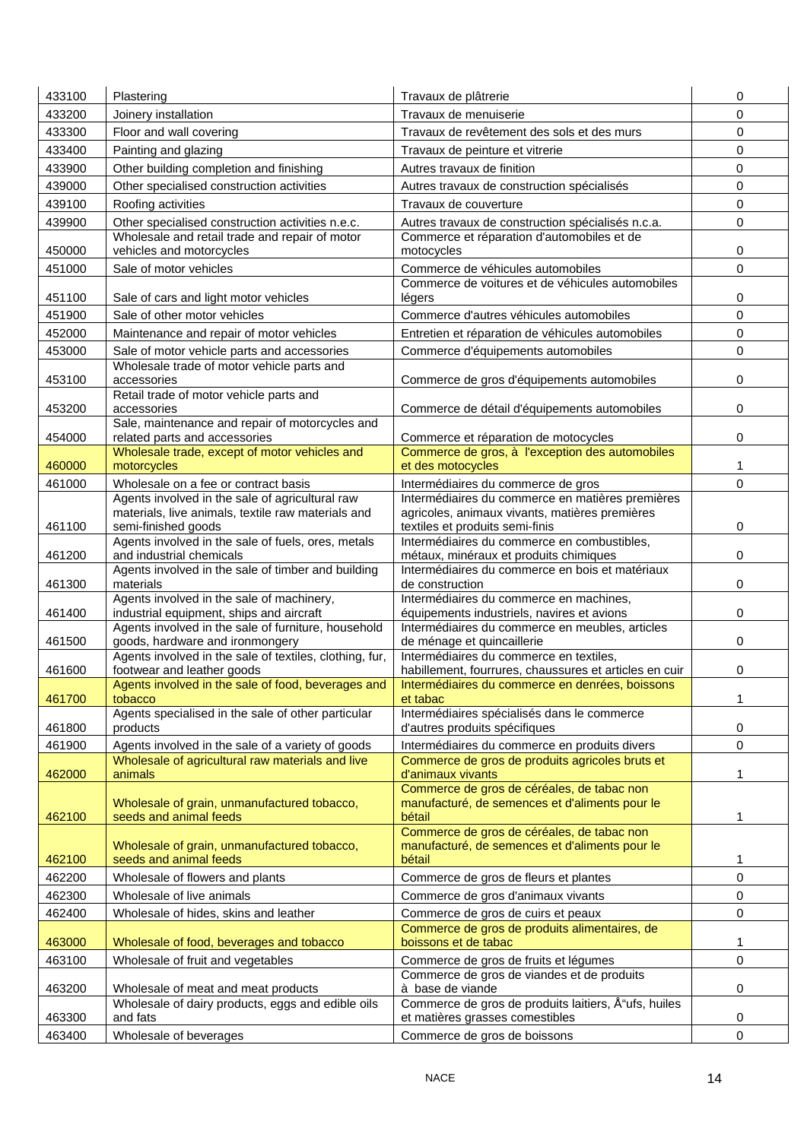| 433100 | Plastering                                                                                 | Travaux de plâtrerie                                                                         | 0                   |
|--------|--------------------------------------------------------------------------------------------|----------------------------------------------------------------------------------------------|---------------------|
| 433200 | Joinery installation                                                                       | Travaux de menuiserie                                                                        | 0                   |
| 433300 | Floor and wall covering                                                                    | Travaux de revêtement des sols et des murs                                                   | 0                   |
| 433400 | Painting and glazing                                                                       | Travaux de peinture et vitrerie                                                              | 0                   |
| 433900 | Other building completion and finishing                                                    | Autres travaux de finition                                                                   | 0                   |
| 439000 | Other specialised construction activities                                                  | Autres travaux de construction spécialisés                                                   | 0                   |
| 439100 | Roofing activities                                                                         | Travaux de couverture                                                                        | $\mathbf 0$         |
| 439900 | Other specialised construction activities n.e.c.                                           | Autres travaux de construction spécialisés n.c.a.                                            | $\pmb{0}$           |
|        | Wholesale and retail trade and repair of motor                                             | Commerce et réparation d'automobiles et de                                                   |                     |
| 450000 | vehicles and motorcycles                                                                   | motocycles                                                                                   | 0                   |
| 451000 | Sale of motor vehicles                                                                     | Commerce de véhicules automobiles                                                            | 0                   |
| 451100 | Sale of cars and light motor vehicles                                                      | Commerce de voitures et de véhicules automobiles<br>légers                                   | 0                   |
| 451900 | Sale of other motor vehicles                                                               | Commerce d'autres véhicules automobiles                                                      | 0                   |
| 452000 | Maintenance and repair of motor vehicles                                                   | Entretien et réparation de véhicules automobiles                                             | 0                   |
| 453000 | Sale of motor vehicle parts and accessories                                                | Commerce d'équipements automobiles                                                           | 0                   |
|        | Wholesale trade of motor vehicle parts and                                                 |                                                                                              |                     |
| 453100 | accessories                                                                                | Commerce de gros d'équipements automobiles                                                   | 0                   |
| 453200 | Retail trade of motor vehicle parts and<br>accessories                                     |                                                                                              | 0                   |
|        | Sale, maintenance and repair of motorcycles and                                            | Commerce de détail d'équipements automobiles                                                 |                     |
| 454000 | related parts and accessories                                                              | Commerce et réparation de motocycles                                                         | 0                   |
|        | Wholesale trade, except of motor vehicles and                                              | Commerce de gros, à l'exception des automobiles                                              |                     |
| 460000 | motorcycles                                                                                | et des motocycles                                                                            | 1                   |
| 461000 | Wholesale on a fee or contract basis<br>Agents involved in the sale of agricultural raw    | Intermédiaires du commerce de gros<br>Intermédiaires du commerce en matières premières       | 0                   |
|        | materials, live animals, textile raw materials and                                         | agricoles, animaux vivants, matières premières                                               |                     |
| 461100 | semi-finished goods                                                                        | textiles et produits semi-finis                                                              | 0                   |
|        | Agents involved in the sale of fuels, ores, metals                                         | Intermédiaires du commerce en combustibles,                                                  |                     |
| 461200 | and industrial chemicals                                                                   | métaux, minéraux et produits chimiques                                                       | 0                   |
| 461300 | Agents involved in the sale of timber and building<br>materials                            | Intermédiaires du commerce en bois et matériaux<br>de construction                           | 0                   |
|        | Agents involved in the sale of machinery,                                                  | Intermédiaires du commerce en machines,                                                      |                     |
| 461400 | industrial equipment, ships and aircraft                                                   | équipements industriels, navires et avions                                                   | 0                   |
|        | Agents involved in the sale of furniture, household                                        | Intermédiaires du commerce en meubles, articles                                              |                     |
| 461500 | goods, hardware and ironmongery<br>Agents involved in the sale of textiles, clothing, fur, | de ménage et quincaillerie<br>Intermédiaires du commerce en textiles,                        | 0                   |
| 461600 | footwear and leather goods                                                                 | habillement, fourrures, chaussures et articles en cuir                                       | 0                   |
|        | Agents involved in the sale of food, beverages and                                         | Intermédiaires du commerce en denrées, boissons                                              |                     |
| 461700 | tobacco<br>Agents specialised in the sale of other particular                              | et tabac<br>Intermédiaires spécialisés dans le commerce                                      | 1                   |
| 461800 | products                                                                                   | d'autres produits spécifiques                                                                | 0                   |
| 461900 | Agents involved in the sale of a variety of goods                                          | Intermédiaires du commerce en produits divers                                                | $\mathbf 0$         |
|        | Wholesale of agricultural raw materials and live                                           | Commerce de gros de produits agricoles bruts et                                              |                     |
| 462000 | animals                                                                                    | d'animaux vivants                                                                            | 1                   |
|        | Wholesale of grain, unmanufactured tobacco,                                                | Commerce de gros de céréales, de tabac non<br>manufacturé, de semences et d'aliments pour le |                     |
| 462100 | seeds and animal feeds                                                                     | bétail                                                                                       | 1                   |
|        |                                                                                            | Commerce de gros de céréales, de tabac non                                                   |                     |
|        | Wholesale of grain, unmanufactured tobacco,                                                | manufacturé, de semences et d'aliments pour le                                               |                     |
| 462100 | seeds and animal feeds                                                                     | bétail                                                                                       | 1                   |
| 462200 | Wholesale of flowers and plants                                                            | Commerce de gros de fleurs et plantes                                                        | 0                   |
| 462300 | Wholesale of live animals                                                                  | Commerce de gros d'animaux vivants                                                           | $\mathsf{O}\xspace$ |
| 462400 | Wholesale of hides, skins and leather                                                      | Commerce de gros de cuirs et peaux<br>Commerce de gros de produits alimentaires, de          | 0                   |
| 463000 | Wholesale of food, beverages and tobacco                                                   | boissons et de tabac                                                                         | 1                   |
| 463100 | Wholesale of fruit and vegetables                                                          | Commerce de gros de fruits et légumes                                                        | 0                   |
|        |                                                                                            | Commerce de gros de viandes et de produits                                                   |                     |
| 463200 | Wholesale of meat and meat products                                                        | à base de viande                                                                             | 0                   |
| 463300 | Wholesale of dairy products, eggs and edible oils<br>and fats                              | Commerce de gros de produits laitiers, Å "ufs, huiles<br>et matières grasses comestibles     | 0                   |
| 463400 | Wholesale of beverages                                                                     | Commerce de gros de boissons                                                                 | 0                   |
|        |                                                                                            |                                                                                              |                     |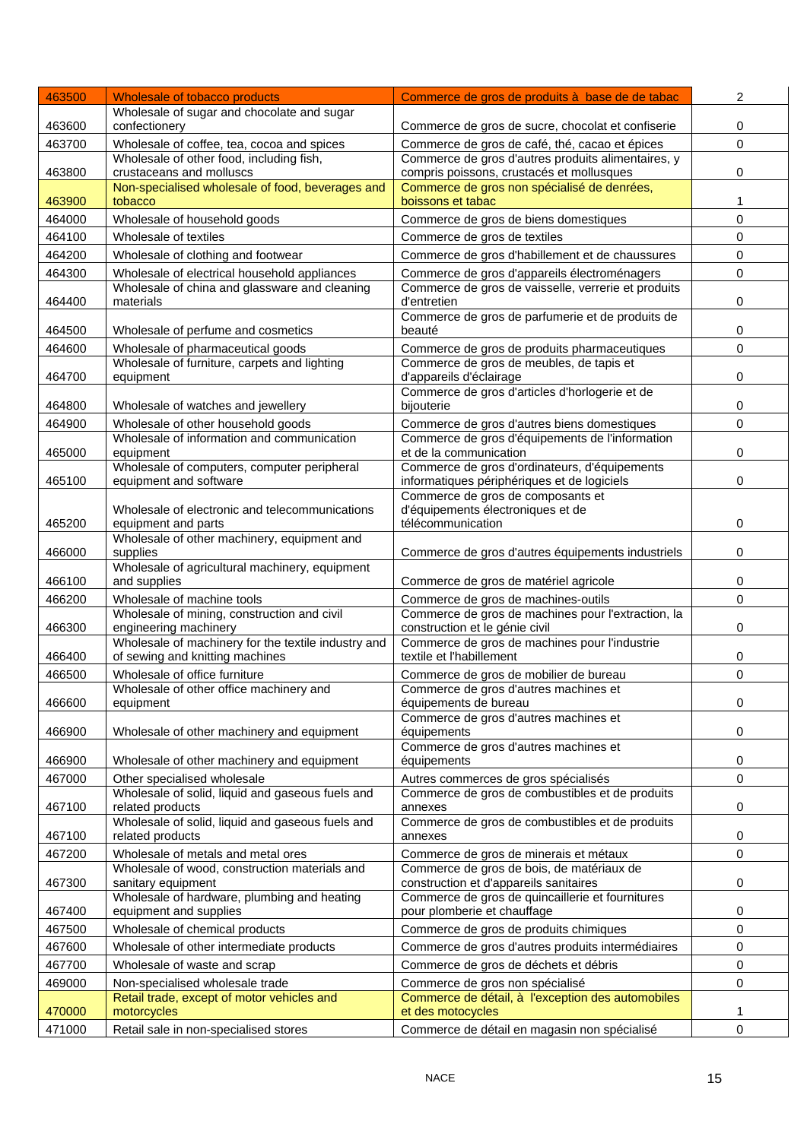| 463500 | Wholesale of tobacco products                                                | Commerce de gros de produits à base de de tabac                                                 | 2            |
|--------|------------------------------------------------------------------------------|-------------------------------------------------------------------------------------------------|--------------|
|        | Wholesale of sugar and chocolate and sugar                                   |                                                                                                 |              |
| 463600 | confectionery                                                                | Commerce de gros de sucre, chocolat et confiserie                                               | 0            |
| 463700 | Wholesale of coffee, tea, cocoa and spices                                   | Commerce de gros de café, thé, cacao et épices                                                  | 0            |
| 463800 | Wholesale of other food, including fish,<br>crustaceans and molluscs         | Commerce de gros d'autres produits alimentaires, y<br>compris poissons, crustacés et mollusques | 0            |
|        | Non-specialised wholesale of food, beverages and                             | Commerce de gros non spécialisé de denrées,                                                     |              |
| 463900 | tobacco                                                                      | boissons et tabac                                                                               | $\mathbf{1}$ |
| 464000 | Wholesale of household goods                                                 | Commerce de gros de biens domestiques                                                           | 0            |
| 464100 | Wholesale of textiles                                                        | Commerce de gros de textiles                                                                    | 0            |
| 464200 | Wholesale of clothing and footwear                                           | Commerce de gros d'habillement et de chaussures                                                 | 0            |
| 464300 | Wholesale of electrical household appliances                                 | Commerce de gros d'appareils électroménagers                                                    | $\mathbf 0$  |
|        | Wholesale of china and glassware and cleaning                                | Commerce de gros de vaisselle, verrerie et produits<br>d'entretien                              | 0            |
| 464400 | materials                                                                    | Commerce de gros de parfumerie et de produits de                                                |              |
| 464500 | Wholesale of perfume and cosmetics                                           | beauté                                                                                          | 0            |
| 464600 | Wholesale of pharmaceutical goods                                            | Commerce de gros de produits pharmaceutiques                                                    | 0            |
|        | Wholesale of furniture, carpets and lighting                                 | Commerce de gros de meubles, de tapis et                                                        |              |
| 464700 | equipment                                                                    | d'appareils d'éclairage<br>Commerce de gros d'articles d'horlogerie et de                       | 0            |
| 464800 | Wholesale of watches and jewellery                                           | bijouterie                                                                                      | 0            |
| 464900 | Wholesale of other household goods                                           | Commerce de gros d'autres biens domestiques                                                     | 0            |
|        | Wholesale of information and communication                                   | Commerce de gros d'équipements de l'information                                                 |              |
| 465000 | equipment                                                                    | et de la communication                                                                          | 0            |
| 465100 | Wholesale of computers, computer peripheral<br>equipment and software        | Commerce de gros d'ordinateurs, d'équipements                                                   | 0            |
|        |                                                                              | informatiques périphériques et de logiciels<br>Commerce de gros de composants et                |              |
|        | Wholesale of electronic and telecommunications                               | d'équipements électroniques et de                                                               |              |
| 465200 | equipment and parts                                                          | télécommunication                                                                               | 0            |
| 466000 | Wholesale of other machinery, equipment and<br>supplies                      | Commerce de gros d'autres équipements industriels                                               | 0            |
|        | Wholesale of agricultural machinery, equipment                               |                                                                                                 |              |
| 466100 | and supplies                                                                 | Commerce de gros de matériel agricole                                                           | 0            |
| 466200 | Wholesale of machine tools                                                   | Commerce de gros de machines-outils                                                             | $\Omega$     |
|        | Wholesale of mining, construction and civil                                  | Commerce de gros de machines pour l'extraction, la                                              |              |
| 466300 | engineering machinery<br>Wholesale of machinery for the textile industry and | construction et le génie civil<br>Commerce de gros de machines pour l'industrie                 | 0            |
| 466400 | of sewing and knitting machines                                              | textile et l'habillement                                                                        | 0            |
| 466500 | Wholesale of office furniture                                                | Commerce de gros de mobilier de bureau                                                          | 0            |
|        | Wholesale of other office machinery and                                      | Commerce de gros d'autres machines et                                                           |              |
| 466600 | equipment                                                                    | équipements de bureau<br>Commerce de gros d'autres machines et                                  | 0            |
| 466900 | Wholesale of other machinery and equipment                                   | équipements                                                                                     | 0            |
|        |                                                                              | Commerce de gros d'autres machines et                                                           |              |
| 466900 | Wholesale of other machinery and equipment                                   | équipements                                                                                     | 0            |
| 467000 | Other specialised wholesale                                                  | Autres commerces de gros spécialisés                                                            | 0            |
| 467100 | Wholesale of solid, liquid and gaseous fuels and<br>related products         | Commerce de gros de combustibles et de produits<br>annexes                                      | 0            |
|        | Wholesale of solid, liquid and gaseous fuels and                             | Commerce de gros de combustibles et de produits                                                 |              |
| 467100 | related products                                                             | annexes                                                                                         | 0            |
| 467200 | Wholesale of metals and metal ores                                           | Commerce de gros de minerais et métaux                                                          | 0            |
|        | Wholesale of wood, construction materials and                                | Commerce de gros de bois, de matériaux de                                                       |              |
| 467300 | sanitary equipment<br>Wholesale of hardware, plumbing and heating            | construction et d'appareils sanitaires<br>Commerce de gros de quincaillerie et fournitures      | 0            |
| 467400 | equipment and supplies                                                       | pour plomberie et chauffage                                                                     | 0            |
| 467500 | Wholesale of chemical products                                               | Commerce de gros de produits chimiques                                                          | 0            |
| 467600 | Wholesale of other intermediate products                                     | Commerce de gros d'autres produits intermédiaires                                               | 0            |
| 467700 | Wholesale of waste and scrap                                                 | Commerce de gros de déchets et débris                                                           | 0            |
| 469000 | Non-specialised wholesale trade                                              | Commerce de gros non spécialisé                                                                 | 0            |
|        | Retail trade, except of motor vehicles and                                   | Commerce de détail, à l'exception des automobiles                                               |              |
| 470000 | motorcycles                                                                  | et des motocycles                                                                               | 1            |
| 471000 | Retail sale in non-specialised stores                                        | Commerce de détail en magasin non spécialisé                                                    | 0            |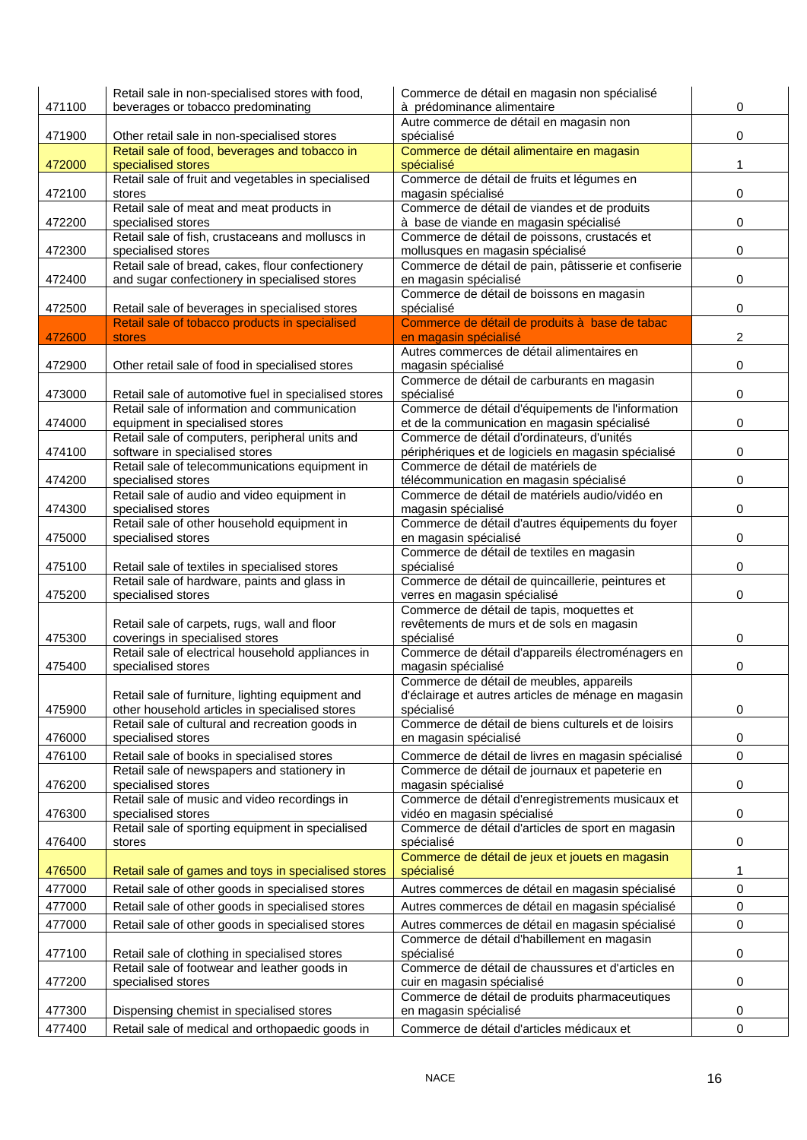| 471100 | Retail sale in non-specialised stores with food,<br>beverages or tobacco predominating             | Commerce de détail en magasin non spécialisé<br>à prédominance alimentaire                | 0                   |
|--------|----------------------------------------------------------------------------------------------------|-------------------------------------------------------------------------------------------|---------------------|
|        |                                                                                                    | Autre commerce de détail en magasin non                                                   |                     |
| 471900 | Other retail sale in non-specialised stores<br>Retail sale of food, beverages and tobacco in       | spécialisé<br>Commerce de détail alimentaire en magasin                                   | 0                   |
| 472000 | specialised stores                                                                                 | spécialisé                                                                                | 1                   |
|        | Retail sale of fruit and vegetables in specialised                                                 | Commerce de détail de fruits et légumes en                                                |                     |
| 472100 | stores                                                                                             | magasin spécialisé                                                                        | 0                   |
|        | Retail sale of meat and meat products in                                                           | Commerce de détail de viandes et de produits                                              |                     |
| 472200 | specialised stores                                                                                 | à base de viande en magasin spécialisé                                                    | 0                   |
|        | Retail sale of fish, crustaceans and molluscs in                                                   | Commerce de détail de poissons, crustacés et                                              |                     |
| 472300 | specialised stores<br>Retail sale of bread, cakes, flour confectionery                             | mollusques en magasin spécialisé<br>Commerce de détail de pain, pâtisserie et confiserie  | 0                   |
| 472400 | and sugar confectionery in specialised stores                                                      | en magasin spécialisé                                                                     | 0                   |
|        |                                                                                                    | Commerce de détail de boissons en magasin                                                 |                     |
| 472500 | Retail sale of beverages in specialised stores                                                     | spécialisé                                                                                | 0                   |
|        | Retail sale of tobacco products in specialised                                                     | Commerce de détail de produits à base de tabac                                            |                     |
| 472600 | <b>stores</b>                                                                                      | en magasin spécialisé                                                                     | 2                   |
| 472900 | Other retail sale of food in specialised stores                                                    | Autres commerces de détail alimentaires en<br>magasin spécialisé                          | 0                   |
|        |                                                                                                    | Commerce de détail de carburants en magasin                                               |                     |
| 473000 | Retail sale of automotive fuel in specialised stores                                               | spécialisé                                                                                | 0                   |
|        | Retail sale of information and communication                                                       | Commerce de détail d'équipements de l'information                                         |                     |
| 474000 | equipment in specialised stores                                                                    | et de la communication en magasin spécialisé                                              | 0                   |
|        | Retail sale of computers, peripheral units and                                                     | Commerce de détail d'ordinateurs, d'unités                                                |                     |
| 474100 | software in specialised stores                                                                     | périphériques et de logiciels en magasin spécialisé                                       | 0                   |
|        | Retail sale of telecommunications equipment in                                                     | Commerce de détail de matériels de                                                        |                     |
| 474200 | specialised stores<br>Retail sale of audio and video equipment in                                  | télécommunication en magasin spécialisé<br>Commerce de détail de matériels audio/vidéo en | 0                   |
| 474300 | specialised stores                                                                                 | magasin spécialisé                                                                        | 0                   |
|        | Retail sale of other household equipment in                                                        | Commerce de détail d'autres équipements du foyer                                          |                     |
| 475000 | specialised stores                                                                                 | en magasin spécialisé                                                                     | 0                   |
|        |                                                                                                    | Commerce de détail de textiles en magasin                                                 |                     |
| 475100 | Retail sale of textiles in specialised stores                                                      | spécialisé                                                                                | 0                   |
|        | Retail sale of hardware, paints and glass in                                                       | Commerce de détail de quincaillerie, peintures et                                         |                     |
| 475200 | specialised stores                                                                                 | verres en magasin spécialisé<br>Commerce de détail de tapis, moquettes et                 | 0                   |
|        | Retail sale of carpets, rugs, wall and floor                                                       | revêtements de murs et de sols en magasin                                                 |                     |
| 475300 | coverings in specialised stores                                                                    | spécialisé                                                                                | 0                   |
|        | Retail sale of electrical household appliances in                                                  | Commerce de détail d'appareils électroménagers en                                         |                     |
| 475400 | specialised stores                                                                                 | magasin spécialisé                                                                        | 0                   |
|        |                                                                                                    | Commerce de détail de meubles, appareils                                                  |                     |
| 475900 | Retail sale of furniture, lighting equipment and<br>other household articles in specialised stores | d'éclairage et autres articles de ménage en magasin<br>spécialisé                         | 0                   |
|        | Retail sale of cultural and recreation goods in                                                    | Commerce de détail de biens culturels et de loisirs                                       |                     |
| 476000 | specialised stores                                                                                 | en magasin spécialisé                                                                     | 0                   |
| 476100 | Retail sale of books in specialised stores                                                         | Commerce de détail de livres en magasin spécialisé                                        | $\mathsf{O}\xspace$ |
|        | Retail sale of newspapers and stationery in                                                        | Commerce de détail de journaux et papeterie en                                            |                     |
| 476200 | specialised stores                                                                                 | magasin spécialisé                                                                        | 0                   |
|        | Retail sale of music and video recordings in                                                       | Commerce de détail d'enregistrements musicaux et                                          |                     |
| 476300 | specialised stores<br>Retail sale of sporting equipment in specialised                             | vidéo en magasin spécialisé<br>Commerce de détail d'articles de sport en magasin          | 0                   |
| 476400 | stores                                                                                             | spécialisé                                                                                | 0                   |
|        |                                                                                                    | Commerce de détail de jeux et jouets en magasin                                           |                     |
| 476500 | Retail sale of games and toys in specialised stores                                                | spécialisé                                                                                | 1                   |
| 477000 | Retail sale of other goods in specialised stores                                                   | Autres commerces de détail en magasin spécialisé                                          | 0                   |
| 477000 | Retail sale of other goods in specialised stores                                                   | Autres commerces de détail en magasin spécialisé                                          | 0                   |
| 477000 | Retail sale of other goods in specialised stores                                                   | Autres commerces de détail en magasin spécialisé                                          | 0                   |
|        |                                                                                                    | Commerce de détail d'habillement en magasin                                               |                     |
| 477100 | Retail sale of clothing in specialised stores                                                      | spécialisé                                                                                | 0                   |
|        | Retail sale of footwear and leather goods in                                                       | Commerce de détail de chaussures et d'articles en                                         |                     |
| 477200 | specialised stores                                                                                 | cuir en magasin spécialisé                                                                | 0                   |
|        |                                                                                                    | Commerce de détail de produits pharmaceutiques                                            |                     |
| 477300 | Dispensing chemist in specialised stores                                                           | en magasin spécialisé                                                                     | 0                   |
| 477400 | Retail sale of medical and orthopaedic goods in                                                    | Commerce de détail d'articles médicaux et                                                 | $\pmb{0}$           |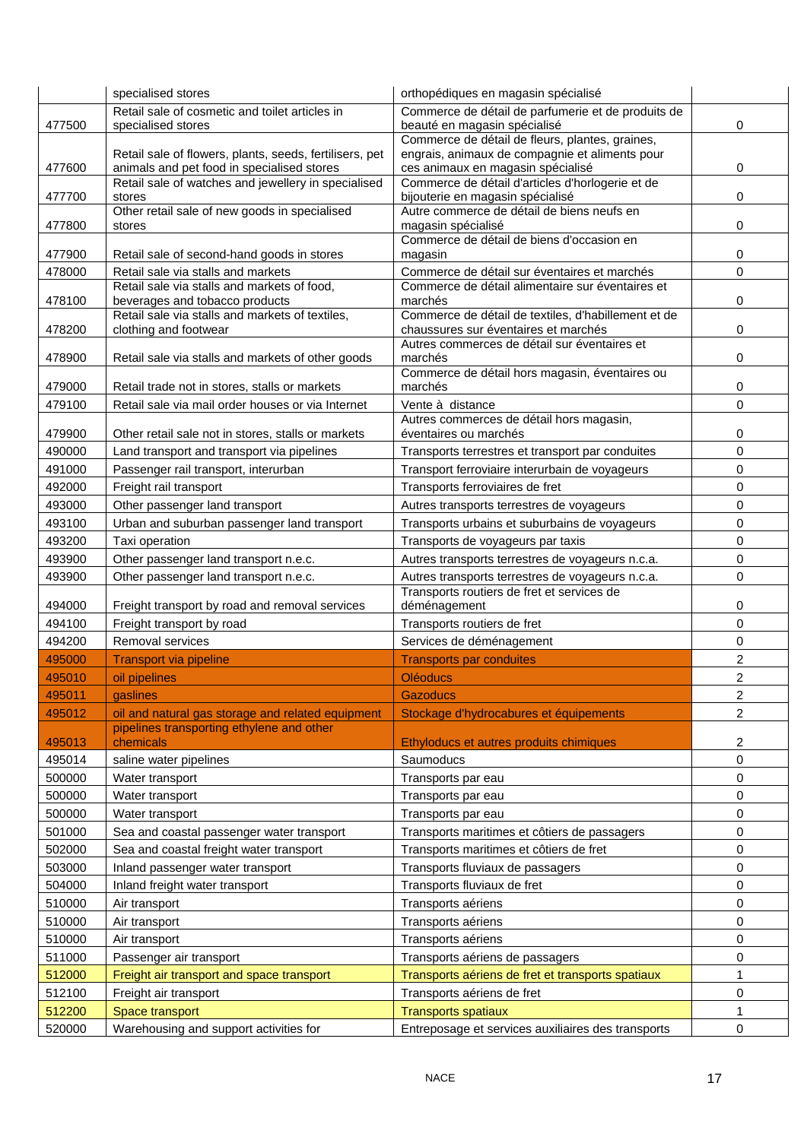|                  | specialised stores                                                       | orthopédiques en magasin spécialisé                                                               |                |
|------------------|--------------------------------------------------------------------------|---------------------------------------------------------------------------------------------------|----------------|
|                  | Retail sale of cosmetic and toilet articles in                           | Commerce de détail de parfumerie et de produits de                                                |                |
| 477500           | specialised stores                                                       | beauté en magasin spécialisé                                                                      | 0              |
|                  | Retail sale of flowers, plants, seeds, fertilisers, pet                  | Commerce de détail de fleurs, plantes, graines,<br>engrais, animaux de compagnie et aliments pour |                |
| 477600           | animals and pet food in specialised stores                               | ces animaux en magasin spécialisé                                                                 | 0              |
|                  | Retail sale of watches and jewellery in specialised                      | Commerce de détail d'articles d'horlogerie et de                                                  |                |
| 477700           | stores                                                                   | bijouterie en magasin spécialisé                                                                  | 0              |
| 477800           | Other retail sale of new goods in specialised<br>stores                  | Autre commerce de détail de biens neufs en<br>magasin spécialisé                                  | 0              |
|                  |                                                                          | Commerce de détail de biens d'occasion en                                                         |                |
| 477900           | Retail sale of second-hand goods in stores                               | magasin                                                                                           | 0              |
| 478000           | Retail sale via stalls and markets                                       | Commerce de détail sur éventaires et marchés                                                      | 0              |
|                  | Retail sale via stalls and markets of food,                              | Commerce de détail alimentaire sur éventaires et                                                  |                |
| 478100           | beverages and tobacco products                                           | marchés                                                                                           | 0              |
| 478200           | Retail sale via stalls and markets of textiles,<br>clothing and footwear | Commerce de détail de textiles, d'habillement et de<br>chaussures sur éventaires et marchés       | 0              |
|                  |                                                                          | Autres commerces de détail sur éventaires et                                                      |                |
| 478900           | Retail sale via stalls and markets of other goods                        | marchés                                                                                           | 0              |
|                  |                                                                          | Commerce de détail hors magasin, éventaires ou                                                    |                |
| 479000           | Retail trade not in stores, stalls or markets                            | marchés                                                                                           | 0              |
| 479100           | Retail sale via mail order houses or via Internet                        | Vente à distance<br>Autres commerces de détail hors magasin,                                      | 0              |
| 479900           | Other retail sale not in stores, stalls or markets                       | éventaires ou marchés                                                                             | 0              |
| 490000           | Land transport and transport via pipelines                               | Transports terrestres et transport par conduites                                                  | 0              |
| 491000           | Passenger rail transport, interurban                                     | Transport ferroviaire interurbain de voyageurs                                                    | 0              |
| 492000           | Freight rail transport                                                   | Transports ferroviaires de fret                                                                   | 0              |
| 493000           | Other passenger land transport                                           | Autres transports terrestres de voyageurs                                                         | 0              |
| 493100           | Urban and suburban passenger land transport                              | Transports urbains et suburbains de voyageurs                                                     | 0              |
| 493200           | Taxi operation                                                           | Transports de voyageurs par taxis                                                                 | 0              |
| 493900           | Other passenger land transport n.e.c.                                    | Autres transports terrestres de voyageurs n.c.a.                                                  | 0              |
| 493900           | Other passenger land transport n.e.c.                                    | Autres transports terrestres de voyageurs n.c.a.                                                  | 0              |
|                  |                                                                          | Transports routiers de fret et services de                                                        |                |
| 494000           | Freight transport by road and removal services                           | déménagement                                                                                      | 0              |
| 494100           | Freight transport by road                                                | Transports routiers de fret                                                                       | 0              |
| 494200           | Removal services                                                         | Services de déménagement                                                                          | 0              |
| 495000           | Transport via pipeline                                                   | <b>Transports par conduites</b>                                                                   | $\overline{2}$ |
| 495010           | oil pipelines                                                            | <b>Oléoducs</b>                                                                                   | $\overline{c}$ |
| 495011           | gaslines                                                                 | <b>Gazoducs</b>                                                                                   | 2              |
| 495012           | oil and natural gas storage and related equipment                        | Stockage d'hydrocabures et équipements                                                            | 2              |
|                  | pipelines transporting ethylene and other<br>chemicals                   |                                                                                                   | 2              |
| 495013<br>495014 | saline water pipelines                                                   | Ethyloducs et autres produits chimiques<br>Saumoducs                                              | 0              |
| 500000           | Water transport                                                          | Transports par eau                                                                                | 0              |
| 500000           | Water transport                                                          | Transports par eau                                                                                | 0              |
| 500000           | Water transport                                                          | Transports par eau                                                                                | 0              |
| 501000           | Sea and coastal passenger water transport                                | Transports maritimes et côtiers de passagers                                                      | 0              |
| 502000           | Sea and coastal freight water transport                                  | Transports maritimes et côtiers de fret                                                           | 0              |
| 503000           | Inland passenger water transport                                         | Transports fluviaux de passagers                                                                  | 0              |
| 504000           | Inland freight water transport                                           | Transports fluviaux de fret                                                                       | 0              |
| 510000           | Air transport                                                            | Transports aériens                                                                                | 0              |
| 510000           | Air transport                                                            | Transports aériens                                                                                | 0              |
| 510000           | Air transport                                                            | Transports aériens                                                                                | 0              |
| 511000           | Passenger air transport                                                  | Transports aériens de passagers                                                                   | 0              |
| 512000           | Freight air transport and space transport                                | Transports aériens de fret et transports spatiaux                                                 | 1              |
| 512100           | Freight air transport                                                    | Transports aériens de fret                                                                        | 0              |
|                  |                                                                          |                                                                                                   |                |
| 512200           | Space transport                                                          | <b>Transports spatiaux</b>                                                                        | 1              |
| 520000           | Warehousing and support activities for                                   | Entreposage et services auxiliaires des transports                                                | 0              |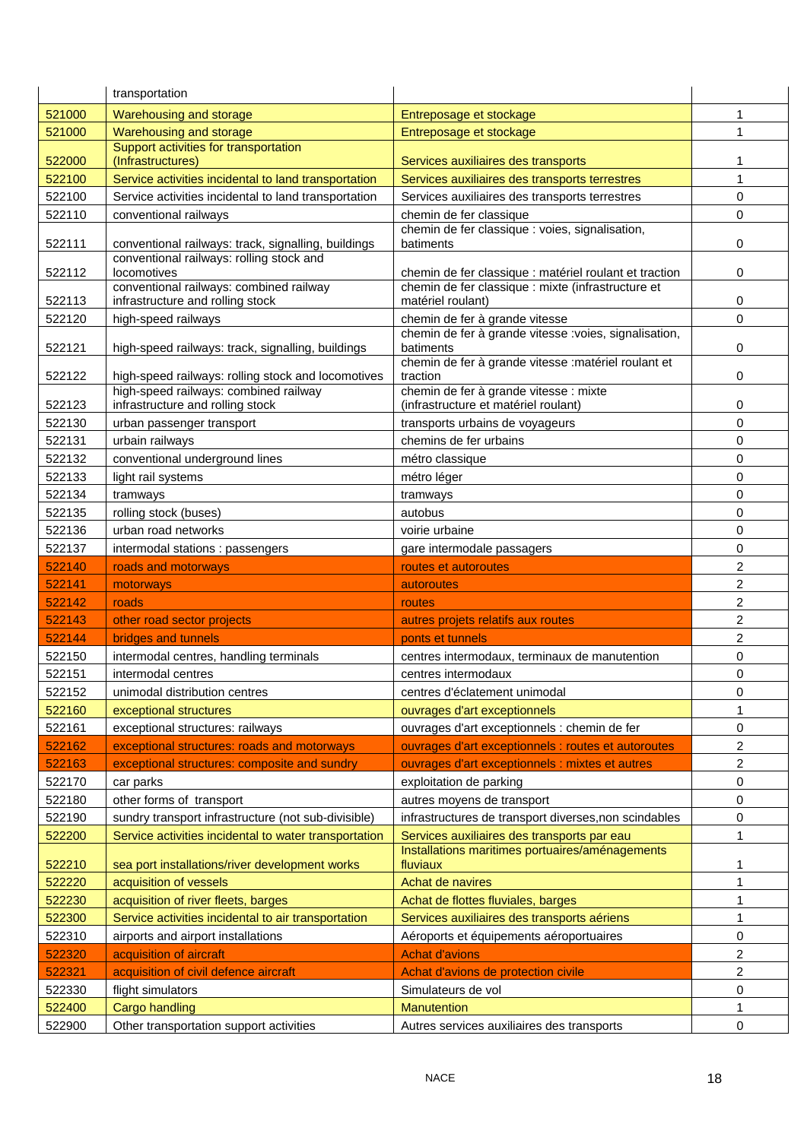|                  | transportation                                                                                               |                                                                                                      |                |
|------------------|--------------------------------------------------------------------------------------------------------------|------------------------------------------------------------------------------------------------------|----------------|
| 521000           | Warehousing and storage                                                                                      | Entreposage et stockage                                                                              | 1              |
| 521000           | Warehousing and storage                                                                                      | Entreposage et stockage                                                                              | 1              |
| 522000           | Support activities for transportation<br>(Infrastructures)                                                   | Services auxiliaires des transports                                                                  | 1              |
| 522100           | Service activities incidental to land transportation                                                         | Services auxiliaires des transports terrestres                                                       | 1              |
| 522100           | Service activities incidental to land transportation                                                         | Services auxiliaires des transports terrestres                                                       | $\mathbf 0$    |
| 522110           | conventional railways                                                                                        | chemin de fer classique                                                                              | 0              |
|                  |                                                                                                              | chemin de fer classique : voies, signalisation,                                                      |                |
| 522111           | conventional railways: track, signalling, buildings<br>conventional railways: rolling stock and              | batiments                                                                                            | 0              |
| 522112           | <b>locomotives</b>                                                                                           | chemin de fer classique : matériel roulant et traction                                               | 0              |
| 522113           | conventional railways: combined railway<br>infrastructure and rolling stock                                  | chemin de fer classique : mixte (infrastructure et<br>matériel roulant)                              | 0              |
| 522120           | high-speed railways                                                                                          | chemin de fer à grande vitesse                                                                       | 0              |
|                  |                                                                                                              | chemin de fer à grande vitesse :voies, signalisation,                                                |                |
| 522121           | high-speed railways: track, signalling, buildings                                                            | batiments                                                                                            | 0              |
| 522122           | high-speed railways: rolling stock and locomotives                                                           | chemin de fer à grande vitesse : matériel roulant et<br>traction                                     | 0              |
|                  | high-speed railways: combined railway                                                                        | chemin de fer à grande vitesse : mixte                                                               |                |
| 522123           | infrastructure and rolling stock                                                                             | (infrastructure et matériel roulant)                                                                 | 0              |
| 522130           | urban passenger transport                                                                                    | transports urbains de voyageurs                                                                      | 0              |
| 522131           | urbain railways                                                                                              | chemins de fer urbains                                                                               | $\mathbf 0$    |
| 522132           | conventional underground lines                                                                               | métro classique                                                                                      | 0              |
| 522133           | light rail systems                                                                                           | métro léger                                                                                          | 0              |
| 522134           | tramways                                                                                                     | tramways                                                                                             | 0              |
| 522135           | rolling stock (buses)                                                                                        | autobus                                                                                              | 0              |
| 522136           | urban road networks                                                                                          | voirie urbaine                                                                                       | 0              |
| 522137           | intermodal stations : passengers                                                                             | gare intermodale passagers                                                                           | $\Omega$       |
|                  |                                                                                                              |                                                                                                      |                |
| 522140           | roads and motorways                                                                                          | routes et autoroutes                                                                                 | $\overline{c}$ |
| 522141           | motorways                                                                                                    | autoroutes                                                                                           | 2              |
| 522142           | roads                                                                                                        | routes                                                                                               | 2              |
| 522143           | other road sector projects                                                                                   | autres projets relatifs aux routes                                                                   | $\overline{2}$ |
| 522144           | bridges and tunnels                                                                                          | ponts et tunnels                                                                                     | 2              |
| 522150           | intermodal centres, handling terminals                                                                       | centres intermodaux, terminaux de manutention                                                        | 0              |
| 522151           | intermodal centres                                                                                           | centres intermodaux                                                                                  | 0              |
| 522152           | unimodal distribution centres                                                                                | centres d'éclatement unimodal                                                                        | 0              |
| 522160           | exceptional structures                                                                                       | ouvrages d'art exceptionnels                                                                         |                |
| 522161           | exceptional structures: railways                                                                             | ouvrages d'art exceptionnels : chemin de fer                                                         | 0              |
| 522162           | exceptional structures: roads and motorways                                                                  | ouvrages d'art exceptionnels : routes et autoroutes                                                  | 2<br>2         |
| 522163           | exceptional structures: composite and sundry                                                                 | ouvrages d'art exceptionnels : mixtes et autres                                                      |                |
| 522170<br>522180 | car parks                                                                                                    | exploitation de parking<br>autres moyens de transport                                                | 0<br>0         |
|                  | other forms of transport                                                                                     |                                                                                                      | 0              |
| 522190<br>522200 | sundry transport infrastructure (not sub-divisible)<br>Service activities incidental to water transportation | infrastructures de transport diverses, non scindables<br>Services auxiliaires des transports par eau | 1              |
|                  |                                                                                                              | Installations maritimes portuaires/aménagements                                                      |                |
| 522210           | sea port installations/river development works                                                               | fluviaux                                                                                             | 1              |
| 522220           | acquisition of vessels                                                                                       | Achat de navires                                                                                     | 1              |
| 522230           | acquisition of river fleets, barges                                                                          | Achat de flottes fluviales, barges                                                                   | 1              |
| 522300           | Service activities incidental to air transportation                                                          | Services auxiliaires des transports aériens                                                          | 1              |
| 522310           | airports and airport installations                                                                           | Aéroports et équipements aéroportuaires                                                              | 0              |
| 522320           | acquisition of aircraft                                                                                      | <b>Achat d'avions</b>                                                                                | 2              |
| 522321           | acquisition of civil defence aircraft                                                                        | Achat d'avions de protection civile                                                                  | 2              |
| 522330<br>522400 | flight simulators<br><b>Cargo handling</b>                                                                   | Simulateurs de vol<br><b>Manutention</b>                                                             | 0<br>1         |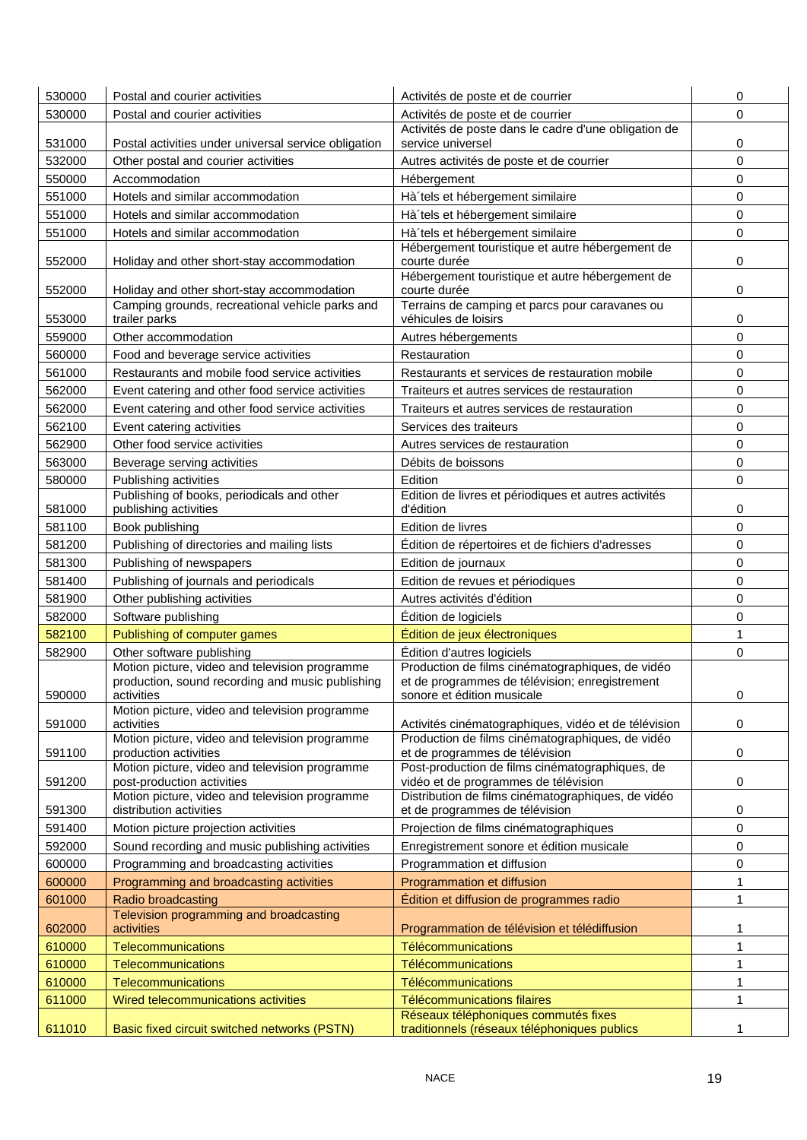| 530000 | Postal and courier activities                                                                                    | Activités de poste et de courrier                                                                                                | 0           |
|--------|------------------------------------------------------------------------------------------------------------------|----------------------------------------------------------------------------------------------------------------------------------|-------------|
| 530000 | Postal and courier activities                                                                                    | Activités de poste et de courrier                                                                                                | 0           |
|        |                                                                                                                  | Activités de poste dans le cadre d'une obligation de                                                                             |             |
| 531000 | Postal activities under universal service obligation                                                             | service universel                                                                                                                | 0           |
| 532000 | Other postal and courier activities                                                                              | Autres activités de poste et de courrier                                                                                         | $\mathbf 0$ |
| 550000 | Accommodation                                                                                                    | Hébergement                                                                                                                      | 0           |
| 551000 | Hotels and similar accommodation                                                                                 | Hà 'tels et hébergement similaire                                                                                                | 0           |
| 551000 | Hotels and similar accommodation                                                                                 | Hà'tels et hébergement similaire                                                                                                 | 0           |
| 551000 | Hotels and similar accommodation                                                                                 | Hà'tels et hébergement similaire                                                                                                 | 0           |
| 552000 | Holiday and other short-stay accommodation                                                                       | Hébergement touristique et autre hébergement de<br>courte durée                                                                  | 0           |
| 552000 | Holiday and other short-stay accommodation                                                                       | Hébergement touristique et autre hébergement de<br>courte durée                                                                  | 0           |
| 553000 | Camping grounds, recreational vehicle parks and<br>trailer parks                                                 | Terrains de camping et parcs pour caravanes ou<br>véhicules de loisirs                                                           | 0           |
| 559000 | Other accommodation                                                                                              | Autres hébergements                                                                                                              | $\mathbf 0$ |
| 560000 | Food and beverage service activities                                                                             | Restauration                                                                                                                     | 0           |
| 561000 | Restaurants and mobile food service activities                                                                   | Restaurants et services de restauration mobile                                                                                   | 0           |
| 562000 | Event catering and other food service activities                                                                 | Traiteurs et autres services de restauration                                                                                     | 0           |
|        |                                                                                                                  |                                                                                                                                  | 0           |
| 562000 | Event catering and other food service activities                                                                 | Traiteurs et autres services de restauration<br>Services des traiteurs                                                           |             |
| 562100 | Event catering activities                                                                                        |                                                                                                                                  | 0<br>0      |
| 562900 | Other food service activities                                                                                    | Autres services de restauration                                                                                                  |             |
| 563000 | Beverage serving activities                                                                                      | Débits de boissons<br>Edition                                                                                                    | 0           |
| 580000 | Publishing activities<br>Publishing of books, periodicals and other                                              | Edition de livres et périodiques et autres activités                                                                             | 0           |
| 581000 | publishing activities                                                                                            | d'édition                                                                                                                        | 0           |
| 581100 | Book publishing                                                                                                  | Edition de livres                                                                                                                | 0           |
| 581200 | Publishing of directories and mailing lists                                                                      | Édition de répertoires et de fichiers d'adresses                                                                                 | 0           |
| 581300 | Publishing of newspapers                                                                                         | Edition de journaux                                                                                                              | 0           |
| 581400 | Publishing of journals and periodicals                                                                           | Edition de revues et périodiques                                                                                                 | 0           |
| 581900 | Other publishing activities                                                                                      | Autres activités d'édition                                                                                                       | 0           |
| 582000 | Software publishing                                                                                              | Édition de logiciels                                                                                                             | 0           |
| 582100 | Publishing of computer games                                                                                     | Édition de jeux électroniques                                                                                                    | 1           |
| 582900 | Other software publishing                                                                                        | Édition d'autres logiciels                                                                                                       | $\mathbf 0$ |
| 590000 | Motion picture, video and television programme<br>production, sound recording and music publishing<br>activities | Production de films cinématographiques, de vidéo<br>et de programmes de télévision; enregistrement<br>sonore et édition musicale | 0           |
|        | Motion picture, video and television programme                                                                   |                                                                                                                                  |             |
| 591000 | activities                                                                                                       | Activités cinématographiques, vidéo et de télévision                                                                             | 0           |
| 591100 | Motion picture, video and television programme<br>production activities                                          | Production de films cinématographiques, de vidéo<br>et de programmes de télévision                                               | 0           |
| 591200 | Motion picture, video and television programme<br>post-production activities                                     | Post-production de films cinématographiques, de<br>vidéo et de programmes de télévision                                          | 0           |
|        | Motion picture, video and television programme                                                                   | Distribution de films cinématographiques, de vidéo                                                                               |             |
| 591300 | distribution activities                                                                                          | et de programmes de télévision                                                                                                   | 0           |
| 591400 | Motion picture projection activities                                                                             | Projection de films cinématographiques                                                                                           | 0           |
| 592000 | Sound recording and music publishing activities                                                                  | Enregistrement sonore et édition musicale                                                                                        | 0           |
| 600000 | Programming and broadcasting activities                                                                          | Programmation et diffusion                                                                                                       | 0           |
| 600000 | Programming and broadcasting activities                                                                          | Programmation et diffusion                                                                                                       | 1           |
| 601000 | Radio broadcasting                                                                                               | Édition et diffusion de programmes radio                                                                                         | 1           |
|        | Television programming and broadcasting                                                                          |                                                                                                                                  |             |
| 602000 | activities                                                                                                       | Programmation de télévision et télédiffusion                                                                                     | 1           |
| 610000 | Telecommunications                                                                                               | Télécommunications                                                                                                               | 1           |
| 610000 | <b>Telecommunications</b>                                                                                        | <b>Télécommunications</b>                                                                                                        | 1           |
| 610000 | Telecommunications                                                                                               | Télécommunications                                                                                                               | 1           |
| 611000 | Wired telecommunications activities                                                                              | <b>Télécommunications filaires</b><br>Réseaux téléphoniques commutés fixes                                                       | 1           |
| 611010 | Basic fixed circuit switched networks (PSTN)                                                                     | traditionnels (réseaux téléphoniques publics                                                                                     | 1           |
|        |                                                                                                                  |                                                                                                                                  |             |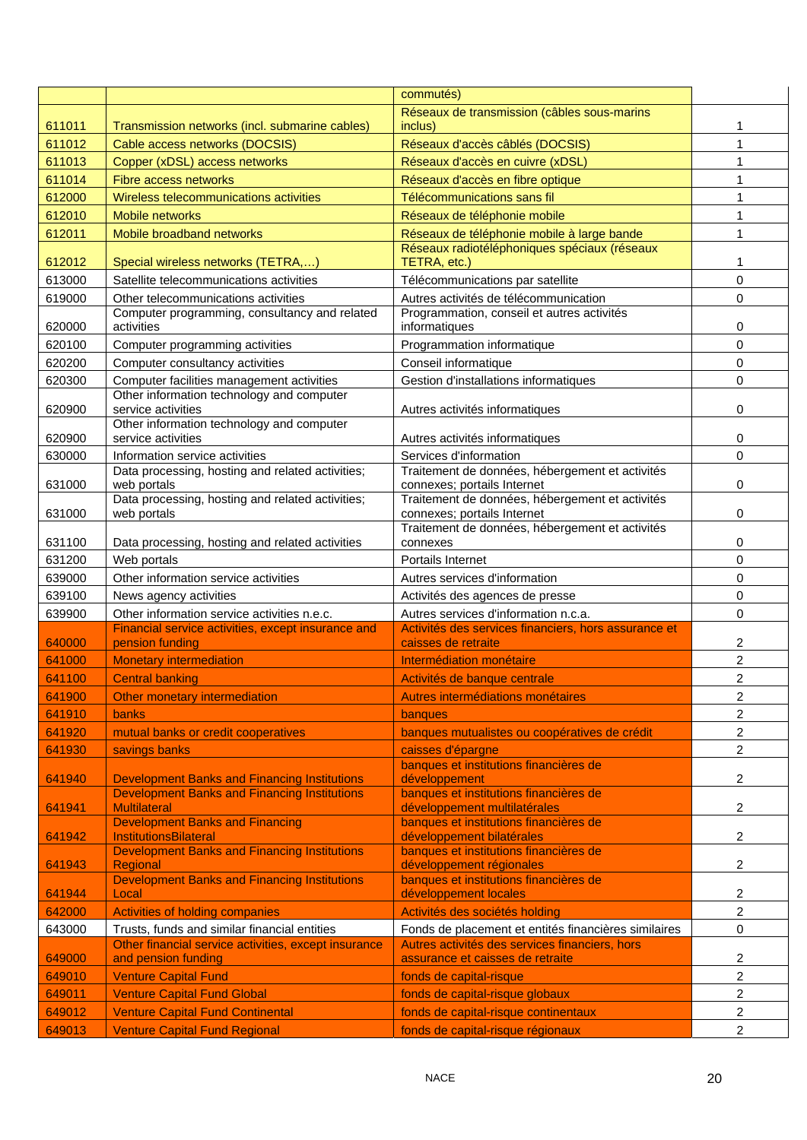|        |                                                                             | commutés)                                                                          |                         |
|--------|-----------------------------------------------------------------------------|------------------------------------------------------------------------------------|-------------------------|
|        |                                                                             | Réseaux de transmission (câbles sous-marins                                        |                         |
| 611011 | Transmission networks (incl. submarine cables)                              | inclus)                                                                            | 1                       |
| 611012 | Cable access networks (DOCSIS)                                              | Réseaux d'accès câblés (DOCSIS)                                                    | 1                       |
| 611013 | Copper (xDSL) access networks                                               | Réseaux d'accès en cuivre (xDSL)                                                   | 1                       |
| 611014 | Fibre access networks                                                       | Réseaux d'accès en fibre optique                                                   | 1                       |
| 612000 | Wireless telecommunications activities                                      | Télécommunications sans fil                                                        | 1                       |
| 612010 | <b>Mobile networks</b>                                                      | Réseaux de téléphonie mobile                                                       | 1                       |
| 612011 | Mobile broadband networks                                                   | Réseaux de téléphonie mobile à large bande                                         | 1                       |
| 612012 | Special wireless networks (TETRA,)                                          | Réseaux radiotéléphoniques spéciaux (réseaux<br>TETRA, etc.)                       | 1                       |
| 613000 | Satellite telecommunications activities                                     | Télécommunications par satellite                                                   | 0                       |
| 619000 | Other telecommunications activities                                         | Autres activités de télécommunication                                              | 0                       |
|        | Computer programming, consultancy and related                               | Programmation, conseil et autres activités                                         |                         |
| 620000 | activities                                                                  | informatiques                                                                      | 0                       |
| 620100 | Computer programming activities                                             | Programmation informatique                                                         | 0                       |
| 620200 | Computer consultancy activities                                             | Conseil informatique                                                               | 0                       |
| 620300 | Computer facilities management activities                                   | Gestion d'installations informatiques                                              | $\Omega$                |
| 620900 | Other information technology and computer<br>service activities             | Autres activités informatiques                                                     | 0                       |
|        | Other information technology and computer                                   |                                                                                    |                         |
| 620900 | service activities                                                          | Autres activités informatiques                                                     | 0                       |
| 630000 | Information service activities                                              | Services d'information                                                             | 0                       |
|        | Data processing, hosting and related activities;                            | Traitement de données, hébergement et activités                                    |                         |
| 631000 | web portals<br>Data processing, hosting and related activities;             | connexes; portails Internet<br>Traitement de données, hébergement et activités     | 0                       |
| 631000 | web portals                                                                 | connexes; portails Internet                                                        | 0                       |
|        |                                                                             | Traitement de données, hébergement et activités                                    |                         |
| 631100 | Data processing, hosting and related activities                             | connexes                                                                           | 0                       |
| 631200 | Web portals                                                                 | Portails Internet                                                                  | 0                       |
| 639000 | Other information service activities                                        | Autres services d'information                                                      | 0                       |
| 639100 | News agency activities                                                      | Activités des agences de presse                                                    | 0                       |
| 639900 | Other information service activities n.e.c.                                 | Autres services d'information n.c.a.                                               | 0                       |
| 640000 | Financial service activities, except insurance and<br>pension funding       | Activités des services financiers, hors assurance et<br>caisses de retraite        | 2                       |
| 641000 | <b>Monetary intermediation</b>                                              | Intermédiation monétaire                                                           | $\overline{c}$          |
| 641100 | <b>Central banking</b>                                                      | Activités de banque centrale                                                       | 2                       |
| 641900 | Other monetary intermediation                                               | Autres intermédiations monétaires                                                  | 2                       |
| 641910 | banks                                                                       | banques                                                                            | 2                       |
| 641920 | mutual banks or credit cooperatives                                         | banques mutualistes ou coopératives de crédit                                      | $\overline{\mathbf{c}}$ |
| 641930 | savings banks                                                               | caisses d'épargne                                                                  | 2                       |
|        |                                                                             | banques et institutions financières de                                             |                         |
| 641940 | <b>Development Banks and Financing Institutions</b>                         | développement                                                                      | 2                       |
|        | <b>Development Banks and Financing Institutions</b>                         | banques et institutions financières de                                             |                         |
| 641941 | <b>Multilateral</b><br><b>Development Banks and Financing</b>               | développement multilatérales<br>banques et institutions financières de             | 2                       |
| 641942 | <b>InstitutionsBilateral</b>                                                | développement bilatérales                                                          | $\overline{c}$          |
| 641943 | <b>Development Banks and Financing Institutions</b><br>Regional             | banques et institutions financières de<br>développement régionales                 | 2                       |
|        | <b>Development Banks and Financing Institutions</b>                         | banques et institutions financières de                                             |                         |
| 641944 | Local                                                                       | développement locales                                                              | 2                       |
| 642000 | <b>Activities of holding companies</b>                                      | Activités des sociétés holding                                                     | 2                       |
| 643000 | Trusts, funds and similar financial entities                                | Fonds de placement et entités financières similaires                               | $\mathbf 0$             |
| 649000 | Other financial service activities, except insurance<br>and pension funding | Autres activités des services financiers, hors<br>assurance et caisses de retraite | $\overline{\mathbf{c}}$ |
| 649010 | <b>Venture Capital Fund</b>                                                 | fonds de capital-risque                                                            | 2                       |
| 649011 | <b>Venture Capital Fund Global</b>                                          | fonds de capital-risque globaux                                                    | 2                       |
| 649012 | <b>Venture Capital Fund Continental</b>                                     | fonds de capital-risque continentaux                                               | 2                       |
| 649013 | <b>Venture Capital Fund Regional</b>                                        | fonds de capital-risque régionaux                                                  | $\overline{2}$          |
|        |                                                                             |                                                                                    |                         |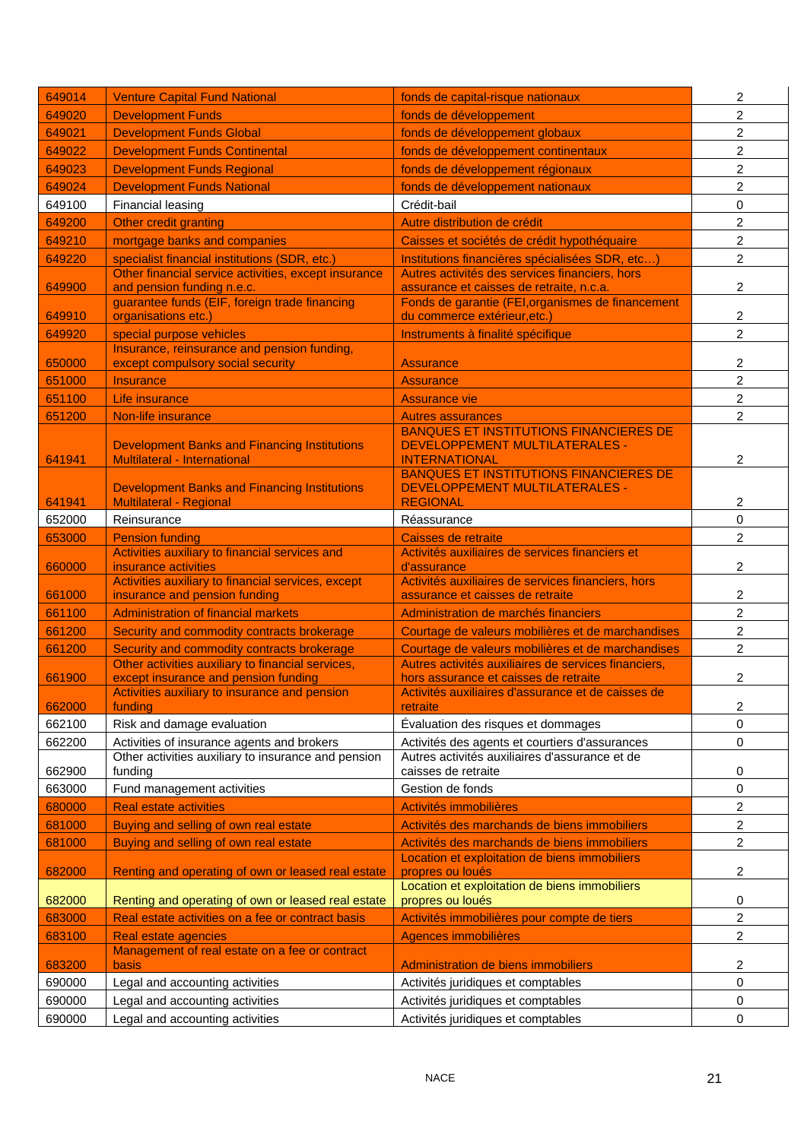| 649014 | <b>Venture Capital Fund National</b>                                             | fonds de capital-risque nationaux                                                             | 2                       |
|--------|----------------------------------------------------------------------------------|-----------------------------------------------------------------------------------------------|-------------------------|
| 649020 | <b>Development Funds</b>                                                         | fonds de développement                                                                        | 2                       |
| 649021 | <b>Development Funds Global</b>                                                  | fonds de développement globaux                                                                | 2                       |
| 649022 | <b>Development Funds Continental</b>                                             | fonds de développement continentaux                                                           | 2                       |
| 649023 | <b>Development Funds Regional</b>                                                | fonds de développement régionaux                                                              | $\overline{c}$          |
| 649024 | <b>Development Funds National</b>                                                | fonds de développement nationaux                                                              | $\overline{c}$          |
| 649100 | <b>Financial leasing</b>                                                         | Crédit-bail                                                                                   | 0                       |
| 649200 | Other credit granting                                                            | Autre distribution de crédit                                                                  | 2                       |
| 649210 | mortgage banks and companies                                                     | Caisses et sociétés de crédit hypothéquaire                                                   | $\overline{c}$          |
| 649220 | specialist financial institutions (SDR, etc.)                                    | Institutions financières spécialisées SDR, etc)                                               | 2                       |
|        | Other financial service activities, except insurance                             | Autres activités des services financiers, hors                                                |                         |
| 649900 | and pension funding n.e.c.<br>guarantee funds (EIF, foreign trade financing      | assurance et caisses de retraite, n.c.a.<br>Fonds de garantie (FEI, organismes de financement | 2                       |
| 649910 | organisations etc.)                                                              | du commerce extérieur, etc.)                                                                  | 2                       |
| 649920 | special purpose vehicles                                                         | Instruments à finalité spécifique                                                             | $\overline{c}$          |
| 650000 | Insurance, reinsurance and pension funding,<br>except compulsory social security | <b>Assurance</b>                                                                              | 2                       |
| 651000 | <b>Insurance</b>                                                                 | <b>Assurance</b>                                                                              | 2                       |
| 651100 | Life insurance                                                                   | <b>Assurance vie</b>                                                                          | $\overline{c}$          |
| 651200 | Non-life insurance                                                               | <b>Autres assurances</b>                                                                      | 2                       |
|        |                                                                                  | <b>BANQUES ET INSTITUTIONS FINANCIERES DE</b>                                                 |                         |
|        | <b>Development Banks and Financing Institutions</b>                              | <b>DEVELOPPEMENT MULTILATERALES -</b>                                                         |                         |
| 641941 | <b>Multilateral - International</b>                                              | <b>INTERNATIONAL</b><br><b>BANQUES ET INSTITUTIONS FINANCIERES DE</b>                         | 2                       |
|        | <b>Development Banks and Financing Institutions</b>                              | <b>DEVELOPPEMENT MULTILATERALES -</b>                                                         |                         |
| 641941 | <b>Multilateral - Regional</b>                                                   | <b>REGIONAL</b>                                                                               | 2                       |
| 652000 | Reinsurance                                                                      | Réassurance                                                                                   | 0                       |
| 653000 | <b>Pension funding</b>                                                           | Caisses de retraite                                                                           | 2                       |
|        | Activities auxiliary to financial services and                                   | Activités auxiliaires de services financiers et                                               |                         |
|        |                                                                                  |                                                                                               |                         |
| 660000 | insurance activities<br>Activities auxiliary to financial services, except       | d'assurance<br>Activités auxiliaires de services financiers, hors                             | 2                       |
| 661000 | insurance and pension funding                                                    | assurance et caisses de retraite                                                              | 2                       |
| 661100 | <b>Administration of financial markets</b>                                       | Administration de marchés financiers                                                          | 2                       |
| 661200 | Security and commodity contracts brokerage                                       | Courtage de valeurs mobilières et de marchandises                                             | 2                       |
| 661200 | Security and commodity contracts brokerage                                       | Courtage de valeurs mobilières et de marchandises                                             | 2                       |
|        | Other activities auxiliary to financial services,                                | Autres activités auxiliaires de services financiers,                                          |                         |
| 661900 | except insurance and pension funding                                             | hors assurance et caisses de retraite                                                         | 2                       |
| 662000 | Activities auxiliary to insurance and pension<br>funding                         | Activités auxiliaires d'assurance et de caisses de<br>retraite                                | 2                       |
| 662100 | Risk and damage evaluation                                                       | Évaluation des risques et dommages                                                            | 0                       |
| 662200 | Activities of insurance agents and brokers                                       | Activités des agents et courtiers d'assurances                                                | 0                       |
|        | Other activities auxiliary to insurance and pension                              | Autres activités auxiliaires d'assurance et de                                                |                         |
| 662900 | funding                                                                          | caisses de retraite                                                                           | 0                       |
| 663000 | Fund management activities                                                       | Gestion de fonds                                                                              | 0                       |
| 680000 | <b>Real estate activities</b>                                                    | Activités immobilières                                                                        | 2                       |
| 681000 | Buying and selling of own real estate                                            | Activités des marchands de biens immobiliers                                                  | 2                       |
| 681000 | Buying and selling of own real estate                                            | Activités des marchands de biens immobiliers<br>Location et exploitation de biens immobiliers | 2                       |
| 682000 | Renting and operating of own or leased real estate                               | propres ou loués                                                                              | 2                       |
|        |                                                                                  | Location et exploitation de biens immobiliers                                                 |                         |
| 682000 | Renting and operating of own or leased real estate                               | propres ou loués                                                                              | 0                       |
| 683000 | Real estate activities on a fee or contract basis                                | Activités immobilières pour compte de tiers                                                   | $\overline{\mathbf{c}}$ |
| 683100 | Real estate agencies                                                             | Agences immobilières                                                                          | 2                       |
| 683200 | Management of real estate on a fee or contract<br>basis                          | Administration de biens immobiliers                                                           | 2                       |
| 690000 | Legal and accounting activities                                                  | Activités juridiques et comptables                                                            | 0                       |
| 690000 | Legal and accounting activities                                                  | Activités juridiques et comptables                                                            | 0                       |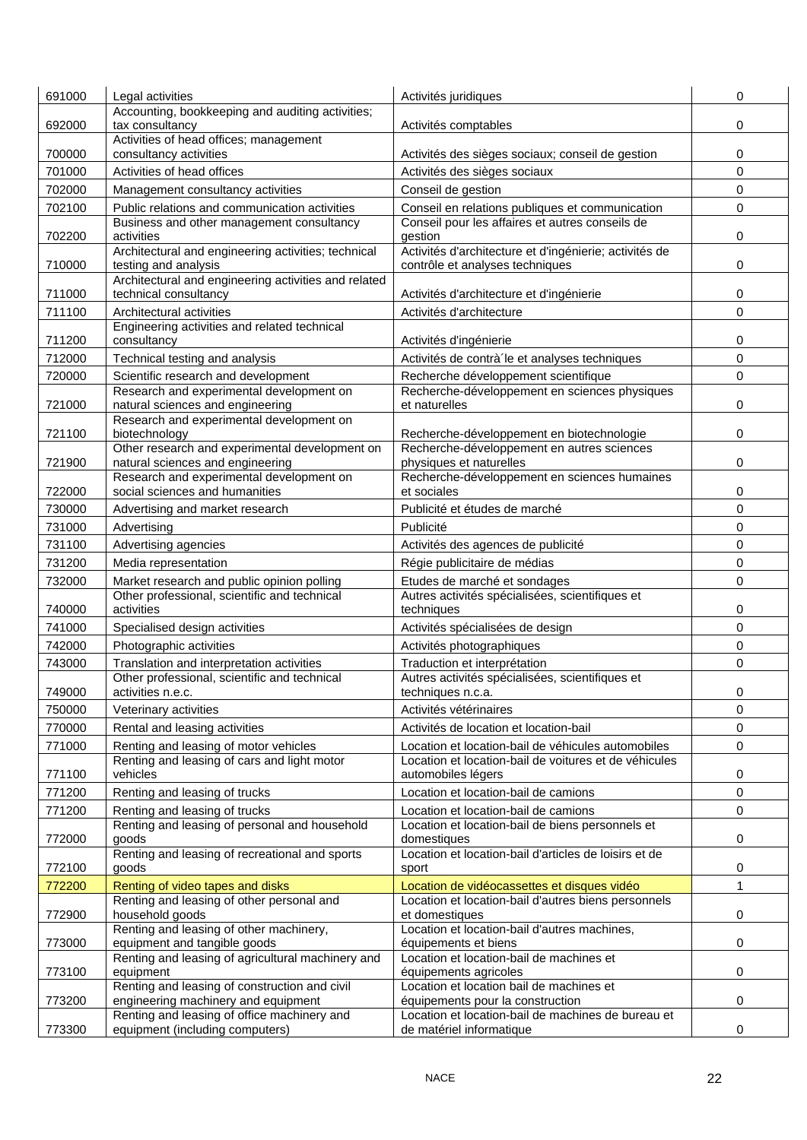| 691000 | Legal activities                                                              | Activités juridiques                                                                      | 0 |
|--------|-------------------------------------------------------------------------------|-------------------------------------------------------------------------------------------|---|
|        | Accounting, bookkeeping and auditing activities;                              |                                                                                           |   |
| 692000 | tax consultancy<br>Activities of head offices; management                     | Activités comptables                                                                      | 0 |
| 700000 | consultancy activities                                                        | Activités des sièges sociaux; conseil de gestion                                          | 0 |
| 701000 | Activities of head offices                                                    | Activités des sièges sociaux                                                              | 0 |
| 702000 | Management consultancy activities                                             | Conseil de gestion                                                                        | 0 |
| 702100 | Public relations and communication activities                                 | Conseil en relations publiques et communication                                           | 0 |
| 702200 | Business and other management consultancy<br>activities                       | Conseil pour les affaires et autres conseils de<br>gestion                                | 0 |
| 710000 | Architectural and engineering activities; technical<br>testing and analysis   | Activités d'architecture et d'ingénierie; activités de<br>contrôle et analyses techniques | 0 |
| 711000 | Architectural and engineering activities and related<br>technical consultancy | Activités d'architecture et d'ingénierie                                                  | 0 |
| 711100 | Architectural activities                                                      | Activités d'architecture                                                                  | 0 |
|        | Engineering activities and related technical                                  |                                                                                           |   |
| 711200 | consultancy                                                                   | Activités d'ingénierie                                                                    | 0 |
| 712000 | Technical testing and analysis                                                | Activités de contrà le et analyses techniques                                             | 0 |
| 720000 | Scientific research and development                                           | Recherche développement scientifique                                                      | 0 |
| 721000 | Research and experimental development on<br>natural sciences and engineering  | Recherche-développement en sciences physiques<br>et naturelles                            | 0 |
|        | Research and experimental development on                                      |                                                                                           |   |
| 721100 | biotechnology                                                                 | Recherche-développement en biotechnologie                                                 | 0 |
|        | Other research and experimental development on                                | Recherche-développement en autres sciences                                                |   |
| 721900 | natural sciences and engineering<br>Research and experimental development on  | physiques et naturelles<br>Recherche-développement en sciences humaines                   | 0 |
| 722000 | social sciences and humanities                                                | et sociales                                                                               | 0 |
| 730000 | Advertising and market research                                               | Publicité et études de marché                                                             | 0 |
| 731000 | Advertising                                                                   | Publicité                                                                                 | 0 |
| 731100 | Advertising agencies                                                          | Activités des agences de publicité                                                        | 0 |
| 731200 | Media representation                                                          | Régie publicitaire de médias                                                              | 0 |
| 732000 | Market research and public opinion polling                                    | Etudes de marché et sondages                                                              | 0 |
|        | Other professional, scientific and technical                                  | Autres activités spécialisées, scientifiques et                                           |   |
| 740000 | activities                                                                    | techniques                                                                                | 0 |
| 741000 | Specialised design activities                                                 | Activités spécialisées de design                                                          | 0 |
| 742000 | Photographic activities                                                       | Activités photographiques                                                                 | 0 |
| 743000 | Translation and interpretation activities                                     | Traduction et interprétation                                                              | 0 |
| 749000 | Other professional, scientific and technical<br>activities n.e.c.             | Autres activités spécialisées, scientifiques et<br>techniques n.c.a.                      | 0 |
| 750000 | Veterinary activities                                                         | Activités vétérinaires                                                                    | 0 |
| 770000 | Rental and leasing activities                                                 | Activités de location et location-bail                                                    | 0 |
| 771000 | Renting and leasing of motor vehicles                                         | Location et location-bail de véhicules automobiles                                        | 0 |
|        | Renting and leasing of cars and light motor                                   | Location et location-bail de voitures et de véhicules                                     |   |
| 771100 | vehicles                                                                      | automobiles légers                                                                        | 0 |
| 771200 | Renting and leasing of trucks                                                 | Location et location-bail de camions                                                      | 0 |
| 771200 | Renting and leasing of trucks                                                 | Location et location-bail de camions                                                      | 0 |
| 772000 | Renting and leasing of personal and household<br>goods                        | Location et location-bail de biens personnels et<br>domestiques                           | 0 |
| 772100 | Renting and leasing of recreational and sports<br>goods                       | Location et location-bail d'articles de loisirs et de<br>sport                            | 0 |
| 772200 | Renting of video tapes and disks                                              | Location de vidéocassettes et disques vidéo                                               | 1 |
| 772900 | Renting and leasing of other personal and<br>household goods                  | Location et location-bail d'autres biens personnels<br>et domestiques                     | 0 |
| 773000 | Renting and leasing of other machinery,<br>equipment and tangible goods       | Location et location-bail d'autres machines,<br>équipements et biens                      | 0 |
|        | Renting and leasing of agricultural machinery and                             | Location et location-bail de machines et                                                  |   |
| 773100 | equipment<br>Renting and leasing of construction and civil                    | équipements agricoles<br>Location et location bail de machines et                         | 0 |
| 773200 | engineering machinery and equipment                                           | équipements pour la construction                                                          | 0 |
|        | Renting and leasing of office machinery and                                   | Location et location-bail de machines de bureau et                                        |   |
| 773300 | equipment (including computers)                                               | de matériel informatique                                                                  | 0 |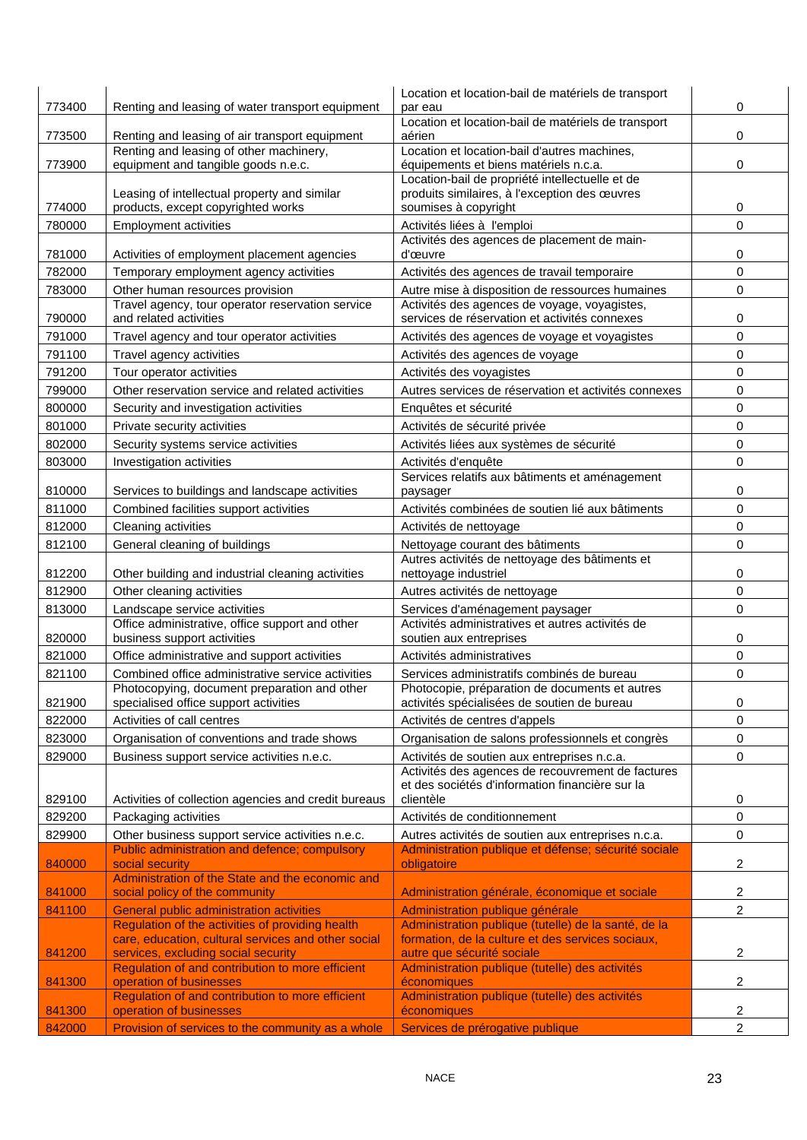| 773400           | Renting and leasing of water transport equipment                                                    | Location et location-bail de matériels de transport<br>par eau                                | 0      |
|------------------|-----------------------------------------------------------------------------------------------------|-----------------------------------------------------------------------------------------------|--------|
|                  |                                                                                                     | Location et location-bail de matériels de transport                                           |        |
| 773500           | Renting and leasing of air transport equipment                                                      | aérien<br>Location et location-bail d'autres machines,                                        | 0      |
| 773900           | Renting and leasing of other machinery,<br>equipment and tangible goods n.e.c.                      | équipements et biens matériels n.c.a.                                                         | 0      |
|                  |                                                                                                     | Location-bail de propriété intellectuelle et de                                               |        |
|                  | Leasing of intellectual property and similar                                                        | produits similaires, à l'exception des œuvres                                                 |        |
| 774000           | products, except copyrighted works                                                                  | soumises à copyright                                                                          | 0      |
| 780000           | <b>Employment activities</b>                                                                        | Activités liées à l'emploi<br>Activités des agences de placement de main-                     | 0      |
| 781000           | Activities of employment placement agencies                                                         | d'œuvre                                                                                       | 0      |
| 782000           | Temporary employment agency activities                                                              | Activités des agences de travail temporaire                                                   | 0      |
| 783000           | Other human resources provision                                                                     | Autre mise à disposition de ressources humaines                                               | 0      |
| 790000           | Travel agency, tour operator reservation service<br>and related activities                          | Activités des agences de voyage, voyagistes,<br>services de réservation et activités connexes | 0      |
| 791000           | Travel agency and tour operator activities                                                          | Activités des agences de voyage et voyagistes                                                 | 0      |
| 791100           | Travel agency activities                                                                            | Activités des agences de voyage                                                               | 0      |
| 791200           | Tour operator activities                                                                            | Activités des voyagistes                                                                      | 0      |
| 799000           | Other reservation service and related activities                                                    | Autres services de réservation et activités connexes                                          | 0      |
| 800000           | Security and investigation activities                                                               | Enquêtes et sécurité                                                                          | 0      |
| 801000           | Private security activities                                                                         | Activités de sécurité privée                                                                  | 0      |
| 802000           | Security systems service activities                                                                 | Activités liées aux systèmes de sécurité                                                      | 0      |
| 803000           | Investigation activities                                                                            | Activités d'enquête                                                                           | 0      |
|                  |                                                                                                     | Services relatifs aux bâtiments et aménagement                                                |        |
| 810000           | Services to buildings and landscape activities                                                      | paysager                                                                                      | 0      |
| 811000           | Combined facilities support activities                                                              | Activités combinées de soutien lié aux bâtiments                                              | 0      |
| 812000           | Cleaning activities                                                                                 | Activités de nettoyage                                                                        | 0      |
| 812100           | General cleaning of buildings                                                                       | Nettoyage courant des bâtiments                                                               | 0      |
| 812200           | Other building and industrial cleaning activities                                                   | Autres activités de nettoyage des bâtiments et<br>nettoyage industriel                        | 0      |
| 812900           | Other cleaning activities                                                                           | Autres activités de nettoyage                                                                 | 0      |
| 813000           | Landscape service activities                                                                        | Services d'aménagement paysager                                                               | 0      |
|                  | Office administrative, office support and other                                                     | Activités administratives et autres activités de                                              |        |
| 820000           | business support activities                                                                         | soutien aux entreprises                                                                       | 0      |
| 821000           | Office administrative and support activities                                                        | Activités administratives                                                                     | 0      |
| 821100           | Combined office administrative service activities                                                   | Services administratifs combinés de bureau                                                    | 0      |
| 821900           | Photocopying, document preparation and other<br>specialised office support activities               | Photocopie, préparation de documents et autres<br>activités spécialisées de soutien de bureau | 0      |
| 822000           | Activities of call centres                                                                          | Activités de centres d'appels                                                                 | 0      |
| 823000           | Organisation of conventions and trade shows                                                         | Organisation de salons professionnels et congrès                                              | 0      |
| 829000           | Business support service activities n.e.c.                                                          | Activités de soutien aux entreprises n.c.a.                                                   | 0      |
|                  |                                                                                                     | Activités des agences de recouvrement de factures                                             |        |
|                  |                                                                                                     | et des sociétés d'information financière sur la<br>clientèle                                  |        |
| 829100<br>829200 | Activities of collection agencies and credit bureaus<br>Packaging activities                        | Activités de conditionnement                                                                  | 0<br>0 |
| 829900           | Other business support service activities n.e.c.                                                    | Autres activités de soutien aux entreprises n.c.a.                                            | 0      |
|                  | Public administration and defence; compulsory                                                       | Administration publique et défense; sécurité sociale                                          |        |
| 840000           | social security                                                                                     | obligatoire                                                                                   | 2      |
|                  | Administration of the State and the economic and                                                    |                                                                                               |        |
| 841000           | social policy of the community                                                                      | Administration générale, économique et sociale                                                | 2      |
| 841100           | <b>General public administration activities</b><br>Regulation of the activities of providing health | Administration publique générale<br>Administration publique (tutelle) de la santé, de la      | 2      |
|                  | care, education, cultural services and other social                                                 | formation, de la culture et des services sociaux,                                             |        |
| 841200           | services, excluding social security                                                                 | autre que sécurité sociale                                                                    | 2      |
| 841300           | Regulation of and contribution to more efficient<br>operation of businesses                         | Administration publique (tutelle) des activités<br>économiques                                | 2      |
|                  | Regulation of and contribution to more efficient                                                    | Administration publique (tutelle) des activités                                               |        |
| 841300           | operation of businesses                                                                             | économiques                                                                                   | 2      |
| 842000           | Provision of services to the community as a whole                                                   | Services de prérogative publique                                                              | 2      |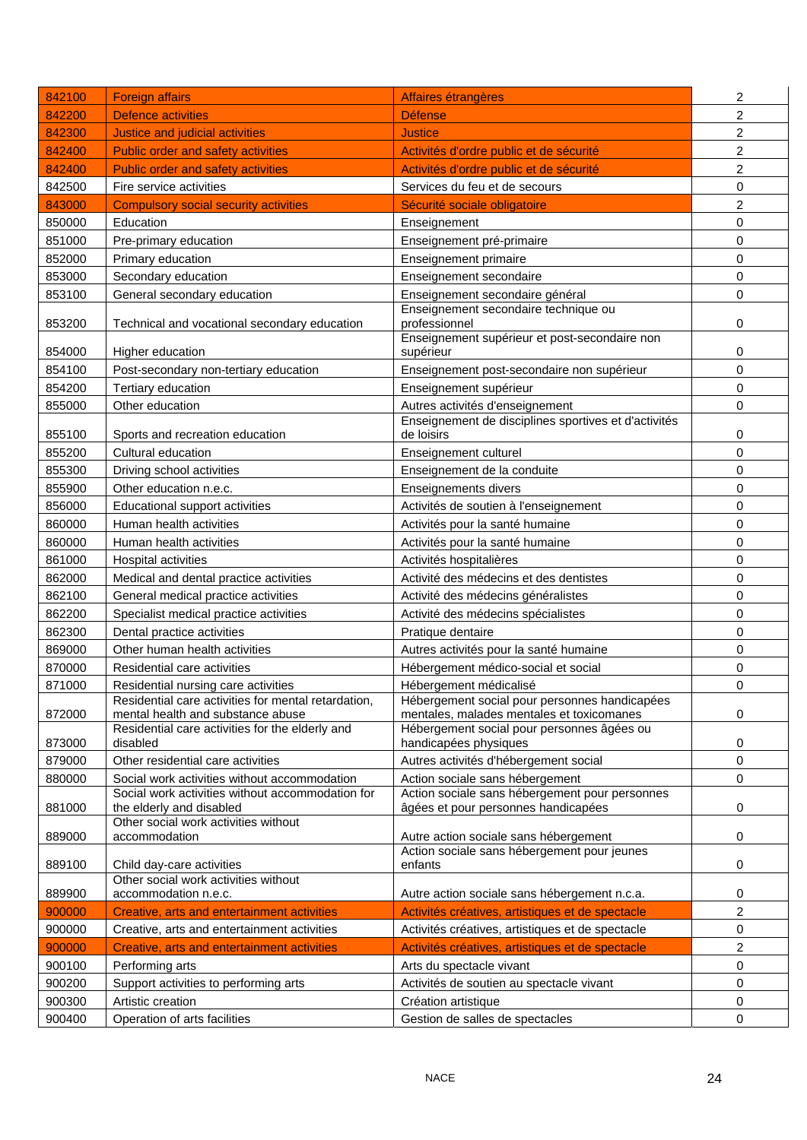| 842100 | <b>Foreign affairs</b>                                                               | Affaires étrangères                                                                     | 2              |
|--------|--------------------------------------------------------------------------------------|-----------------------------------------------------------------------------------------|----------------|
| 842200 | <b>Defence activities</b>                                                            | <b>Défense</b>                                                                          | 2              |
| 842300 | Justice and judicial activities                                                      | <b>Justice</b>                                                                          | 2              |
| 842400 | Public order and safety activities                                                   | Activités d'ordre public et de sécurité                                                 | $\overline{c}$ |
| 842400 | Public order and safety activities                                                   | Activités d'ordre public et de sécurité                                                 | 2              |
| 842500 | Fire service activities                                                              | Services du feu et de secours                                                           | 0              |
| 843000 | <b>Compulsory social security activities</b>                                         | Sécurité sociale obligatoire                                                            | 2              |
| 850000 | Education                                                                            | Enseignement                                                                            | 0              |
| 851000 | Pre-primary education                                                                | Enseignement pré-primaire                                                               | 0              |
| 852000 | Primary education                                                                    | Enseignement primaire                                                                   | 0              |
| 853000 | Secondary education                                                                  | Enseignement secondaire                                                                 | 0              |
| 853100 | General secondary education                                                          | Enseignement secondaire général                                                         | 0              |
|        |                                                                                      | Enseignement secondaire technique ou                                                    |                |
| 853200 | Technical and vocational secondary education                                         | professionnel<br>Enseignement supérieur et post-secondaire non                          | 0              |
| 854000 | Higher education                                                                     | supérieur                                                                               | 0              |
| 854100 | Post-secondary non-tertiary education                                                | Enseignement post-secondaire non supérieur                                              | 0              |
| 854200 | Tertiary education                                                                   | Enseignement supérieur                                                                  | 0              |
| 855000 | Other education                                                                      | Autres activités d'enseignement                                                         | 0              |
| 855100 | Sports and recreation education                                                      | Enseignement de disciplines sportives et d'activités<br>de loisirs                      | 0              |
| 855200 | Cultural education                                                                   | Enseignement culturel                                                                   | 0              |
| 855300 | Driving school activities                                                            | Enseignement de la conduite                                                             | 0              |
| 855900 | Other education n.e.c.                                                               | Enseignements divers                                                                    | 0              |
| 856000 | Educational support activities                                                       | Activités de soutien à l'enseignement                                                   | 0              |
| 860000 | Human health activities                                                              | Activités pour la santé humaine                                                         | 0              |
| 860000 | Human health activities                                                              | Activités pour la santé humaine                                                         | 0              |
| 861000 | Hospital activities                                                                  | Activités hospitalières                                                                 | 0              |
| 862000 | Medical and dental practice activities                                               | Activité des médecins et des dentistes                                                  | 0              |
| 862100 | General medical practice activities                                                  | Activité des médecins généralistes                                                      | 0              |
| 862200 | Specialist medical practice activities                                               | Activité des médecins spécialistes                                                      | 0              |
| 862300 | Dental practice activities                                                           | Pratique dentaire                                                                       | 0              |
| 869000 | Other human health activities                                                        | Autres activités pour la santé humaine                                                  | 0              |
| 870000 | Residential care activities                                                          | Hébergement médico-social et social                                                     | 0              |
| 871000 | Residential nursing care activities                                                  | Hébergement médicalisé                                                                  | 0              |
|        | Residential care activities for mental retardation,                                  | Hébergement social pour personnes handicapées                                           |                |
| 872000 | mental health and substance abuse<br>Residential care activities for the elderly and | mentales, malades mentales et toxicomanes<br>Hébergement social pour personnes âgées ou | 0              |
| 873000 | disabled                                                                             | handicapées physiques                                                                   | 0              |
| 879000 | Other residential care activities                                                    | Autres activités d'hébergement social                                                   | 0              |
| 880000 | Social work activities without accommodation                                         | Action sociale sans hébergement                                                         | 0              |
|        | Social work activities without accommodation for                                     | Action sociale sans hébergement pour personnes                                          |                |
| 881000 | the elderly and disabled<br>Other social work activities without                     | âgées et pour personnes handicapées                                                     | 0              |
| 889000 | accommodation                                                                        | Autre action sociale sans hébergement                                                   | 0              |
|        |                                                                                      | Action sociale sans hébergement pour jeunes                                             |                |
| 889100 | Child day-care activities<br>Other social work activities without                    | enfants                                                                                 | 0              |
| 889900 | accommodation n.e.c.                                                                 | Autre action sociale sans hébergement n.c.a.                                            | 0              |
| 900000 | Creative, arts and entertainment activities                                          | Activités créatives, artistiques et de spectacle                                        | 2              |
| 900000 | Creative, arts and entertainment activities                                          | Activités créatives, artistiques et de spectacle                                        | 0              |
| 900000 | Creative, arts and entertainment activities                                          | Activités créatives, artistiques et de spectacle                                        | 2              |
| 900100 | Performing arts                                                                      | Arts du spectacle vivant                                                                | 0              |
| 900200 | Support activities to performing arts                                                | Activités de soutien au spectacle vivant                                                | 0              |
| 900300 | Artistic creation                                                                    | Création artistique                                                                     | 0              |
| 900400 | Operation of arts facilities                                                         | Gestion de salles de spectacles                                                         | 0              |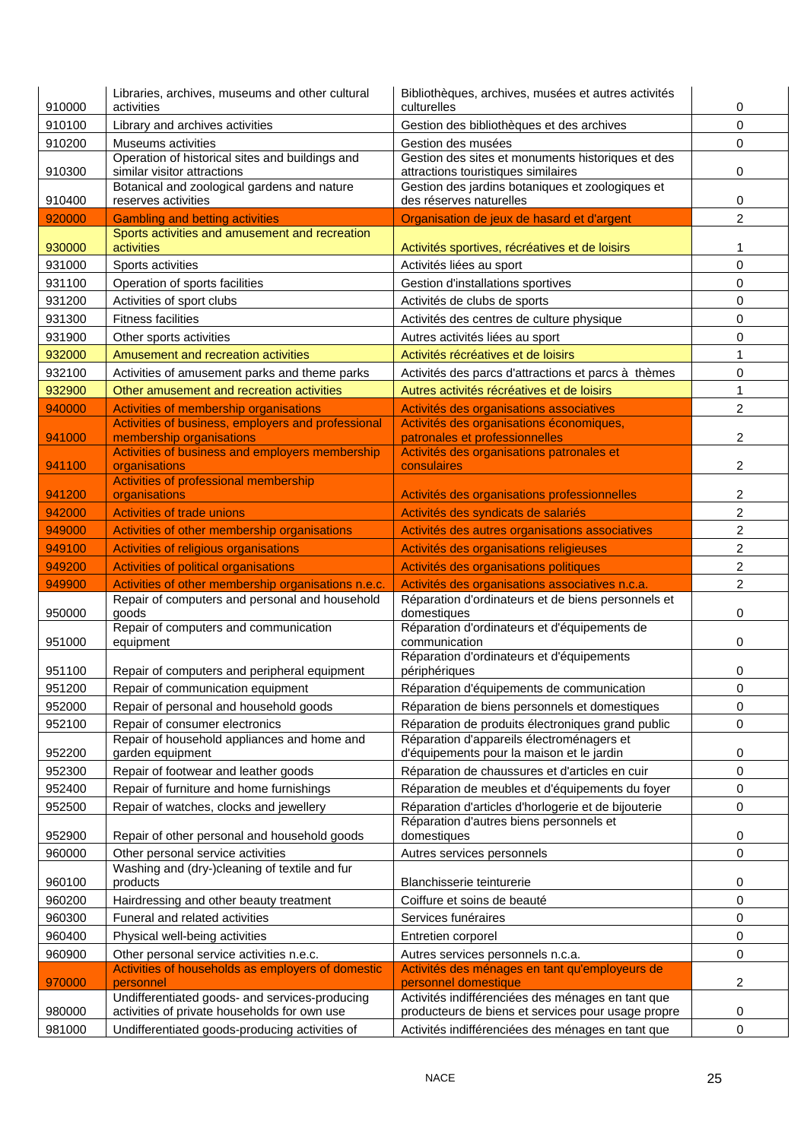| 0<br>910100<br>Library and archives activities<br>Gestion des bibliothèques et des archives<br>910200<br>Museums activities<br>Gestion des musées<br>0<br>Operation of historical sites and buildings and<br>Gestion des sites et monuments historiques et des<br>similar visitor attractions<br>attractions touristiques similaires<br>910300<br>0<br>Botanical and zoological gardens and nature<br>Gestion des jardins botaniques et zoologiques et<br>910400<br>reserves activities<br>des réserves naturelles<br>0<br>2<br>920000<br><b>Gambling and betting activities</b><br>Organisation de jeux de hasard et d'argent<br>Sports activities and amusement and recreation<br>930000<br>activities<br>Activités sportives, récréatives et de loisirs<br>1<br>931000<br>0<br>Sports activities<br>Activités liées au sport<br>931100<br>Operation of sports facilities<br>Gestion d'installations sportives<br>0<br>931200<br>0<br>Activities of sport clubs<br>Activités de clubs de sports<br>931300<br>0<br><b>Fitness facilities</b><br>Activités des centres de culture physique<br>0<br>931900<br>Other sports activities<br>Autres activités liées au sport<br>932000<br>Amusement and recreation activities<br>Activités récréatives et de loisirs<br>1<br>932100<br>0<br>Activities of amusement parks and theme parks<br>Activités des parcs d'attractions et parcs à thèmes<br>932900<br>Other amusement and recreation activities<br>1<br>Autres activités récréatives et de loisirs<br>2<br>940000<br>Activities of membership organisations<br>Activités des organisations associatives<br>Activities of business, employers and professional<br>Activités des organisations économiques,<br>2<br>941000<br>patronales et professionnelles<br>membership organisations<br>Activities of business and employers membership<br>Activités des organisations patronales et<br>2<br>941100<br>organisations<br>consulaires<br>Activities of professional membership<br>2<br>941200<br>organisations<br>Activités des organisations professionnelles<br>2<br>942000<br><b>Activities of trade unions</b><br>Activités des syndicats de salariés<br>$\overline{c}$<br>949000<br>Activities of other membership organisations<br>Activités des autres organisations associatives<br>$\overline{c}$<br>949100<br>Activities of religious organisations<br>Activités des organisations religieuses<br>949200<br>2<br>Activities of political organisations<br>Activités des organisations politiques<br>2<br>949900<br>Activities of other membership organisations n.e.c.<br>Activités des organisations associatives n.c.a.<br>Repair of computers and personal and household<br>Réparation d'ordinateurs et de biens personnels et<br>950000<br>goods<br>domestiques<br>0<br>Repair of computers and communication<br>Réparation d'ordinateurs et d'équipements de<br>0<br>951000<br>equipment<br>communication<br>Réparation d'ordinateurs et d'équipements<br>951100<br>Repair of computers and peripheral equipment<br>périphériques<br>0<br>951200<br>Repair of communication equipment<br>Réparation d'équipements de communication<br>0<br>952000<br>0<br>Repair of personal and household goods<br>Réparation de biens personnels et domestiques<br>952100<br>Réparation de produits électroniques grand public<br>0<br>Repair of consumer electronics<br>Repair of household appliances and home and<br>Réparation d'appareils électroménagers et<br>952200<br>d'équipements pour la maison et le jardin<br>garden equipment<br>0<br>952300<br>Réparation de chaussures et d'articles en cuir<br>0<br>Repair of footwear and leather goods<br>Repair of furniture and home furnishings<br>952400<br>Réparation de meubles et d'équipements du foyer<br>0<br>952500<br>Repair of watches, clocks and jewellery<br>Réparation d'articles d'horlogerie et de bijouterie<br>0<br>Réparation d'autres biens personnels et<br>952900<br>Repair of other personal and household goods<br>domestiques<br>0<br>0<br>960000<br>Other personal service activities<br>Autres services personnels<br>Washing and (dry-)cleaning of textile and fur<br>960100<br>products<br>Blanchisserie teinturerie<br>0<br>960200<br>0<br>Hairdressing and other beauty treatment<br>Coiffure et soins de beauté<br>960300<br>0<br>Funeral and related activities<br>Services funéraires<br>960400<br>0<br>Physical well-being activities<br>Entretien corporel<br>960900<br>0<br>Other personal service activities n.e.c.<br>Autres services personnels n.c.a.<br>Activities of households as employers of domestic<br>Activités des ménages en tant qu'employeurs de<br>2<br>970000<br>personnel<br>personnel domestique | 910000 | Libraries, archives, museums and other cultural<br>activities | Bibliothèques, archives, musées et autres activités<br>culturelles | 0 |
|----------------------------------------------------------------------------------------------------------------------------------------------------------------------------------------------------------------------------------------------------------------------------------------------------------------------------------------------------------------------------------------------------------------------------------------------------------------------------------------------------------------------------------------------------------------------------------------------------------------------------------------------------------------------------------------------------------------------------------------------------------------------------------------------------------------------------------------------------------------------------------------------------------------------------------------------------------------------------------------------------------------------------------------------------------------------------------------------------------------------------------------------------------------------------------------------------------------------------------------------------------------------------------------------------------------------------------------------------------------------------------------------------------------------------------------------------------------------------------------------------------------------------------------------------------------------------------------------------------------------------------------------------------------------------------------------------------------------------------------------------------------------------------------------------------------------------------------------------------------------------------------------------------------------------------------------------------------------------------------------------------------------------------------------------------------------------------------------------------------------------------------------------------------------------------------------------------------------------------------------------------------------------------------------------------------------------------------------------------------------------------------------------------------------------------------------------------------------------------------------------------------------------------------------------------------------------------------------------------------------------------------------------------------------------------------------------------------------------------------------------------------------------------------------------------------------------------------------------------------------------------------------------------------------------------------------------------------------------------------------------------------------------------------------------------------------------------------------------------------------------------------------------------------------------------------------------------------------------------------------------------------------------------------------------------------------------------------------------------------------------------------------------------------------------------------------------------------------------------------------------------------------------------------------------------------------------------------------------------------------------------------------------------------------------------------------------------------------------------------------------------------------------------------------------------------------------------------------------------------------------------------------------------------------------------------------------------------------------------------------------------------------------------------------------------------------------------------------------------------------------------------------------------------------------------------------------------------------------------------------------------------------------------------------------------------------------------------------------------------------------------------------------------------------------------------------------------------------------------------------------------------------------------------------------------------------------------------------------------------------------------------------------------------------------------------------------------------------|--------|---------------------------------------------------------------|--------------------------------------------------------------------|---|
|                                                                                                                                                                                                                                                                                                                                                                                                                                                                                                                                                                                                                                                                                                                                                                                                                                                                                                                                                                                                                                                                                                                                                                                                                                                                                                                                                                                                                                                                                                                                                                                                                                                                                                                                                                                                                                                                                                                                                                                                                                                                                                                                                                                                                                                                                                                                                                                                                                                                                                                                                                                                                                                                                                                                                                                                                                                                                                                                                                                                                                                                                                                                                                                                                                                                                                                                                                                                                                                                                                                                                                                                                                                                                                                                                                                                                                                                                                                                                                                                                                                                                                                                                                                                                                                                                                                                                                                                                                                                                                                                                                                                                                                                                                                      |        |                                                               |                                                                    |   |
|                                                                                                                                                                                                                                                                                                                                                                                                                                                                                                                                                                                                                                                                                                                                                                                                                                                                                                                                                                                                                                                                                                                                                                                                                                                                                                                                                                                                                                                                                                                                                                                                                                                                                                                                                                                                                                                                                                                                                                                                                                                                                                                                                                                                                                                                                                                                                                                                                                                                                                                                                                                                                                                                                                                                                                                                                                                                                                                                                                                                                                                                                                                                                                                                                                                                                                                                                                                                                                                                                                                                                                                                                                                                                                                                                                                                                                                                                                                                                                                                                                                                                                                                                                                                                                                                                                                                                                                                                                                                                                                                                                                                                                                                                                                      |        |                                                               |                                                                    |   |
|                                                                                                                                                                                                                                                                                                                                                                                                                                                                                                                                                                                                                                                                                                                                                                                                                                                                                                                                                                                                                                                                                                                                                                                                                                                                                                                                                                                                                                                                                                                                                                                                                                                                                                                                                                                                                                                                                                                                                                                                                                                                                                                                                                                                                                                                                                                                                                                                                                                                                                                                                                                                                                                                                                                                                                                                                                                                                                                                                                                                                                                                                                                                                                                                                                                                                                                                                                                                                                                                                                                                                                                                                                                                                                                                                                                                                                                                                                                                                                                                                                                                                                                                                                                                                                                                                                                                                                                                                                                                                                                                                                                                                                                                                                                      |        |                                                               |                                                                    |   |
|                                                                                                                                                                                                                                                                                                                                                                                                                                                                                                                                                                                                                                                                                                                                                                                                                                                                                                                                                                                                                                                                                                                                                                                                                                                                                                                                                                                                                                                                                                                                                                                                                                                                                                                                                                                                                                                                                                                                                                                                                                                                                                                                                                                                                                                                                                                                                                                                                                                                                                                                                                                                                                                                                                                                                                                                                                                                                                                                                                                                                                                                                                                                                                                                                                                                                                                                                                                                                                                                                                                                                                                                                                                                                                                                                                                                                                                                                                                                                                                                                                                                                                                                                                                                                                                                                                                                                                                                                                                                                                                                                                                                                                                                                                                      |        |                                                               |                                                                    |   |
|                                                                                                                                                                                                                                                                                                                                                                                                                                                                                                                                                                                                                                                                                                                                                                                                                                                                                                                                                                                                                                                                                                                                                                                                                                                                                                                                                                                                                                                                                                                                                                                                                                                                                                                                                                                                                                                                                                                                                                                                                                                                                                                                                                                                                                                                                                                                                                                                                                                                                                                                                                                                                                                                                                                                                                                                                                                                                                                                                                                                                                                                                                                                                                                                                                                                                                                                                                                                                                                                                                                                                                                                                                                                                                                                                                                                                                                                                                                                                                                                                                                                                                                                                                                                                                                                                                                                                                                                                                                                                                                                                                                                                                                                                                                      |        |                                                               |                                                                    |   |
|                                                                                                                                                                                                                                                                                                                                                                                                                                                                                                                                                                                                                                                                                                                                                                                                                                                                                                                                                                                                                                                                                                                                                                                                                                                                                                                                                                                                                                                                                                                                                                                                                                                                                                                                                                                                                                                                                                                                                                                                                                                                                                                                                                                                                                                                                                                                                                                                                                                                                                                                                                                                                                                                                                                                                                                                                                                                                                                                                                                                                                                                                                                                                                                                                                                                                                                                                                                                                                                                                                                                                                                                                                                                                                                                                                                                                                                                                                                                                                                                                                                                                                                                                                                                                                                                                                                                                                                                                                                                                                                                                                                                                                                                                                                      |        |                                                               |                                                                    |   |
|                                                                                                                                                                                                                                                                                                                                                                                                                                                                                                                                                                                                                                                                                                                                                                                                                                                                                                                                                                                                                                                                                                                                                                                                                                                                                                                                                                                                                                                                                                                                                                                                                                                                                                                                                                                                                                                                                                                                                                                                                                                                                                                                                                                                                                                                                                                                                                                                                                                                                                                                                                                                                                                                                                                                                                                                                                                                                                                                                                                                                                                                                                                                                                                                                                                                                                                                                                                                                                                                                                                                                                                                                                                                                                                                                                                                                                                                                                                                                                                                                                                                                                                                                                                                                                                                                                                                                                                                                                                                                                                                                                                                                                                                                                                      |        |                                                               |                                                                    |   |
|                                                                                                                                                                                                                                                                                                                                                                                                                                                                                                                                                                                                                                                                                                                                                                                                                                                                                                                                                                                                                                                                                                                                                                                                                                                                                                                                                                                                                                                                                                                                                                                                                                                                                                                                                                                                                                                                                                                                                                                                                                                                                                                                                                                                                                                                                                                                                                                                                                                                                                                                                                                                                                                                                                                                                                                                                                                                                                                                                                                                                                                                                                                                                                                                                                                                                                                                                                                                                                                                                                                                                                                                                                                                                                                                                                                                                                                                                                                                                                                                                                                                                                                                                                                                                                                                                                                                                                                                                                                                                                                                                                                                                                                                                                                      |        |                                                               |                                                                    |   |
|                                                                                                                                                                                                                                                                                                                                                                                                                                                                                                                                                                                                                                                                                                                                                                                                                                                                                                                                                                                                                                                                                                                                                                                                                                                                                                                                                                                                                                                                                                                                                                                                                                                                                                                                                                                                                                                                                                                                                                                                                                                                                                                                                                                                                                                                                                                                                                                                                                                                                                                                                                                                                                                                                                                                                                                                                                                                                                                                                                                                                                                                                                                                                                                                                                                                                                                                                                                                                                                                                                                                                                                                                                                                                                                                                                                                                                                                                                                                                                                                                                                                                                                                                                                                                                                                                                                                                                                                                                                                                                                                                                                                                                                                                                                      |        |                                                               |                                                                    |   |
|                                                                                                                                                                                                                                                                                                                                                                                                                                                                                                                                                                                                                                                                                                                                                                                                                                                                                                                                                                                                                                                                                                                                                                                                                                                                                                                                                                                                                                                                                                                                                                                                                                                                                                                                                                                                                                                                                                                                                                                                                                                                                                                                                                                                                                                                                                                                                                                                                                                                                                                                                                                                                                                                                                                                                                                                                                                                                                                                                                                                                                                                                                                                                                                                                                                                                                                                                                                                                                                                                                                                                                                                                                                                                                                                                                                                                                                                                                                                                                                                                                                                                                                                                                                                                                                                                                                                                                                                                                                                                                                                                                                                                                                                                                                      |        |                                                               |                                                                    |   |
|                                                                                                                                                                                                                                                                                                                                                                                                                                                                                                                                                                                                                                                                                                                                                                                                                                                                                                                                                                                                                                                                                                                                                                                                                                                                                                                                                                                                                                                                                                                                                                                                                                                                                                                                                                                                                                                                                                                                                                                                                                                                                                                                                                                                                                                                                                                                                                                                                                                                                                                                                                                                                                                                                                                                                                                                                                                                                                                                                                                                                                                                                                                                                                                                                                                                                                                                                                                                                                                                                                                                                                                                                                                                                                                                                                                                                                                                                                                                                                                                                                                                                                                                                                                                                                                                                                                                                                                                                                                                                                                                                                                                                                                                                                                      |        |                                                               |                                                                    |   |
|                                                                                                                                                                                                                                                                                                                                                                                                                                                                                                                                                                                                                                                                                                                                                                                                                                                                                                                                                                                                                                                                                                                                                                                                                                                                                                                                                                                                                                                                                                                                                                                                                                                                                                                                                                                                                                                                                                                                                                                                                                                                                                                                                                                                                                                                                                                                                                                                                                                                                                                                                                                                                                                                                                                                                                                                                                                                                                                                                                                                                                                                                                                                                                                                                                                                                                                                                                                                                                                                                                                                                                                                                                                                                                                                                                                                                                                                                                                                                                                                                                                                                                                                                                                                                                                                                                                                                                                                                                                                                                                                                                                                                                                                                                                      |        |                                                               |                                                                    |   |
|                                                                                                                                                                                                                                                                                                                                                                                                                                                                                                                                                                                                                                                                                                                                                                                                                                                                                                                                                                                                                                                                                                                                                                                                                                                                                                                                                                                                                                                                                                                                                                                                                                                                                                                                                                                                                                                                                                                                                                                                                                                                                                                                                                                                                                                                                                                                                                                                                                                                                                                                                                                                                                                                                                                                                                                                                                                                                                                                                                                                                                                                                                                                                                                                                                                                                                                                                                                                                                                                                                                                                                                                                                                                                                                                                                                                                                                                                                                                                                                                                                                                                                                                                                                                                                                                                                                                                                                                                                                                                                                                                                                                                                                                                                                      |        |                                                               |                                                                    |   |
|                                                                                                                                                                                                                                                                                                                                                                                                                                                                                                                                                                                                                                                                                                                                                                                                                                                                                                                                                                                                                                                                                                                                                                                                                                                                                                                                                                                                                                                                                                                                                                                                                                                                                                                                                                                                                                                                                                                                                                                                                                                                                                                                                                                                                                                                                                                                                                                                                                                                                                                                                                                                                                                                                                                                                                                                                                                                                                                                                                                                                                                                                                                                                                                                                                                                                                                                                                                                                                                                                                                                                                                                                                                                                                                                                                                                                                                                                                                                                                                                                                                                                                                                                                                                                                                                                                                                                                                                                                                                                                                                                                                                                                                                                                                      |        |                                                               |                                                                    |   |
|                                                                                                                                                                                                                                                                                                                                                                                                                                                                                                                                                                                                                                                                                                                                                                                                                                                                                                                                                                                                                                                                                                                                                                                                                                                                                                                                                                                                                                                                                                                                                                                                                                                                                                                                                                                                                                                                                                                                                                                                                                                                                                                                                                                                                                                                                                                                                                                                                                                                                                                                                                                                                                                                                                                                                                                                                                                                                                                                                                                                                                                                                                                                                                                                                                                                                                                                                                                                                                                                                                                                                                                                                                                                                                                                                                                                                                                                                                                                                                                                                                                                                                                                                                                                                                                                                                                                                                                                                                                                                                                                                                                                                                                                                                                      |        |                                                               |                                                                    |   |
|                                                                                                                                                                                                                                                                                                                                                                                                                                                                                                                                                                                                                                                                                                                                                                                                                                                                                                                                                                                                                                                                                                                                                                                                                                                                                                                                                                                                                                                                                                                                                                                                                                                                                                                                                                                                                                                                                                                                                                                                                                                                                                                                                                                                                                                                                                                                                                                                                                                                                                                                                                                                                                                                                                                                                                                                                                                                                                                                                                                                                                                                                                                                                                                                                                                                                                                                                                                                                                                                                                                                                                                                                                                                                                                                                                                                                                                                                                                                                                                                                                                                                                                                                                                                                                                                                                                                                                                                                                                                                                                                                                                                                                                                                                                      |        |                                                               |                                                                    |   |
|                                                                                                                                                                                                                                                                                                                                                                                                                                                                                                                                                                                                                                                                                                                                                                                                                                                                                                                                                                                                                                                                                                                                                                                                                                                                                                                                                                                                                                                                                                                                                                                                                                                                                                                                                                                                                                                                                                                                                                                                                                                                                                                                                                                                                                                                                                                                                                                                                                                                                                                                                                                                                                                                                                                                                                                                                                                                                                                                                                                                                                                                                                                                                                                                                                                                                                                                                                                                                                                                                                                                                                                                                                                                                                                                                                                                                                                                                                                                                                                                                                                                                                                                                                                                                                                                                                                                                                                                                                                                                                                                                                                                                                                                                                                      |        |                                                               |                                                                    |   |
|                                                                                                                                                                                                                                                                                                                                                                                                                                                                                                                                                                                                                                                                                                                                                                                                                                                                                                                                                                                                                                                                                                                                                                                                                                                                                                                                                                                                                                                                                                                                                                                                                                                                                                                                                                                                                                                                                                                                                                                                                                                                                                                                                                                                                                                                                                                                                                                                                                                                                                                                                                                                                                                                                                                                                                                                                                                                                                                                                                                                                                                                                                                                                                                                                                                                                                                                                                                                                                                                                                                                                                                                                                                                                                                                                                                                                                                                                                                                                                                                                                                                                                                                                                                                                                                                                                                                                                                                                                                                                                                                                                                                                                                                                                                      |        |                                                               |                                                                    |   |
|                                                                                                                                                                                                                                                                                                                                                                                                                                                                                                                                                                                                                                                                                                                                                                                                                                                                                                                                                                                                                                                                                                                                                                                                                                                                                                                                                                                                                                                                                                                                                                                                                                                                                                                                                                                                                                                                                                                                                                                                                                                                                                                                                                                                                                                                                                                                                                                                                                                                                                                                                                                                                                                                                                                                                                                                                                                                                                                                                                                                                                                                                                                                                                                                                                                                                                                                                                                                                                                                                                                                                                                                                                                                                                                                                                                                                                                                                                                                                                                                                                                                                                                                                                                                                                                                                                                                                                                                                                                                                                                                                                                                                                                                                                                      |        |                                                               |                                                                    |   |
|                                                                                                                                                                                                                                                                                                                                                                                                                                                                                                                                                                                                                                                                                                                                                                                                                                                                                                                                                                                                                                                                                                                                                                                                                                                                                                                                                                                                                                                                                                                                                                                                                                                                                                                                                                                                                                                                                                                                                                                                                                                                                                                                                                                                                                                                                                                                                                                                                                                                                                                                                                                                                                                                                                                                                                                                                                                                                                                                                                                                                                                                                                                                                                                                                                                                                                                                                                                                                                                                                                                                                                                                                                                                                                                                                                                                                                                                                                                                                                                                                                                                                                                                                                                                                                                                                                                                                                                                                                                                                                                                                                                                                                                                                                                      |        |                                                               |                                                                    |   |
|                                                                                                                                                                                                                                                                                                                                                                                                                                                                                                                                                                                                                                                                                                                                                                                                                                                                                                                                                                                                                                                                                                                                                                                                                                                                                                                                                                                                                                                                                                                                                                                                                                                                                                                                                                                                                                                                                                                                                                                                                                                                                                                                                                                                                                                                                                                                                                                                                                                                                                                                                                                                                                                                                                                                                                                                                                                                                                                                                                                                                                                                                                                                                                                                                                                                                                                                                                                                                                                                                                                                                                                                                                                                                                                                                                                                                                                                                                                                                                                                                                                                                                                                                                                                                                                                                                                                                                                                                                                                                                                                                                                                                                                                                                                      |        |                                                               |                                                                    |   |
|                                                                                                                                                                                                                                                                                                                                                                                                                                                                                                                                                                                                                                                                                                                                                                                                                                                                                                                                                                                                                                                                                                                                                                                                                                                                                                                                                                                                                                                                                                                                                                                                                                                                                                                                                                                                                                                                                                                                                                                                                                                                                                                                                                                                                                                                                                                                                                                                                                                                                                                                                                                                                                                                                                                                                                                                                                                                                                                                                                                                                                                                                                                                                                                                                                                                                                                                                                                                                                                                                                                                                                                                                                                                                                                                                                                                                                                                                                                                                                                                                                                                                                                                                                                                                                                                                                                                                                                                                                                                                                                                                                                                                                                                                                                      |        |                                                               |                                                                    |   |
|                                                                                                                                                                                                                                                                                                                                                                                                                                                                                                                                                                                                                                                                                                                                                                                                                                                                                                                                                                                                                                                                                                                                                                                                                                                                                                                                                                                                                                                                                                                                                                                                                                                                                                                                                                                                                                                                                                                                                                                                                                                                                                                                                                                                                                                                                                                                                                                                                                                                                                                                                                                                                                                                                                                                                                                                                                                                                                                                                                                                                                                                                                                                                                                                                                                                                                                                                                                                                                                                                                                                                                                                                                                                                                                                                                                                                                                                                                                                                                                                                                                                                                                                                                                                                                                                                                                                                                                                                                                                                                                                                                                                                                                                                                                      |        |                                                               |                                                                    |   |
|                                                                                                                                                                                                                                                                                                                                                                                                                                                                                                                                                                                                                                                                                                                                                                                                                                                                                                                                                                                                                                                                                                                                                                                                                                                                                                                                                                                                                                                                                                                                                                                                                                                                                                                                                                                                                                                                                                                                                                                                                                                                                                                                                                                                                                                                                                                                                                                                                                                                                                                                                                                                                                                                                                                                                                                                                                                                                                                                                                                                                                                                                                                                                                                                                                                                                                                                                                                                                                                                                                                                                                                                                                                                                                                                                                                                                                                                                                                                                                                                                                                                                                                                                                                                                                                                                                                                                                                                                                                                                                                                                                                                                                                                                                                      |        |                                                               |                                                                    |   |
|                                                                                                                                                                                                                                                                                                                                                                                                                                                                                                                                                                                                                                                                                                                                                                                                                                                                                                                                                                                                                                                                                                                                                                                                                                                                                                                                                                                                                                                                                                                                                                                                                                                                                                                                                                                                                                                                                                                                                                                                                                                                                                                                                                                                                                                                                                                                                                                                                                                                                                                                                                                                                                                                                                                                                                                                                                                                                                                                                                                                                                                                                                                                                                                                                                                                                                                                                                                                                                                                                                                                                                                                                                                                                                                                                                                                                                                                                                                                                                                                                                                                                                                                                                                                                                                                                                                                                                                                                                                                                                                                                                                                                                                                                                                      |        |                                                               |                                                                    |   |
|                                                                                                                                                                                                                                                                                                                                                                                                                                                                                                                                                                                                                                                                                                                                                                                                                                                                                                                                                                                                                                                                                                                                                                                                                                                                                                                                                                                                                                                                                                                                                                                                                                                                                                                                                                                                                                                                                                                                                                                                                                                                                                                                                                                                                                                                                                                                                                                                                                                                                                                                                                                                                                                                                                                                                                                                                                                                                                                                                                                                                                                                                                                                                                                                                                                                                                                                                                                                                                                                                                                                                                                                                                                                                                                                                                                                                                                                                                                                                                                                                                                                                                                                                                                                                                                                                                                                                                                                                                                                                                                                                                                                                                                                                                                      |        |                                                               |                                                                    |   |
|                                                                                                                                                                                                                                                                                                                                                                                                                                                                                                                                                                                                                                                                                                                                                                                                                                                                                                                                                                                                                                                                                                                                                                                                                                                                                                                                                                                                                                                                                                                                                                                                                                                                                                                                                                                                                                                                                                                                                                                                                                                                                                                                                                                                                                                                                                                                                                                                                                                                                                                                                                                                                                                                                                                                                                                                                                                                                                                                                                                                                                                                                                                                                                                                                                                                                                                                                                                                                                                                                                                                                                                                                                                                                                                                                                                                                                                                                                                                                                                                                                                                                                                                                                                                                                                                                                                                                                                                                                                                                                                                                                                                                                                                                                                      |        |                                                               |                                                                    |   |
|                                                                                                                                                                                                                                                                                                                                                                                                                                                                                                                                                                                                                                                                                                                                                                                                                                                                                                                                                                                                                                                                                                                                                                                                                                                                                                                                                                                                                                                                                                                                                                                                                                                                                                                                                                                                                                                                                                                                                                                                                                                                                                                                                                                                                                                                                                                                                                                                                                                                                                                                                                                                                                                                                                                                                                                                                                                                                                                                                                                                                                                                                                                                                                                                                                                                                                                                                                                                                                                                                                                                                                                                                                                                                                                                                                                                                                                                                                                                                                                                                                                                                                                                                                                                                                                                                                                                                                                                                                                                                                                                                                                                                                                                                                                      |        |                                                               |                                                                    |   |
|                                                                                                                                                                                                                                                                                                                                                                                                                                                                                                                                                                                                                                                                                                                                                                                                                                                                                                                                                                                                                                                                                                                                                                                                                                                                                                                                                                                                                                                                                                                                                                                                                                                                                                                                                                                                                                                                                                                                                                                                                                                                                                                                                                                                                                                                                                                                                                                                                                                                                                                                                                                                                                                                                                                                                                                                                                                                                                                                                                                                                                                                                                                                                                                                                                                                                                                                                                                                                                                                                                                                                                                                                                                                                                                                                                                                                                                                                                                                                                                                                                                                                                                                                                                                                                                                                                                                                                                                                                                                                                                                                                                                                                                                                                                      |        |                                                               |                                                                    |   |
|                                                                                                                                                                                                                                                                                                                                                                                                                                                                                                                                                                                                                                                                                                                                                                                                                                                                                                                                                                                                                                                                                                                                                                                                                                                                                                                                                                                                                                                                                                                                                                                                                                                                                                                                                                                                                                                                                                                                                                                                                                                                                                                                                                                                                                                                                                                                                                                                                                                                                                                                                                                                                                                                                                                                                                                                                                                                                                                                                                                                                                                                                                                                                                                                                                                                                                                                                                                                                                                                                                                                                                                                                                                                                                                                                                                                                                                                                                                                                                                                                                                                                                                                                                                                                                                                                                                                                                                                                                                                                                                                                                                                                                                                                                                      |        |                                                               |                                                                    |   |
|                                                                                                                                                                                                                                                                                                                                                                                                                                                                                                                                                                                                                                                                                                                                                                                                                                                                                                                                                                                                                                                                                                                                                                                                                                                                                                                                                                                                                                                                                                                                                                                                                                                                                                                                                                                                                                                                                                                                                                                                                                                                                                                                                                                                                                                                                                                                                                                                                                                                                                                                                                                                                                                                                                                                                                                                                                                                                                                                                                                                                                                                                                                                                                                                                                                                                                                                                                                                                                                                                                                                                                                                                                                                                                                                                                                                                                                                                                                                                                                                                                                                                                                                                                                                                                                                                                                                                                                                                                                                                                                                                                                                                                                                                                                      |        |                                                               |                                                                    |   |
|                                                                                                                                                                                                                                                                                                                                                                                                                                                                                                                                                                                                                                                                                                                                                                                                                                                                                                                                                                                                                                                                                                                                                                                                                                                                                                                                                                                                                                                                                                                                                                                                                                                                                                                                                                                                                                                                                                                                                                                                                                                                                                                                                                                                                                                                                                                                                                                                                                                                                                                                                                                                                                                                                                                                                                                                                                                                                                                                                                                                                                                                                                                                                                                                                                                                                                                                                                                                                                                                                                                                                                                                                                                                                                                                                                                                                                                                                                                                                                                                                                                                                                                                                                                                                                                                                                                                                                                                                                                                                                                                                                                                                                                                                                                      |        |                                                               |                                                                    |   |
|                                                                                                                                                                                                                                                                                                                                                                                                                                                                                                                                                                                                                                                                                                                                                                                                                                                                                                                                                                                                                                                                                                                                                                                                                                                                                                                                                                                                                                                                                                                                                                                                                                                                                                                                                                                                                                                                                                                                                                                                                                                                                                                                                                                                                                                                                                                                                                                                                                                                                                                                                                                                                                                                                                                                                                                                                                                                                                                                                                                                                                                                                                                                                                                                                                                                                                                                                                                                                                                                                                                                                                                                                                                                                                                                                                                                                                                                                                                                                                                                                                                                                                                                                                                                                                                                                                                                                                                                                                                                                                                                                                                                                                                                                                                      |        |                                                               |                                                                    |   |
|                                                                                                                                                                                                                                                                                                                                                                                                                                                                                                                                                                                                                                                                                                                                                                                                                                                                                                                                                                                                                                                                                                                                                                                                                                                                                                                                                                                                                                                                                                                                                                                                                                                                                                                                                                                                                                                                                                                                                                                                                                                                                                                                                                                                                                                                                                                                                                                                                                                                                                                                                                                                                                                                                                                                                                                                                                                                                                                                                                                                                                                                                                                                                                                                                                                                                                                                                                                                                                                                                                                                                                                                                                                                                                                                                                                                                                                                                                                                                                                                                                                                                                                                                                                                                                                                                                                                                                                                                                                                                                                                                                                                                                                                                                                      |        |                                                               |                                                                    |   |
|                                                                                                                                                                                                                                                                                                                                                                                                                                                                                                                                                                                                                                                                                                                                                                                                                                                                                                                                                                                                                                                                                                                                                                                                                                                                                                                                                                                                                                                                                                                                                                                                                                                                                                                                                                                                                                                                                                                                                                                                                                                                                                                                                                                                                                                                                                                                                                                                                                                                                                                                                                                                                                                                                                                                                                                                                                                                                                                                                                                                                                                                                                                                                                                                                                                                                                                                                                                                                                                                                                                                                                                                                                                                                                                                                                                                                                                                                                                                                                                                                                                                                                                                                                                                                                                                                                                                                                                                                                                                                                                                                                                                                                                                                                                      |        |                                                               |                                                                    |   |
|                                                                                                                                                                                                                                                                                                                                                                                                                                                                                                                                                                                                                                                                                                                                                                                                                                                                                                                                                                                                                                                                                                                                                                                                                                                                                                                                                                                                                                                                                                                                                                                                                                                                                                                                                                                                                                                                                                                                                                                                                                                                                                                                                                                                                                                                                                                                                                                                                                                                                                                                                                                                                                                                                                                                                                                                                                                                                                                                                                                                                                                                                                                                                                                                                                                                                                                                                                                                                                                                                                                                                                                                                                                                                                                                                                                                                                                                                                                                                                                                                                                                                                                                                                                                                                                                                                                                                                                                                                                                                                                                                                                                                                                                                                                      |        |                                                               |                                                                    |   |
|                                                                                                                                                                                                                                                                                                                                                                                                                                                                                                                                                                                                                                                                                                                                                                                                                                                                                                                                                                                                                                                                                                                                                                                                                                                                                                                                                                                                                                                                                                                                                                                                                                                                                                                                                                                                                                                                                                                                                                                                                                                                                                                                                                                                                                                                                                                                                                                                                                                                                                                                                                                                                                                                                                                                                                                                                                                                                                                                                                                                                                                                                                                                                                                                                                                                                                                                                                                                                                                                                                                                                                                                                                                                                                                                                                                                                                                                                                                                                                                                                                                                                                                                                                                                                                                                                                                                                                                                                                                                                                                                                                                                                                                                                                                      |        |                                                               |                                                                    |   |
|                                                                                                                                                                                                                                                                                                                                                                                                                                                                                                                                                                                                                                                                                                                                                                                                                                                                                                                                                                                                                                                                                                                                                                                                                                                                                                                                                                                                                                                                                                                                                                                                                                                                                                                                                                                                                                                                                                                                                                                                                                                                                                                                                                                                                                                                                                                                                                                                                                                                                                                                                                                                                                                                                                                                                                                                                                                                                                                                                                                                                                                                                                                                                                                                                                                                                                                                                                                                                                                                                                                                                                                                                                                                                                                                                                                                                                                                                                                                                                                                                                                                                                                                                                                                                                                                                                                                                                                                                                                                                                                                                                                                                                                                                                                      |        |                                                               |                                                                    |   |
|                                                                                                                                                                                                                                                                                                                                                                                                                                                                                                                                                                                                                                                                                                                                                                                                                                                                                                                                                                                                                                                                                                                                                                                                                                                                                                                                                                                                                                                                                                                                                                                                                                                                                                                                                                                                                                                                                                                                                                                                                                                                                                                                                                                                                                                                                                                                                                                                                                                                                                                                                                                                                                                                                                                                                                                                                                                                                                                                                                                                                                                                                                                                                                                                                                                                                                                                                                                                                                                                                                                                                                                                                                                                                                                                                                                                                                                                                                                                                                                                                                                                                                                                                                                                                                                                                                                                                                                                                                                                                                                                                                                                                                                                                                                      |        |                                                               |                                                                    |   |
|                                                                                                                                                                                                                                                                                                                                                                                                                                                                                                                                                                                                                                                                                                                                                                                                                                                                                                                                                                                                                                                                                                                                                                                                                                                                                                                                                                                                                                                                                                                                                                                                                                                                                                                                                                                                                                                                                                                                                                                                                                                                                                                                                                                                                                                                                                                                                                                                                                                                                                                                                                                                                                                                                                                                                                                                                                                                                                                                                                                                                                                                                                                                                                                                                                                                                                                                                                                                                                                                                                                                                                                                                                                                                                                                                                                                                                                                                                                                                                                                                                                                                                                                                                                                                                                                                                                                                                                                                                                                                                                                                                                                                                                                                                                      |        |                                                               |                                                                    |   |
|                                                                                                                                                                                                                                                                                                                                                                                                                                                                                                                                                                                                                                                                                                                                                                                                                                                                                                                                                                                                                                                                                                                                                                                                                                                                                                                                                                                                                                                                                                                                                                                                                                                                                                                                                                                                                                                                                                                                                                                                                                                                                                                                                                                                                                                                                                                                                                                                                                                                                                                                                                                                                                                                                                                                                                                                                                                                                                                                                                                                                                                                                                                                                                                                                                                                                                                                                                                                                                                                                                                                                                                                                                                                                                                                                                                                                                                                                                                                                                                                                                                                                                                                                                                                                                                                                                                                                                                                                                                                                                                                                                                                                                                                                                                      |        |                                                               |                                                                    |   |
|                                                                                                                                                                                                                                                                                                                                                                                                                                                                                                                                                                                                                                                                                                                                                                                                                                                                                                                                                                                                                                                                                                                                                                                                                                                                                                                                                                                                                                                                                                                                                                                                                                                                                                                                                                                                                                                                                                                                                                                                                                                                                                                                                                                                                                                                                                                                                                                                                                                                                                                                                                                                                                                                                                                                                                                                                                                                                                                                                                                                                                                                                                                                                                                                                                                                                                                                                                                                                                                                                                                                                                                                                                                                                                                                                                                                                                                                                                                                                                                                                                                                                                                                                                                                                                                                                                                                                                                                                                                                                                                                                                                                                                                                                                                      |        |                                                               |                                                                    |   |
|                                                                                                                                                                                                                                                                                                                                                                                                                                                                                                                                                                                                                                                                                                                                                                                                                                                                                                                                                                                                                                                                                                                                                                                                                                                                                                                                                                                                                                                                                                                                                                                                                                                                                                                                                                                                                                                                                                                                                                                                                                                                                                                                                                                                                                                                                                                                                                                                                                                                                                                                                                                                                                                                                                                                                                                                                                                                                                                                                                                                                                                                                                                                                                                                                                                                                                                                                                                                                                                                                                                                                                                                                                                                                                                                                                                                                                                                                                                                                                                                                                                                                                                                                                                                                                                                                                                                                                                                                                                                                                                                                                                                                                                                                                                      |        |                                                               |                                                                    |   |
|                                                                                                                                                                                                                                                                                                                                                                                                                                                                                                                                                                                                                                                                                                                                                                                                                                                                                                                                                                                                                                                                                                                                                                                                                                                                                                                                                                                                                                                                                                                                                                                                                                                                                                                                                                                                                                                                                                                                                                                                                                                                                                                                                                                                                                                                                                                                                                                                                                                                                                                                                                                                                                                                                                                                                                                                                                                                                                                                                                                                                                                                                                                                                                                                                                                                                                                                                                                                                                                                                                                                                                                                                                                                                                                                                                                                                                                                                                                                                                                                                                                                                                                                                                                                                                                                                                                                                                                                                                                                                                                                                                                                                                                                                                                      |        |                                                               |                                                                    |   |
|                                                                                                                                                                                                                                                                                                                                                                                                                                                                                                                                                                                                                                                                                                                                                                                                                                                                                                                                                                                                                                                                                                                                                                                                                                                                                                                                                                                                                                                                                                                                                                                                                                                                                                                                                                                                                                                                                                                                                                                                                                                                                                                                                                                                                                                                                                                                                                                                                                                                                                                                                                                                                                                                                                                                                                                                                                                                                                                                                                                                                                                                                                                                                                                                                                                                                                                                                                                                                                                                                                                                                                                                                                                                                                                                                                                                                                                                                                                                                                                                                                                                                                                                                                                                                                                                                                                                                                                                                                                                                                                                                                                                                                                                                                                      |        |                                                               |                                                                    |   |
|                                                                                                                                                                                                                                                                                                                                                                                                                                                                                                                                                                                                                                                                                                                                                                                                                                                                                                                                                                                                                                                                                                                                                                                                                                                                                                                                                                                                                                                                                                                                                                                                                                                                                                                                                                                                                                                                                                                                                                                                                                                                                                                                                                                                                                                                                                                                                                                                                                                                                                                                                                                                                                                                                                                                                                                                                                                                                                                                                                                                                                                                                                                                                                                                                                                                                                                                                                                                                                                                                                                                                                                                                                                                                                                                                                                                                                                                                                                                                                                                                                                                                                                                                                                                                                                                                                                                                                                                                                                                                                                                                                                                                                                                                                                      |        |                                                               |                                                                    |   |
|                                                                                                                                                                                                                                                                                                                                                                                                                                                                                                                                                                                                                                                                                                                                                                                                                                                                                                                                                                                                                                                                                                                                                                                                                                                                                                                                                                                                                                                                                                                                                                                                                                                                                                                                                                                                                                                                                                                                                                                                                                                                                                                                                                                                                                                                                                                                                                                                                                                                                                                                                                                                                                                                                                                                                                                                                                                                                                                                                                                                                                                                                                                                                                                                                                                                                                                                                                                                                                                                                                                                                                                                                                                                                                                                                                                                                                                                                                                                                                                                                                                                                                                                                                                                                                                                                                                                                                                                                                                                                                                                                                                                                                                                                                                      |        |                                                               |                                                                    |   |
|                                                                                                                                                                                                                                                                                                                                                                                                                                                                                                                                                                                                                                                                                                                                                                                                                                                                                                                                                                                                                                                                                                                                                                                                                                                                                                                                                                                                                                                                                                                                                                                                                                                                                                                                                                                                                                                                                                                                                                                                                                                                                                                                                                                                                                                                                                                                                                                                                                                                                                                                                                                                                                                                                                                                                                                                                                                                                                                                                                                                                                                                                                                                                                                                                                                                                                                                                                                                                                                                                                                                                                                                                                                                                                                                                                                                                                                                                                                                                                                                                                                                                                                                                                                                                                                                                                                                                                                                                                                                                                                                                                                                                                                                                                                      |        |                                                               |                                                                    |   |
|                                                                                                                                                                                                                                                                                                                                                                                                                                                                                                                                                                                                                                                                                                                                                                                                                                                                                                                                                                                                                                                                                                                                                                                                                                                                                                                                                                                                                                                                                                                                                                                                                                                                                                                                                                                                                                                                                                                                                                                                                                                                                                                                                                                                                                                                                                                                                                                                                                                                                                                                                                                                                                                                                                                                                                                                                                                                                                                                                                                                                                                                                                                                                                                                                                                                                                                                                                                                                                                                                                                                                                                                                                                                                                                                                                                                                                                                                                                                                                                                                                                                                                                                                                                                                                                                                                                                                                                                                                                                                                                                                                                                                                                                                                                      |        |                                                               |                                                                    |   |
|                                                                                                                                                                                                                                                                                                                                                                                                                                                                                                                                                                                                                                                                                                                                                                                                                                                                                                                                                                                                                                                                                                                                                                                                                                                                                                                                                                                                                                                                                                                                                                                                                                                                                                                                                                                                                                                                                                                                                                                                                                                                                                                                                                                                                                                                                                                                                                                                                                                                                                                                                                                                                                                                                                                                                                                                                                                                                                                                                                                                                                                                                                                                                                                                                                                                                                                                                                                                                                                                                                                                                                                                                                                                                                                                                                                                                                                                                                                                                                                                                                                                                                                                                                                                                                                                                                                                                                                                                                                                                                                                                                                                                                                                                                                      |        | Undifferentiated goods- and services-producing                | Activités indifférenciées des ménages en tant que                  | 0 |
|                                                                                                                                                                                                                                                                                                                                                                                                                                                                                                                                                                                                                                                                                                                                                                                                                                                                                                                                                                                                                                                                                                                                                                                                                                                                                                                                                                                                                                                                                                                                                                                                                                                                                                                                                                                                                                                                                                                                                                                                                                                                                                                                                                                                                                                                                                                                                                                                                                                                                                                                                                                                                                                                                                                                                                                                                                                                                                                                                                                                                                                                                                                                                                                                                                                                                                                                                                                                                                                                                                                                                                                                                                                                                                                                                                                                                                                                                                                                                                                                                                                                                                                                                                                                                                                                                                                                                                                                                                                                                                                                                                                                                                                                                                                      | 980000 | activities of private households for own use                  | producteurs de biens et services pour usage propre                 |   |